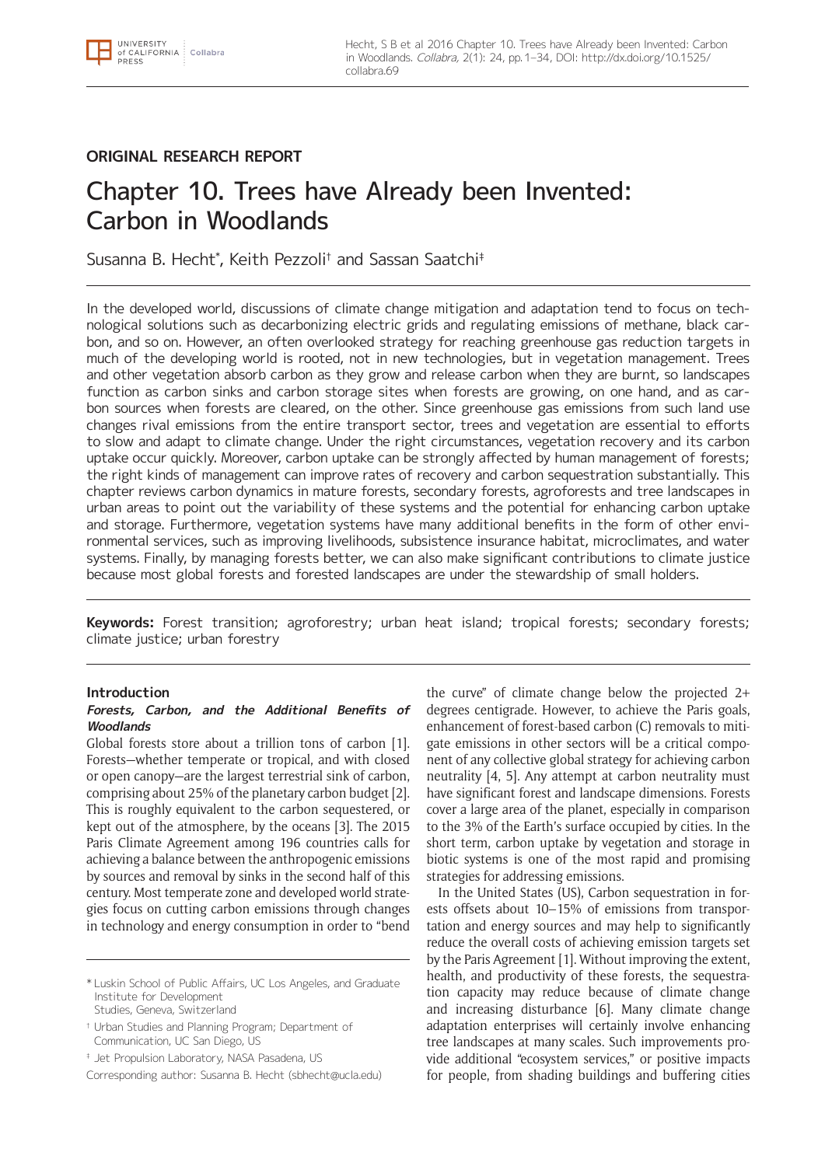

# **ORIGINAL RESEARCH REPORT**

# Chapter 10. Trees have Already been Invented: Carbon in Woodlands

Susanna B. Hecht\* , Keith Pezzoli† and Sassan Saatchi‡

In the developed world, discussions of climate change mitigation and adaptation tend to focus on technological solutions such as decarbonizing electric grids and regulating emissions of methane, black carbon, and so on. However, an often overlooked strategy for reaching greenhouse gas reduction targets in much of the developing world is rooted, not in new technologies, but in vegetation management. Trees and other vegetation absorb carbon as they grow and release carbon when they are burnt, so landscapes function as carbon sinks and carbon storage sites when forests are growing, on one hand, and as carbon sources when forests are cleared, on the other. Since greenhouse gas emissions from such land use changes rival emissions from the entire transport sector, trees and vegetation are essential to efforts to slow and adapt to climate change. Under the right circumstances, vegetation recovery and its carbon uptake occur quickly. Moreover, carbon uptake can be strongly affected by human management of forests; the right kinds of management can improve rates of recovery and carbon sequestration substantially. This chapter reviews carbon dynamics in mature forests, secondary forests, agroforests and tree landscapes in urban areas to point out the variability of these systems and the potential for enhancing carbon uptake and storage. Furthermore, vegetation systems have many additional benefits in the form of other environmental services, such as improving livelihoods, subsistence insurance habitat, microclimates, and water systems. Finally, by managing forests better, we can also make significant contributions to climate justice because most global forests and forested landscapes are under the stewardship of small holders.

**Keywords:** Forest transition; agroforestry; urban heat island; tropical forests; secondary forests; climate justice; urban forestry

# **Introduction**

#### **Forests, Carbon, and the Additional Benefits of Woodlands**

Global forests store about a trillion tons of carbon [1]. Forests—whether temperate or tropical, and with closed or open canopy—are the largest terrestrial sink of carbon, comprising about 25% of the planetary carbon budget [2]. This is roughly equivalent to the carbon sequestered, or kept out of the atmosphere, by the oceans [3]. The 2015 Paris Climate Agreement among 196 countries calls for achieving a balance between the anthropogenic emissions by sources and removal by sinks in the second half of this century. Most temperate zone and developed world strategies focus on cutting carbon emissions through changes in technology and energy consumption in order to "bend

† Urban Studies and Planning Program; Department of Communication, UC San Diego, US

‡ Jet Propulsion Laboratory, NASA Pasadena, US

Corresponding author: Susanna B. Hecht [\(sbhecht@ucla.edu\)](mailto:sbhecht@ucla.edu)

the curve" of climate change below the projected 2+ degrees centigrade. However, to achieve the Paris goals, enhancement of forest-based carbon (C) removals to mitigate emissions in other sectors will be a critical component of any collective global strategy for achieving carbon neutrality [4, 5]. Any attempt at carbon neutrality must have significant forest and landscape dimensions. Forests cover a large area of the planet, especially in comparison to the 3% of the Earth's surface occupied by cities. In the short term, carbon uptake by vegetation and storage in biotic systems is one of the most rapid and promising strategies for addressing emissions.

In the United States (US), Carbon sequestration in forests offsets about 10–15% of emissions from transportation and energy sources and may help to significantly reduce the overall costs of achieving emission targets set by the Paris Agreement [1]. Without improving the extent, health, and productivity of these forests, the sequestration capacity may reduce because of climate change and increasing disturbance [6]. Many climate change adaptation enterprises will certainly involve enhancing tree landscapes at many scales. Such improvements provide additional "ecosystem services," or positive impacts for people, from shading buildings and buffering cities

<sup>\*</sup> Luskin School of Public Affairs, UC Los Angeles, and Graduate Institute for Development Studies, Geneva, Switzerland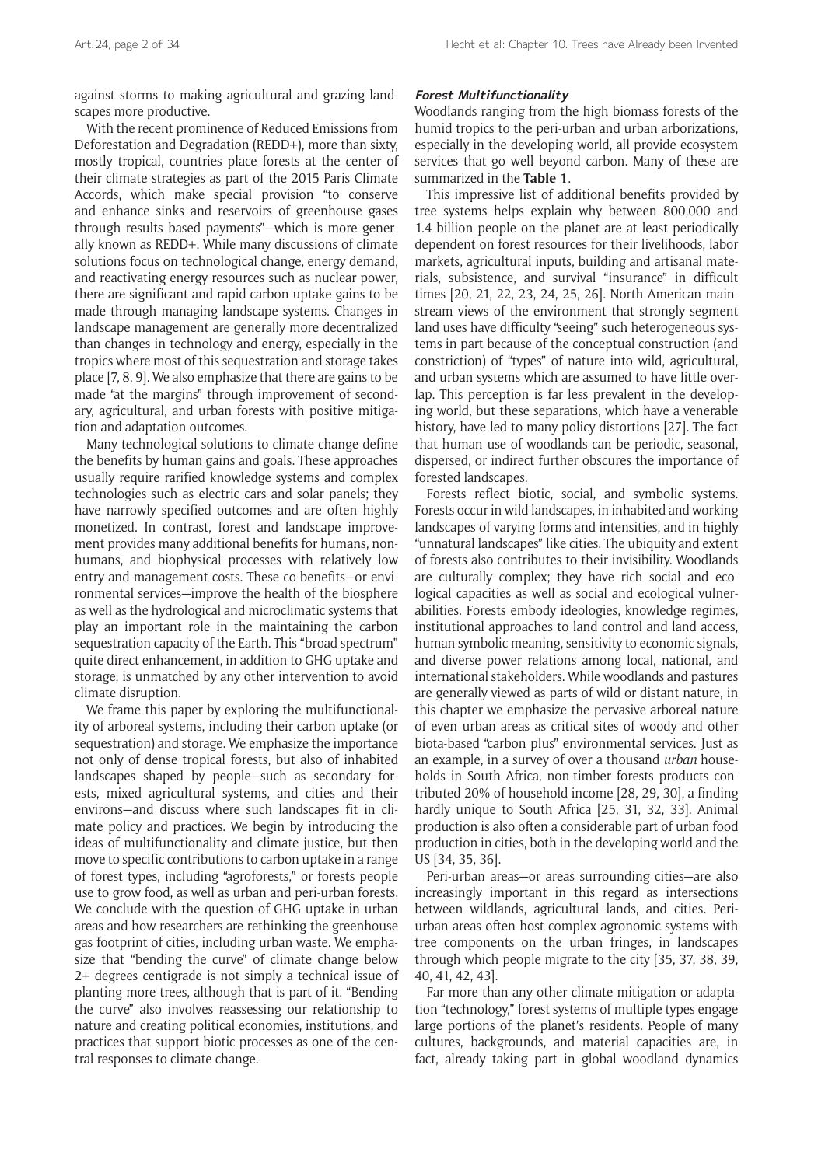against storms to making agricultural and grazing landscapes more productive.

With the recent prominence of Reduced Emissions from Deforestation and Degradation (REDD+), more than sixty, mostly tropical, countries place forests at the center of their climate strategies as part of the 2015 Paris Climate Accords, which make special provision "to conserve and enhance sinks and reservoirs of greenhouse gases through results based payments"—which is more generally known as REDD+. While many discussions of climate solutions focus on technological change, energy demand, and reactivating energy resources such as nuclear power, there are significant and rapid carbon uptake gains to be made through managing landscape systems. Changes in landscape management are generally more decentralized than changes in technology and energy, especially in the tropics where most of this sequestration and storage takes place [7, 8, 9]. We also emphasize that there are gains to be made "at the margins" through improvement of secondary, agricultural, and urban forests with positive mitigation and adaptation outcomes.

Many technological solutions to climate change define the benefits by human gains and goals. These approaches usually require rarified knowledge systems and complex technologies such as electric cars and solar panels; they have narrowly specified outcomes and are often highly monetized. In contrast, forest and landscape improvement provides many additional benefits for humans, nonhumans, and biophysical processes with relatively low entry and management costs. These co-benefits—or environmental services—improve the health of the biosphere as well as the hydrological and microclimatic systems that play an important role in the maintaining the carbon sequestration capacity of the Earth. This "broad spectrum" quite direct enhancement, in addition to GHG uptake and storage, is unmatched by any other intervention to avoid climate disruption.

We frame this paper by exploring the multifunctionality of arboreal systems, including their carbon uptake (or sequestration) and storage. We emphasize the importance not only of dense tropical forests, but also of inhabited landscapes shaped by people—such as secondary forests, mixed agricultural systems, and cities and their environs—and discuss where such landscapes fit in climate policy and practices. We begin by introducing the ideas of multifunctionality and climate justice, but then move to specific contributions to carbon uptake in a range of forest types, including "agroforests," or forests people use to grow food, as well as urban and peri-urban forests. We conclude with the question of GHG uptake in urban areas and how researchers are rethinking the greenhouse gas footprint of cities, including urban waste. We emphasize that "bending the curve" of climate change below 2+ degrees centigrade is not simply a technical issue of planting more trees, although that is part of it. "Bending the curve" also involves reassessing our relationship to nature and creating political economies, institutions, and practices that support biotic processes as one of the central responses to climate change.

#### **Forest Multifunctionality**

Woodlands ranging from the high biomass forests of the humid tropics to the peri-urban and urban arborizations, especially in the developing world, all provide ecosystem services that go well beyond carbon. Many of these are summarized in the **Table 1**.

This impressive list of additional benefits provided by tree systems helps explain why between 800,000 and 1.4 billion people on the planet are at least periodically dependent on forest resources for their livelihoods, labor markets, agricultural inputs, building and artisanal materials, subsistence, and survival "insurance" in difficult times [20, 21, 22, 23, 24, 25, 26]. North American mainstream views of the environment that strongly segment land uses have difficulty "seeing" such heterogeneous systems in part because of the conceptual construction (and constriction) of "types" of nature into wild, agricultural, and urban systems which are assumed to have little overlap. This perception is far less prevalent in the developing world, but these separations, which have a venerable history, have led to many policy distortions [27]. The fact that human use of woodlands can be periodic, seasonal, dispersed, or indirect further obscures the importance of forested landscapes.

Forests reflect biotic, social, and symbolic systems. Forests occur in wild landscapes, in inhabited and working landscapes of varying forms and intensities, and in highly "unnatural landscapes" like cities. The ubiquity and extent of forests also contributes to their invisibility. Woodlands are culturally complex; they have rich social and ecological capacities as well as social and ecological vulnerabilities. Forests embody ideologies, knowledge regimes, institutional approaches to land control and land access, human symbolic meaning, sensitivity to economic signals, and diverse power relations among local, national, and international stakeholders. While woodlands and pastures are generally viewed as parts of wild or distant nature, in this chapter we emphasize the pervasive arboreal nature of even urban areas as critical sites of woody and other biota-based "carbon plus" environmental services. Just as an example, in a survey of over a thousand *urban* households in South Africa, non-timber forests products contributed 20% of household income [28, 29, 30], a finding hardly unique to South Africa [25, 31, 32, 33]. Animal production is also often a considerable part of urban food production in cities, both in the developing world and the US [34, 35, 36].

Peri-urban areas—or areas surrounding cities—are also increasingly important in this regard as intersections between wildlands, agricultural lands, and cities. Periurban areas often host complex agronomic systems with tree components on the urban fringes, in landscapes through which people migrate to the city [35, 37, 38, 39, 40, 41, 42, 43].

Far more than any other climate mitigation or adaptation "technology," forest systems of multiple types engage large portions of the planet's residents. People of many cultures, backgrounds, and material capacities are, in fact, already taking part in global woodland dynamics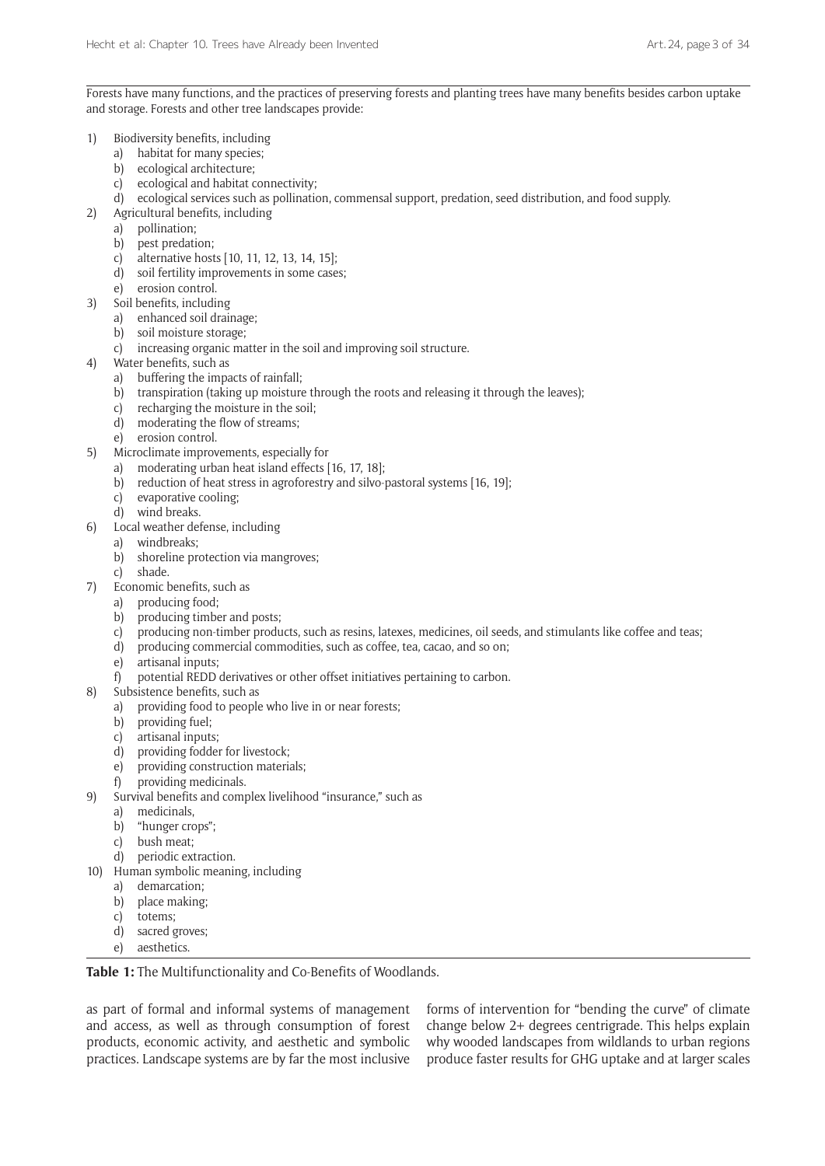Forests have many functions, and the practices of preserving forests and planting trees have many benefits besides carbon uptake and storage. Forests and other tree landscapes provide:

- 1) Biodiversity benefits, including
	- a) habitat for many species;
	- b) ecological architecture;
	- c) ecological and habitat connectivity;
	- d) ecological services such as pollination, commensal support, predation, seed distribution, and food supply.
- 2) Agricultural benefits, including
	- a) pollination;
	- b) pest predation;
	- c) alternative hosts [10, 11, 12, 13, 14, 15];
	- d) soil fertility improvements in some cases;
	- e) erosion control.
- 3) Soil benefits, including
	- a) enhanced soil drainage;
	- b) soil moisture storage;
	- c) increasing organic matter in the soil and improving soil structure.
- 4) Water benefits, such as
	- a) buffering the impacts of rainfall;
	- b) transpiration (taking up moisture through the roots and releasing it through the leaves);
	- c) recharging the moisture in the soil;
	- d) moderating the flow of streams;
	- e) erosion control.
- 5) Microclimate improvements, especially for
	- a) moderating urban heat island effects [16, 17, 18];
	- b) reduction of heat stress in agroforestry and silvo-pastoral systems [16, 19];
	- c) evaporative cooling;
	- d) wind breaks.
- 6) Local weather defense, including
	- a) windbreaks;
	- b) shoreline protection via mangroves;
	- c) shade.
- 7) Economic benefits, such as
	- a) producing food;
	- b) producing timber and posts;
	- c) producing non-timber products, such as resins, latexes, medicines, oil seeds, and stimulants like coffee and teas;
	- d) producing commercial commodities, such as coffee, tea, cacao, and so on;
	- e) artisanal inputs;
	- f) potential REDD derivatives or other offset initiatives pertaining to carbon.
- 8) Subsistence benefits, such as
	- a) providing food to people who live in or near forests;
	- b) providing fuel;
	- c) artisanal inputs;
	- d) providing fodder for livestock;
	- e) providing construction materials;
	- f) providing medicinals.
- 9) Survival benefits and complex livelihood "insurance," such as
	- a) medicinals,
	- b) "hunger crops";
	- c) bush meat;
	- d) periodic extraction.
- 10) Human symbolic meaning, including
	- a) demarcation;
	- b) place making;
	- c) totems;
	- d) sacred groves;
	- e) aesthetics.

**Table 1:** The Multifunctionality and Co-Benefits of Woodlands.

as part of formal and informal systems of management and access, as well as through consumption of forest products, economic activity, and aesthetic and symbolic practices. Landscape systems are by far the most inclusive forms of intervention for "bending the curve" of climate change below 2+ degrees centrigrade. This helps explain why wooded landscapes from wildlands to urban regions produce faster results for GHG uptake and at larger scales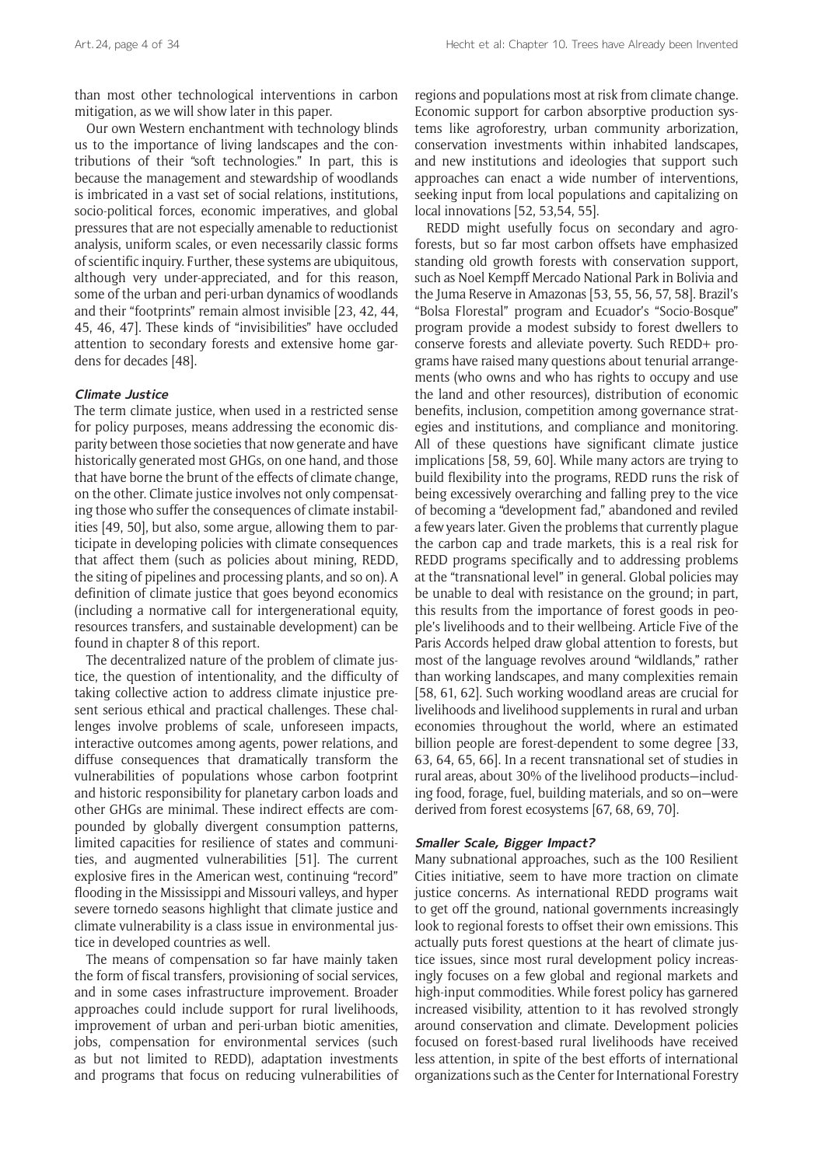than most other technological interventions in carbon mitigation, as we will show later in this paper.

Our own Western enchantment with technology blinds us to the importance of living landscapes and the contributions of their "soft technologies." In part, this is because the management and stewardship of woodlands is imbricated in a vast set of social relations, institutions, socio-political forces, economic imperatives, and global pressures that are not especially amenable to reductionist analysis, uniform scales, or even necessarily classic forms of scientific inquiry. Further, these systems are ubiquitous, although very under-appreciated, and for this reason, some of the urban and peri-urban dynamics of woodlands and their "footprints" remain almost invisible [23, 42, 44, 45, 46, 47]. These kinds of "invisibilities" have occluded attention to secondary forests and extensive home gardens for decades [48].

#### **Climate Justice**

The term climate justice, when used in a restricted sense for policy purposes, means addressing the economic disparity between those societies that now generate and have historically generated most GHGs, on one hand, and those that have borne the brunt of the effects of climate change, on the other. Climate justice involves not only compensating those who suffer the consequences of climate instabilities [49, 50], but also, some argue, allowing them to participate in developing policies with climate consequences that affect them (such as policies about mining, REDD, the siting of pipelines and processing plants, and so on). A definition of climate justice that goes beyond economics (including a normative call for intergenerational equity, resources transfers, and sustainable development) can be found in chapter 8 of this report.

The decentralized nature of the problem of climate justice, the question of intentionality, and the difficulty of taking collective action to address climate injustice present serious ethical and practical challenges. These challenges involve problems of scale, unforeseen impacts, interactive outcomes among agents, power relations, and diffuse consequences that dramatically transform the vulnerabilities of populations whose carbon footprint and historic responsibility for planetary carbon loads and other GHGs are minimal. These indirect effects are compounded by globally divergent consumption patterns, limited capacities for resilience of states and communities, and augmented vulnerabilities [51]. The current explosive fires in the American west, continuing "record" flooding in the Mississippi and Missouri valleys, and hyper severe tornedo seasons highlight that climate justice and climate vulnerability is a class issue in environmental justice in developed countries as well.

The means of compensation so far have mainly taken the form of fiscal transfers, provisioning of social services, and in some cases infrastructure improvement. Broader approaches could include support for rural livelihoods, improvement of urban and peri-urban biotic amenities, jobs, compensation for environmental services (such as but not limited to REDD), adaptation investments and programs that focus on reducing vulnerabilities of

regions and populations most at risk from climate change. Economic support for carbon absorptive production systems like agroforestry, urban community arborization, conservation investments within inhabited landscapes, and new institutions and ideologies that support such approaches can enact a wide number of interventions, seeking input from local populations and capitalizing on local innovations [52, 53,54, 55].

REDD might usefully focus on secondary and agroforests, but so far most carbon offsets have emphasized standing old growth forests with conservation support, such as Noel Kempff Mercado National Park in Bolivia and the Juma Reserve in Amazonas [53, 55, 56, 57, 58]. Brazil's "Bolsa Florestal" program and Ecuador's "Socio-Bosque" program provide a modest subsidy to forest dwellers to conserve forests and alleviate poverty. Such REDD+ programs have raised many questions about tenurial arrangements (who owns and who has rights to occupy and use the land and other resources), distribution of economic benefits, inclusion, competition among governance strategies and institutions, and compliance and monitoring. All of these questions have significant climate justice implications [58, 59, 60]. While many actors are trying to build flexibility into the programs, REDD runs the risk of being excessively overarching and falling prey to the vice of becoming a "development fad," abandoned and reviled a few years later. Given the problems that currently plague the carbon cap and trade markets, this is a real risk for REDD programs specifically and to addressing problems at the "transnational level" in general. Global policies may be unable to deal with resistance on the ground; in part, this results from the importance of forest goods in people's livelihoods and to their wellbeing. Article Five of the Paris Accords helped draw global attention to forests, but most of the language revolves around "wildlands," rather than working landscapes, and many complexities remain [58, 61, 62]. Such working woodland areas are crucial for livelihoods and livelihood supplements in rural and urban economies throughout the world, where an estimated billion people are forest-dependent to some degree [33, 63, 64, 65, 66]. In a recent transnational set of studies in rural areas, about 30% of the livelihood products—including food, forage, fuel, building materials, and so on—were derived from forest ecosystems [67, 68, 69, 70].

#### **Smaller Scale, Bigger Impact?**

Many subnational approaches, such as the 100 Resilient Cities initiative, seem to have more traction on climate justice concerns. As international REDD programs wait to get off the ground, national governments increasingly look to regional forests to offset their own emissions. This actually puts forest questions at the heart of climate justice issues, since most rural development policy increasingly focuses on a few global and regional markets and high-input commodities. While forest policy has garnered increased visibility, attention to it has revolved strongly around conservation and climate. Development policies focused on forest-based rural livelihoods have received less attention, in spite of the best efforts of international organizations such as the Center for International Forestry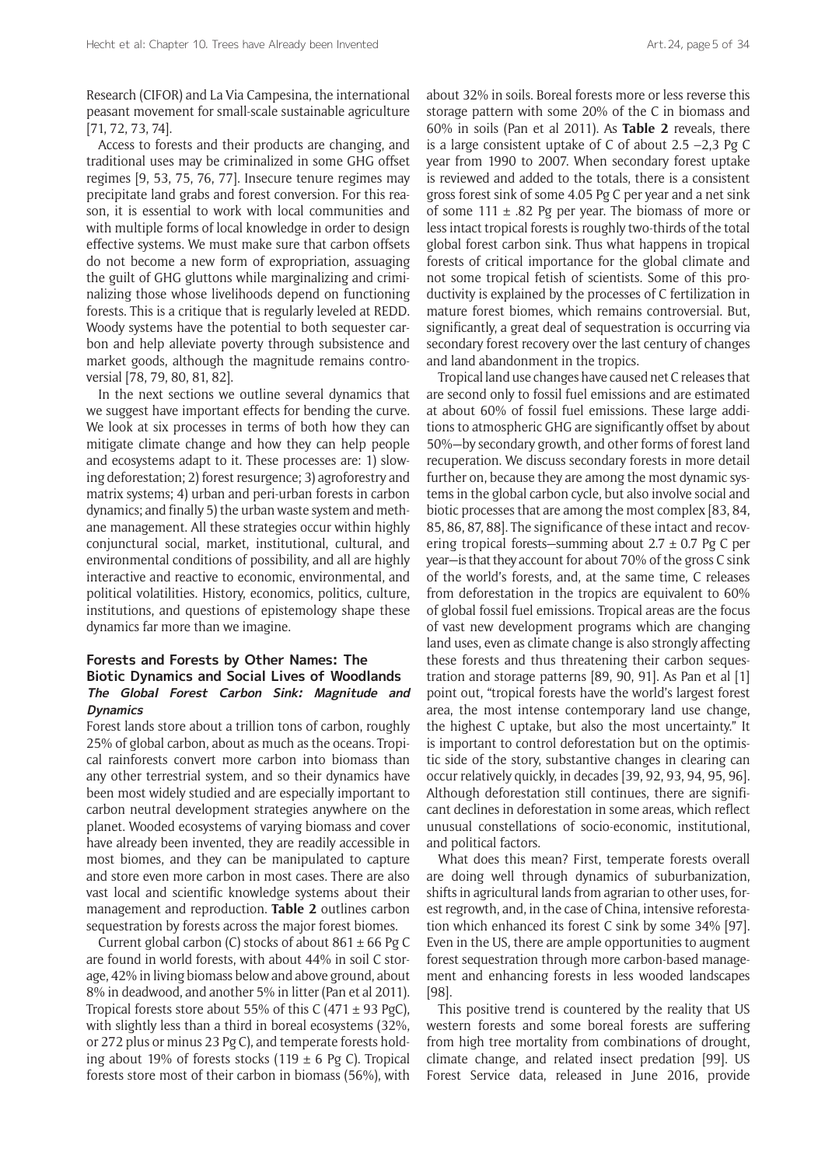Research (CIFOR) and La Via Campesina, the international peasant movement for small-scale sustainable agriculture [71, 72, 73, 74].

Access to forests and their products are changing, and traditional uses may be criminalized in some GHG offset regimes [9, 53, 75, 76, 77]. Insecure tenure regimes may precipitate land grabs and forest conversion. For this reason, it is essential to work with local communities and with multiple forms of local knowledge in order to design effective systems. We must make sure that carbon offsets do not become a new form of expropriation, assuaging the guilt of GHG gluttons while marginalizing and criminalizing those whose livelihoods depend on functioning forests. This is a critique that is regularly leveled at REDD. Woody systems have the potential to both sequester carbon and help alleviate poverty through subsistence and market goods, although the magnitude remains controversial [78, 79, 80, 81, 82].

In the next sections we outline several dynamics that we suggest have important effects for bending the curve. We look at six processes in terms of both how they can mitigate climate change and how they can help people and ecosystems adapt to it. These processes are: 1) slowing deforestation; 2) forest resurgence; 3) agroforestry and matrix systems; 4) urban and peri-urban forests in carbon dynamics; and finally 5) the urban waste system and methane management. All these strategies occur within highly conjunctural social, market, institutional, cultural, and environmental conditions of possibility, and all are highly interactive and reactive to economic, environmental, and political volatilities. History, economics, politics, culture, institutions, and questions of epistemology shape these dynamics far more than we imagine.

# **Forests and Forests by Other Names: The Biotic Dynamics and Social Lives of Woodlands The Global Forest Carbon Sink: Magnitude and Dynamics**

Forest lands store about a trillion tons of carbon, roughly 25% of global carbon, about as much as the oceans. Tropical rainforests convert more carbon into biomass than any other terrestrial system, and so their dynamics have been most widely studied and are especially important to carbon neutral development strategies anywhere on the planet. Wooded ecosystems of varying biomass and cover have already been invented, they are readily accessible in most biomes, and they can be manipulated to capture and store even more carbon in most cases. There are also vast local and scientific knowledge systems about their management and reproduction. **Table 2** outlines carbon sequestration by forests across the major forest biomes.

Current global carbon (C) stocks of about  $861 \pm 66$  Pg C are found in world forests, with about 44% in soil C storage, 42% in living biomass below and above ground, about 8% in deadwood, and another 5% in litter (Pan et al 2011). Tropical forests store about 55% of this C  $(471 \pm 93 \text{ PgC})$ , with slightly less than a third in boreal ecosystems (32%, or 272 plus or minus 23 Pg C), and temperate forests holding about 19% of forests stocks (119  $\pm$  6 Pg C). Tropical forests store most of their carbon in biomass (56%), with

about 32% in soils. Boreal forests more or less reverse this storage pattern with some 20% of the C in biomass and 60% in soils (Pan et al 2011). As **Table 2** reveals, there is a large consistent uptake of C of about  $2.5 - 2.3$  Pg C year from 1990 to 2007. When secondary forest uptake is reviewed and added to the totals, there is a consistent gross forest sink of some 4.05 Pg C per year and a net sink of some  $111 \pm .82$  Pg per year. The biomass of more or less intact tropical forests is roughly two-thirds of the total global forest carbon sink. Thus what happens in tropical forests of critical importance for the global climate and not some tropical fetish of scientists. Some of this productivity is explained by the processes of C fertilization in mature forest biomes, which remains controversial. But, significantly, a great deal of sequestration is occurring via secondary forest recovery over the last century of changes and land abandonment in the tropics.

Tropical land use changes have caused net C releases that are second only to fossil fuel emissions and are estimated at about 60% of fossil fuel emissions. These large additions to atmospheric GHG are significantly offset by about 50%—by secondary growth, and other forms of forest land recuperation. We discuss secondary forests in more detail further on, because they are among the most dynamic systems in the global carbon cycle, but also involve social and biotic processes that are among the most complex [83, 84, 85, 86, 87, 88]. The significance of these intact and recovering tropical forests—summing about  $2.7 \pm 0.7$  Pg C per year—is that they account for about 70% of the gross C sink of the world's forests, and, at the same time, C releases from deforestation in the tropics are equivalent to 60% of global fossil fuel emissions. Tropical areas are the focus of vast new development programs which are changing land uses, even as climate change is also strongly affecting these forests and thus threatening their carbon sequestration and storage patterns [89, 90, 91]. As Pan et al [1] point out, "tropical forests have the world's largest forest area, the most intense contemporary land use change, the highest C uptake, but also the most uncertainty." It is important to control deforestation but on the optimistic side of the story, substantive changes in clearing can occur relatively quickly, in decades [39, 92, 93, 94, 95, 96]. Although deforestation still continues, there are significant declines in deforestation in some areas, which reflect unusual constellations of socio-economic, institutional, and political factors.

What does this mean? First, temperate forests overall are doing well through dynamics of suburbanization, shifts in agricultural lands from agrarian to other uses, forest regrowth, and, in the case of China, intensive reforestation which enhanced its forest C sink by some 34% [97]. Even in the US, there are ample opportunities to augment forest sequestration through more carbon-based management and enhancing forests in less wooded landscapes [98].

This positive trend is countered by the reality that US western forests and some boreal forests are suffering from high tree mortality from combinations of drought, climate change, and related insect predation [99]. US Forest Service data, released in June 2016, provide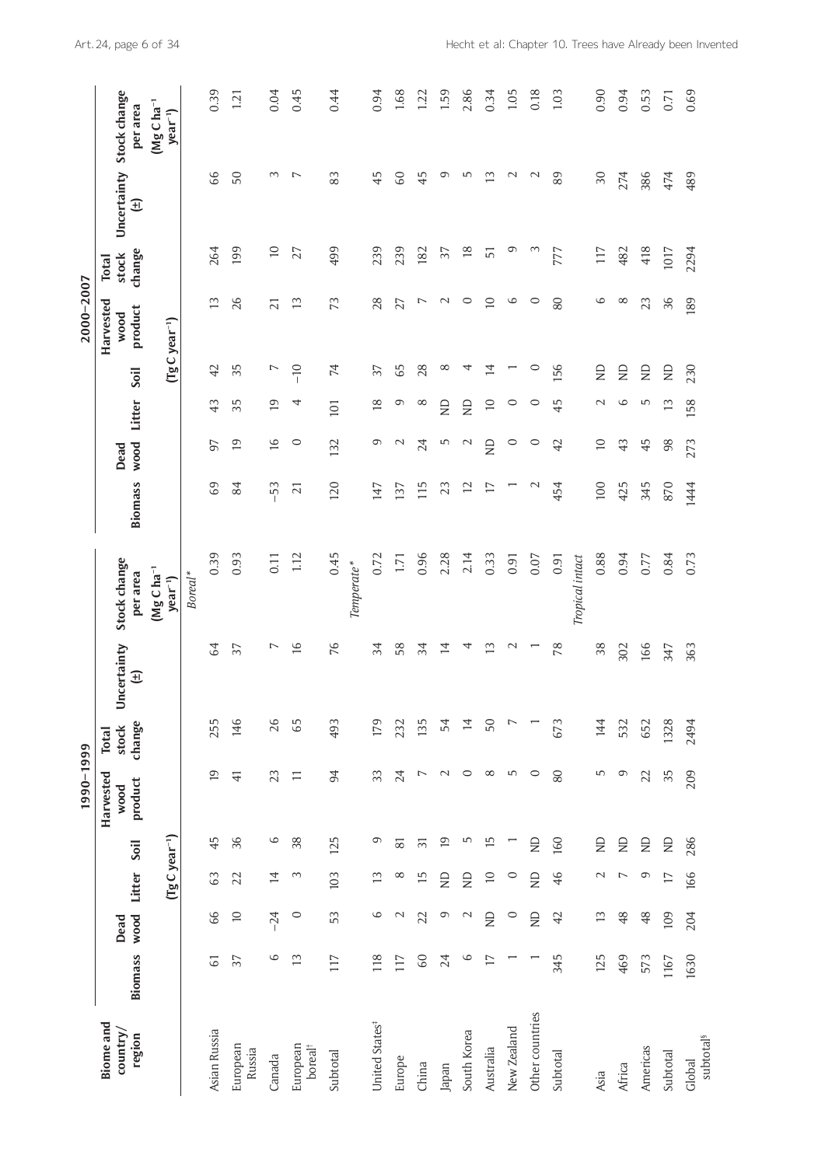|                                       |                |                |                 |                            | 1990-1999                    |                                 |                  |                                    |                 |                 |                 |                | 2000-2007                    |                                 |                  |                                    |
|---------------------------------------|----------------|----------------|-----------------|----------------------------|------------------------------|---------------------------------|------------------|------------------------------------|-----------------|-----------------|-----------------|----------------|------------------------------|---------------------------------|------------------|------------------------------------|
| <b>Biome</b> and<br>country<br>region | <b>Biomass</b> | wood<br>Dead   | Litter          | Soil                       | Harvested<br>product<br>wood | change<br>stock<br><b>Total</b> | Uncertainty<br>E | Stock change<br>per area           | Biomass         | wood<br>Dead    | Litter          | Soil           | Harvested<br>product<br>wood | change<br>stock<br><b>Total</b> | Uncertainty<br>Đ | Stock change<br>per area           |
|                                       |                |                |                 | (Tg C year <sup>-1</sup> ) |                              |                                 |                  | $MgC$ ha <sup>-1</sup><br>$year-1$ |                 |                 |                 |                | (Tg C year <sup>-1</sup> )   |                                 |                  | $MgC$ ha <sup>-1</sup><br>$year-1$ |
|                                       |                |                |                 |                            |                              |                                 |                  | Boreal*                            |                 |                 |                 |                |                              |                                 |                  |                                    |
| Asian Russia                          | $\overline{6}$ | 66             | 63              | 45                         | 19                           | 255                             | $\mathcal{R}$    | 0.39                               | 69              | 57              | 43              | 42             | 13                           | 264                             | 99               | 0.39                               |
| European<br>Russia                    | 57             | $\supseteq$    | 22              | 36                         | $\overline{4}$               | 146                             | 37               | 0.93                               | 84              | $\overline{0}$  | 35              | 35             | 26                           | 199                             | 50               | 1.21                               |
| Canada                                | 6              | $-24$          | $\overline{4}$  | $\circ$                    | 23                           | 26                              | L                | 0.11                               | $-53$           | 16              | $\overline{1}9$ | L              | $\overline{21}$              | $\supseteq$                     | 3                | 0.04                               |
| European<br>$boreal$ <sup>†</sup>     | 13             | $\circ$        | 3               | 38                         | $\Box$                       | 65                              | $\overline{16}$  | 1.12                               | $\overline{21}$ | $\circ$         | 4               | $-10$          | 13                           | 27                              | $\overline{ }$   | 0.45                               |
| Subtotal                              | 117            | 53             | 103             | 125                        | 94                           | 493                             | 76               | 0.45                               | 120             | 132             | 101             | 74             | 73                           | 499                             | 83               | 0.44                               |
|                                       |                |                |                 |                            |                              |                                 |                  | Temperate*                         |                 |                 |                 |                |                              |                                 |                  |                                    |
| United States <sup>#</sup>            | 118            | $\circ$        | 13              | ς                          | 33                           | 179                             | 34               | 0.72                               | 147             | G               | $\overline{18}$ | 37             | 28                           | 239                             | 45               | 0.94                               |
| Europe                                | 117            | $\mathbf 2$    | $^{\circ}$      | $\overline{8}$             | 24                           | 232                             | 58               | 1.71                               | 137             | $\sim$          | Q               | 65             | 27                           | 239                             | 60               | 1.68                               |
| China                                 | 60             | 22             | 15              | $\overline{31}$            | $\overline{ }$               | 135                             | 34               | 0.96                               | 115             | 24              | $\infty$        | 28             | $\overline{ }$               | 182                             | 45               | 1.22                               |
| Japan                                 | 24             | G              | $\Xi$           | $\overline{19}$            | $\sim$                       | 54                              | $\overline{4}$   | 2.28                               | 23              | m               | $\Xi$           | $\infty$       | $\sim$                       | 37                              | Q                | 1.59                               |
| South Korea                           | $\circ$        | $\mathbf 2$    | $\Xi$           | 5                          | $\circ$                      | $\overline{4}$                  | 4                | 2.14                               | $\overline{c}$  | $\sim$          | $\Xi$           | 4              | $\circ$                      | $\overline{18}$                 | ۱                | 2.86                               |
| Australia                             | $\Gamma$       | $\overline{D}$ | $\cup$          | 15                         | $\infty$                     | 50                              | $\mathfrak{D}$   | 0.33                               | $\overline{17}$ | $\overline{D}$  | $\supseteq$     | $\overline{4}$ | $\overline{10}$              | 51                              | 13               | 0.34                               |
| New Zealand                           |                | $\circ$        | $\circ$         |                            | S                            | L                               | $\sim$           | 0.91                               |                 | $\circ$         | $\circ$         |                | $\circ$                      | Q                               | $\sim$           | 1.05                               |
| Other countries                       |                | $\overline{D}$ | $\Xi$           | $\Xi$                      | $\circ$                      |                                 |                  | 0.07                               | $\sim$          | $\circ$         | $\circ$         | $\circ$        | $\circ$                      | S                               | $\mathbf 2$      | 0.18                               |
| Subtotal                              | 345            | 42             | 46              | 160                        | 80                           | 673                             | 78               | 0.91                               | 454             | 42              | 45              | 156            | 80                           | 777                             | 89               | 1.03                               |
|                                       |                |                |                 |                            |                              |                                 |                  | Tropical intact                    |                 |                 |                 |                |                              |                                 |                  |                                    |
| Asia                                  | 125            | 13             | $\mathbf{C}$    | $\Xi$                      | S                            | 144                             | 38               | 0.88                               | 100             | $\overline{10}$ | $\mathbf 2$     | $\Xi$          | $\circ$                      | 117                             | $30\,$           | 0.90                               |
| Africa                                | 469            | 48             | $\overline{ }$  | $\Xi$                      | 6                            | 532                             | 302              | 0.94                               | 425             | 43              | 6               | $\Xi$          | $\infty$                     | 482                             | 274              | 0.94                               |
| Americas                              | 573            | 48             | Q               | $\Xi$                      | 22                           | 652                             | 166              | 0.77                               | 345             | 45              | S               | $\Xi$          | 23                           | 418                             | 386              | 0.53                               |
| Subtotal                              | 1167           | 109            | $\overline{17}$ | $\Xi$                      | 35                           | 1328                            | 347              | 0.84                               | 870             | 98              | 13              | $\Xi$          | 36                           | 1017                            | 474              | 0.71                               |
| subtotal <sup>§</sup><br>Global       | 1630           | 204            | 166             | 286                        | 209                          | 2494                            | 363              | 0.73                               | 1444            | 273             | 158             | 230            | 189                          | 2294                            | 489              | 0.69                               |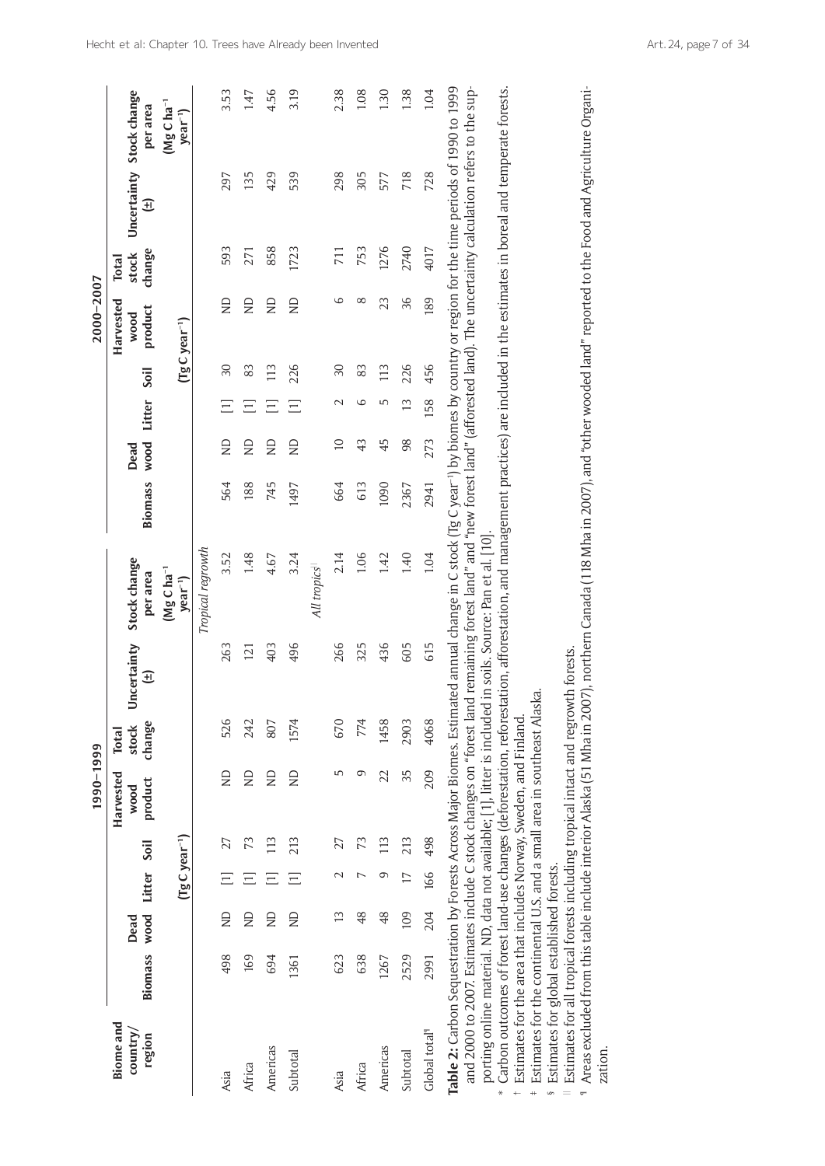|                                                                                                                                                                                                                                                                                                                                                                             |         |                |        |                               | 1990-1999                    |                                 |                                           |                                                                                                                                                                                                                                                                                                                                                                                                                                                                                                                                                                                                                                                                                                                                                                                                      |         |                |                 |      | $2000 - 2007$                |                                 |                        |                                      |
|-----------------------------------------------------------------------------------------------------------------------------------------------------------------------------------------------------------------------------------------------------------------------------------------------------------------------------------------------------------------------------|---------|----------------|--------|-------------------------------|------------------------------|---------------------------------|-------------------------------------------|------------------------------------------------------------------------------------------------------------------------------------------------------------------------------------------------------------------------------------------------------------------------------------------------------------------------------------------------------------------------------------------------------------------------------------------------------------------------------------------------------------------------------------------------------------------------------------------------------------------------------------------------------------------------------------------------------------------------------------------------------------------------------------------------------|---------|----------------|-----------------|------|------------------------------|---------------------------------|------------------------|--------------------------------------|
| Biome and<br>country/<br>region                                                                                                                                                                                                                                                                                                                                             | Biomass | wood<br>Dead   | Litter | Soil                          | Harvested<br>product<br>wood | change<br>stock<br><b>Total</b> | ncertainty<br>$\widehat{\mathbb{E}}$<br>Ξ | Stock change<br>per area                                                                                                                                                                                                                                                                                                                                                                                                                                                                                                                                                                                                                                                                                                                                                                             | Biomass | wood<br>Dead   | Litter          | Soil | Harvested<br>product<br>wood | change<br>stock<br><b>Total</b> | $\widehat{\mathbb{E}}$ | Uncertainty Stock change<br>per area |
|                                                                                                                                                                                                                                                                                                                                                                             |         |                |        | $($ Ig C year <sup>-1</sup> ) |                              |                                 |                                           | $MgC$ ha $^{-1}$<br>$year-1$                                                                                                                                                                                                                                                                                                                                                                                                                                                                                                                                                                                                                                                                                                                                                                         |         |                |                 |      | $($ Ig Cyear <sup>-1</sup> ) |                                 |                        | $(Mg C ha^{-1})$<br>$year-1$         |
|                                                                                                                                                                                                                                                                                                                                                                             |         |                |        |                               |                              |                                 |                                           | Tropical regrowth                                                                                                                                                                                                                                                                                                                                                                                                                                                                                                                                                                                                                                                                                                                                                                                    |         |                |                 |      |                              |                                 |                        |                                      |
| Asia                                                                                                                                                                                                                                                                                                                                                                        | 498     | $\overline{R}$ |        | 27                            | $\Xi$                        | 526                             | 263                                       | 3.52                                                                                                                                                                                                                                                                                                                                                                                                                                                                                                                                                                                                                                                                                                                                                                                                 | 564     | $\overline{R}$ | $\Xi$           | 30   | $\overline{E}$               | 593                             | 297                    | 3.53                                 |
| Africa                                                                                                                                                                                                                                                                                                                                                                      | 169     | $\Xi$          |        | 73                            | $\Xi$                        | 242                             | 121                                       | 1.48                                                                                                                                                                                                                                                                                                                                                                                                                                                                                                                                                                                                                                                                                                                                                                                                 | 188     | $\overline{a}$ |                 | 83   | $\Xi$                        | 271                             | 135                    | 1.47                                 |
| Americas                                                                                                                                                                                                                                                                                                                                                                    | 694     | $\frac{D}{N}$  |        | 13                            | $\Xi$                        | 807                             | 403                                       | 4.67                                                                                                                                                                                                                                                                                                                                                                                                                                                                                                                                                                                                                                                                                                                                                                                                 | 745     | $\overline{a}$ | Ξ               | 113  | $\Xi$                        | 858                             | 429                    | 4.56                                 |
| Subtotal                                                                                                                                                                                                                                                                                                                                                                    | 1361    | $\frac{D}{N}$  |        | 213                           | $\Xi$                        | 1574                            | 496                                       | 3.24                                                                                                                                                                                                                                                                                                                                                                                                                                                                                                                                                                                                                                                                                                                                                                                                 | 1497    | $\overline{a}$ | Ξ               | 226  | $\Xi$                        | 1723                            | 539                    | 3.19                                 |
|                                                                                                                                                                                                                                                                                                                                                                             |         |                |        |                               |                              |                                 |                                           | All tropics                                                                                                                                                                                                                                                                                                                                                                                                                                                                                                                                                                                                                                                                                                                                                                                          |         |                |                 |      |                              |                                 |                        |                                      |
| Asia                                                                                                                                                                                                                                                                                                                                                                        | 623     | $\mathbf{1}$   | N      | 27                            | 5                            | 670                             | 266                                       | 2.14                                                                                                                                                                                                                                                                                                                                                                                                                                                                                                                                                                                                                                                                                                                                                                                                 | 664     | $\supseteq$    | $\mathcal{L}$   | 30   | 6                            | 711                             | 298                    | 2.38                                 |
| Africa                                                                                                                                                                                                                                                                                                                                                                      | 638     | 48             |        | 73                            | ഗ                            | 774                             | 325                                       | 1.06                                                                                                                                                                                                                                                                                                                                                                                                                                                                                                                                                                                                                                                                                                                                                                                                 | 613     | 43             | 6               | 83   | $\infty$                     | 753                             | 305                    | 1.08                                 |
| Americas                                                                                                                                                                                                                                                                                                                                                                    | 1267    | 48             | ന      | 13                            | 22                           | 1458                            | 436                                       | 1.42                                                                                                                                                                                                                                                                                                                                                                                                                                                                                                                                                                                                                                                                                                                                                                                                 | 1090    | 45             | 5               | 113  | 23                           | 1276                            | 577                    | 1.30                                 |
| Subtotal                                                                                                                                                                                                                                                                                                                                                                    | 2529    | 109            | $\Box$ | 213                           | 35                           | 2903                            | 605                                       | 1.40                                                                                                                                                                                                                                                                                                                                                                                                                                                                                                                                                                                                                                                                                                                                                                                                 | 2367    | 98             | $\overline{13}$ | 226  | 36                           | 2740                            | 718                    | 1.38                                 |
| Global total <sup>1</sup>                                                                                                                                                                                                                                                                                                                                                   | 2991    | 204            | 166    | 498                           | 209                          | 4068                            | 615                                       | 1.04                                                                                                                                                                                                                                                                                                                                                                                                                                                                                                                                                                                                                                                                                                                                                                                                 | 2941    | 273            | 158             | 456  | 189                          | 4017                            | 728                    | 1.04                                 |
| Estimates for all tropical forests including tropical intact and regrowth forests.<br>Estimates for the continental U.S. and a small area in southeast Alaska.<br>porting online material. ND, data not available; [1], litter is included<br>Estimates for the area that includes Norway, Sweden, and Finland.<br>Estimates for global established forests.<br>nollez<br>S |         |                |        |                               |                              |                                 |                                           | Areas excluded from this table include interior Alaska (51 Mha in 2007), northern Canada (118 Mha in 2007), and "other wooded land" reported to the Food and Agriculture Organi-<br>Table 2: Carbon Sequestration by Forests Across Major Biomes. Estimated annual change in C stock (Tg C year <sup>-1</sup> ) by biomes by country or region for the time periods of 1990 to 1999<br>and 2000 to 2007. Estimates include C stock changes on "forest land remaining forest land" and "new forest land" (afforested land). The uncertainty calculation refers to the sup-<br>Carbon outcomes of forest land-use changes (deforestation, reforestation, afforestation, and management practices) are included in the estimates in boreal and temperate forests.<br>in soils. Source: Pan et al. [10]. |         |                |                 |      |                              |                                 |                        |                                      |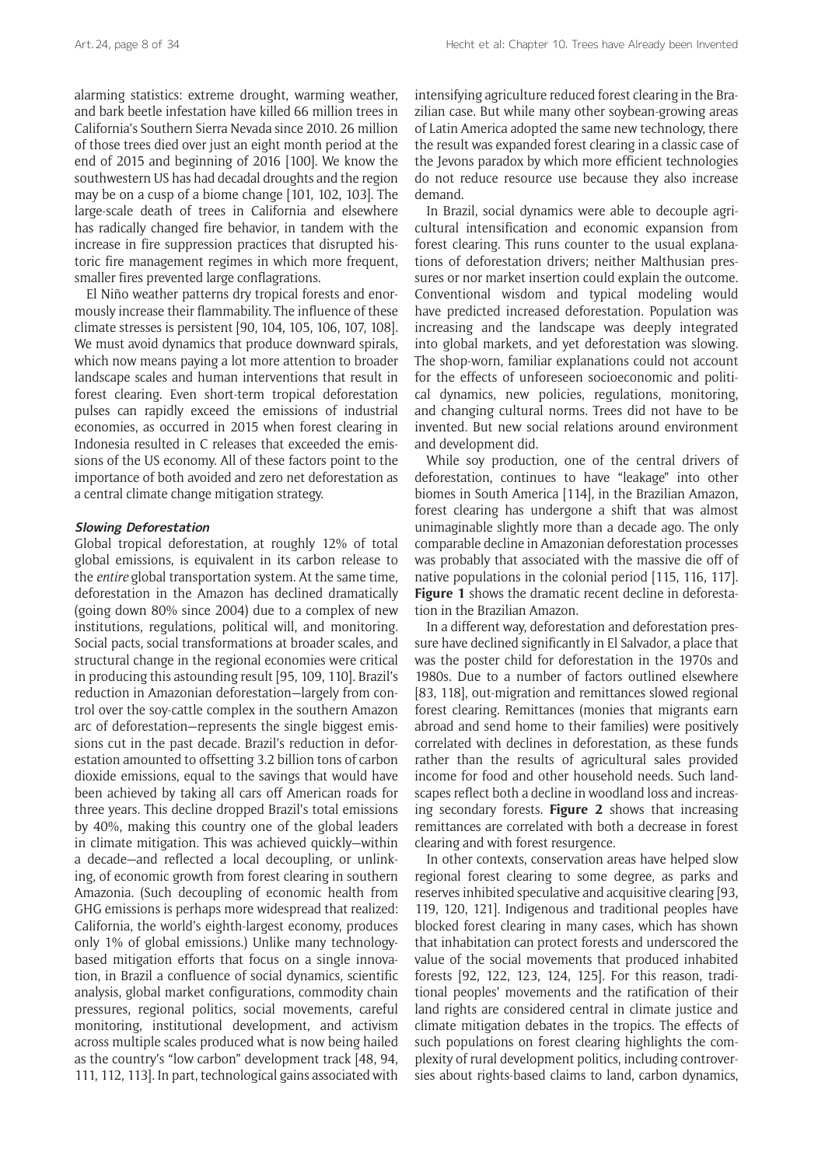alarming statistics: extreme drought, warming weather, and bark beetle infestation have killed 66 million trees in California's Southern Sierra Nevada since 2010. 26 million of those trees died over just an eight month period at the end of 2015 and beginning of 2016 [100]. We know the southwestern US has had decadal droughts and the region may be on a cusp of a biome change [101, 102, 103]. The large-scale death of trees in California and elsewhere has radically changed fire behavior, in tandem with the increase in fire suppression practices that disrupted historic fire management regimes in which more frequent, smaller fires prevented large conflagrations.

El Niño weather patterns dry tropical forests and enormously increase their flammability. The influence of these climate stresses is persistent [90, 104, 105, 106, 107, 108]. We must avoid dynamics that produce downward spirals, which now means paying a lot more attention to broader landscape scales and human interventions that result in forest clearing. Even short-term tropical deforestation pulses can rapidly exceed the emissions of industrial economies, as occurred in 2015 when forest clearing in Indonesia resulted in C releases that exceeded the emissions of the US economy. All of these factors point to the importance of both avoided and zero net deforestation as a central climate change mitigation strategy.

#### **Slowing Deforestation**

Global tropical deforestation, at roughly 12% of total global emissions, is equivalent in its carbon release to the *entire* global transportation system. At the same time, deforestation in the Amazon has declined dramatically (going down 80% since 2004) due to a complex of new institutions, regulations, political will, and monitoring. Social pacts, social transformations at broader scales, and structural change in the regional economies were critical in producing this astounding result [95, 109, 110]. Brazil's reduction in Amazonian deforestation—largely from control over the soy-cattle complex in the southern Amazon arc of deforestation—represents the single biggest emissions cut in the past decade. Brazil's reduction in deforestation amounted to offsetting 3.2 billion tons of carbon dioxide emissions, equal to the savings that would have been achieved by taking all cars off American roads for three years. This decline dropped Brazil's total emissions by 40%, making this country one of the global leaders in climate mitigation. This was achieved quickly—within a decade—and reflected a local decoupling, or unlinking, of economic growth from forest clearing in southern Amazonia. (Such decoupling of economic health from GHG emissions is perhaps more widespread that realized: California, the world's eighth-largest economy, produces only 1% of global emissions.) Unlike many technologybased mitigation efforts that focus on a single innovation, in Brazil a confluence of social dynamics, scientific analysis, global market configurations, commodity chain pressures, regional politics, social movements, careful monitoring, institutional development, and activism across multiple scales produced what is now being hailed as the country's "low carbon" development track [48, 94, 111, 112, 113]. In part, technological gains associated with

intensifying agriculture reduced forest clearing in the Brazilian case. But while many other soybean-growing areas of Latin America adopted the same new technology, there the result was expanded forest clearing in a classic case of the Jevons paradox by which more efficient technologies do not reduce resource use because they also increase demand.

In Brazil, social dynamics were able to decouple agricultural intensification and economic expansion from forest clearing. This runs counter to the usual explanations of deforestation drivers; neither Malthusian pressures or nor market insertion could explain the outcome. Conventional wisdom and typical modeling would have predicted increased deforestation. Population was increasing and the landscape was deeply integrated into global markets, and yet deforestation was slowing. The shop-worn, familiar explanations could not account for the effects of unforeseen socioeconomic and political dynamics, new policies, regulations, monitoring, and changing cultural norms. Trees did not have to be invented. But new social relations around environment and development did.

While soy production, one of the central drivers of deforestation, continues to have "leakage" into other biomes in South America [114], in the Brazilian Amazon, forest clearing has undergone a shift that was almost unimaginable slightly more than a decade ago. The only comparable decline in Amazonian deforestation processes was probably that associated with the massive die off of native populations in the colonial period [115, 116, 117]. **Figure 1** shows the dramatic recent decline in deforestation in the Brazilian Amazon.

In a different way, deforestation and deforestation pressure have declined significantly in El Salvador, a place that was the poster child for deforestation in the 1970s and 1980s. Due to a number of factors outlined elsewhere [83, 118], out-migration and remittances slowed regional forest clearing. Remittances (monies that migrants earn abroad and send home to their families) were positively correlated with declines in deforestation, as these funds rather than the results of agricultural sales provided income for food and other household needs. Such landscapes reflect both a decline in woodland loss and increasing secondary forests. **Figure 2** shows that increasing remittances are correlated with both a decrease in forest clearing and with forest resurgence.

In other contexts, conservation areas have helped slow regional forest clearing to some degree, as parks and reserves inhibited speculative and acquisitive clearing [93, 119, 120, 121]. Indigenous and traditional peoples have blocked forest clearing in many cases, which has shown that inhabitation can protect forests and underscored the value of the social movements that produced inhabited forests [92, 122, 123, 124, 125]. For this reason, traditional peoples' movements and the ratification of their land rights are considered central in climate justice and climate mitigation debates in the tropics. The effects of such populations on forest clearing highlights the complexity of rural development politics, including controversies about rights-based claims to land, carbon dynamics,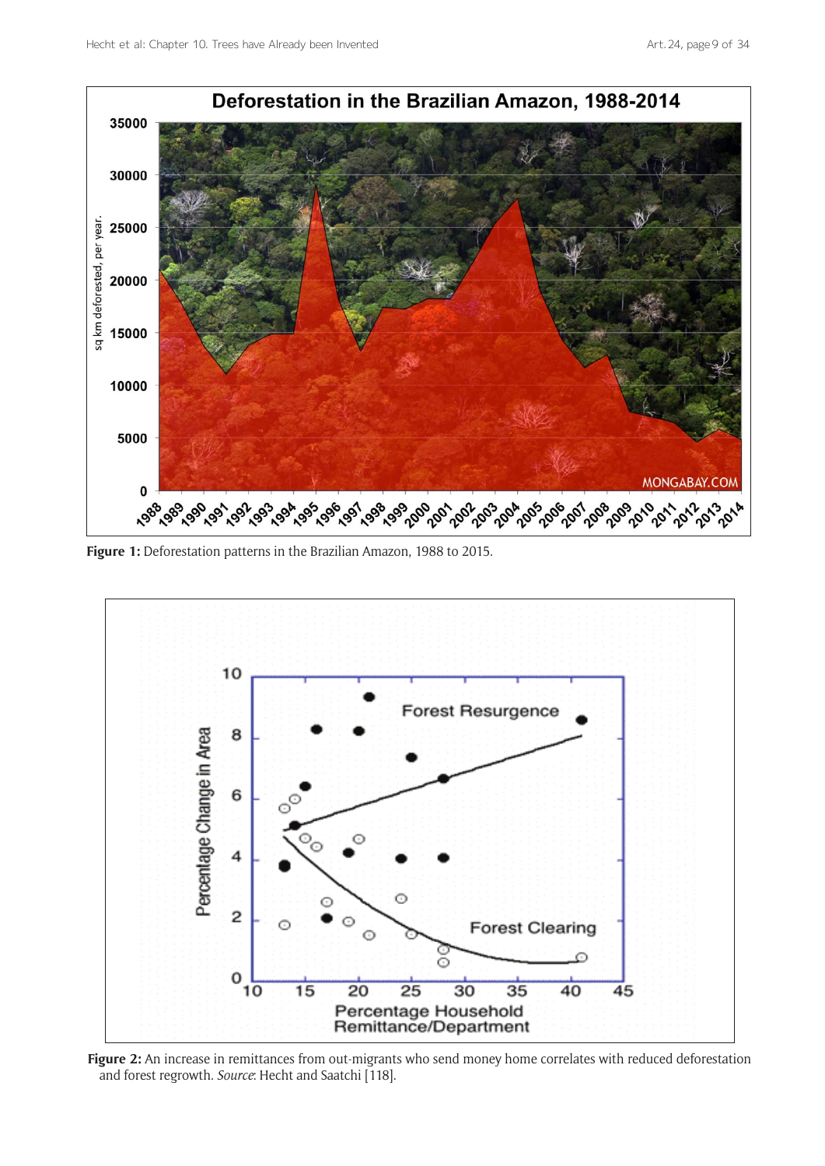

**Figure 1:** Deforestation patterns in the Brazilian Amazon, 1988 to 2015.



**Figure 2:** An increase in remittances from out-migrants who send money home correlates with reduced deforestation and forest regrowth. *Source*: Hecht and Saatchi [118].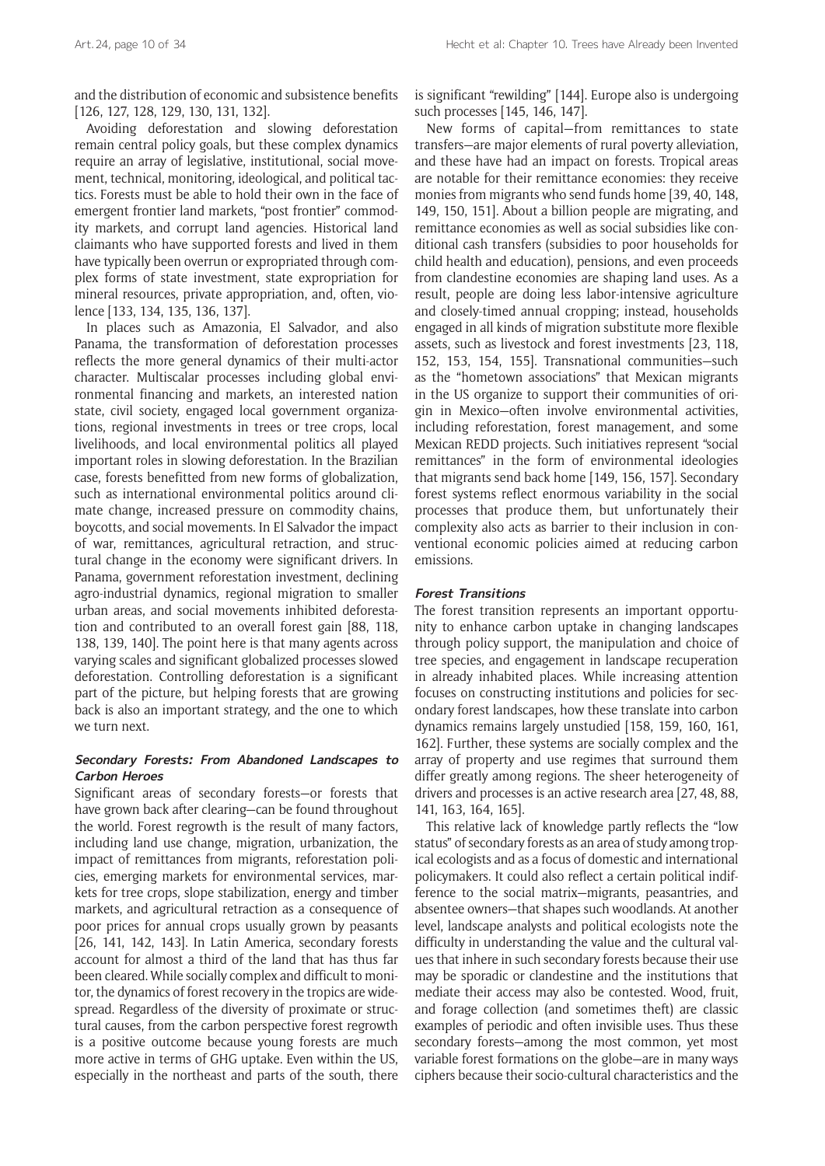and the distribution of economic and subsistence benefits [126, 127, 128, 129, 130, 131, 132].

Avoiding deforestation and slowing deforestation remain central policy goals, but these complex dynamics require an array of legislative, institutional, social movement, technical, monitoring, ideological, and political tactics. Forests must be able to hold their own in the face of emergent frontier land markets, "post frontier" commodity markets, and corrupt land agencies. Historical land claimants who have supported forests and lived in them have typically been overrun or expropriated through complex forms of state investment, state expropriation for mineral resources, private appropriation, and, often, violence [133, 134, 135, 136, 137].

In places such as Amazonia, El Salvador, and also Panama, the transformation of deforestation processes reflects the more general dynamics of their multi-actor character. Multiscalar processes including global environmental financing and markets, an interested nation state, civil society, engaged local government organizations, regional investments in trees or tree crops, local livelihoods, and local environmental politics all played important roles in slowing deforestation. In the Brazilian case, forests benefitted from new forms of globalization, such as international environmental politics around climate change, increased pressure on commodity chains, boycotts, and social movements. In El Salvador the impact of war, remittances, agricultural retraction, and structural change in the economy were significant drivers. In Panama, government reforestation investment, declining agro-industrial dynamics, regional migration to smaller urban areas, and social movements inhibited deforestation and contributed to an overall forest gain [88, 118, 138, 139, 140]. The point here is that many agents across varying scales and significant globalized processes slowed deforestation. Controlling deforestation is a significant part of the picture, but helping forests that are growing back is also an important strategy, and the one to which we turn next.

#### **Secondary Forests: From Abandoned Landscapes to Carbon Heroes**

Significant areas of secondary forests—or forests that have grown back after clearing—can be found throughout the world. Forest regrowth is the result of many factors, including land use change, migration, urbanization, the impact of remittances from migrants, reforestation policies, emerging markets for environmental services, markets for tree crops, slope stabilization, energy and timber markets, and agricultural retraction as a consequence of poor prices for annual crops usually grown by peasants [26, 141, 142, 143]. In Latin America, secondary forests account for almost a third of the land that has thus far been cleared. While socially complex and difficult to monitor, the dynamics of forest recovery in the tropics are widespread. Regardless of the diversity of proximate or structural causes, from the carbon perspective forest regrowth is a positive outcome because young forests are much more active in terms of GHG uptake. Even within the US, especially in the northeast and parts of the south, there

is significant "rewilding" [144]. Europe also is undergoing such processes [145, 146, 147].

New forms of capital—from remittances to state transfers—are major elements of rural poverty alleviation, and these have had an impact on forests. Tropical areas are notable for their remittance economies: they receive monies from migrants who send funds home [39, 40, 148, 149, 150, 151]. About a billion people are migrating, and remittance economies as well as social subsidies like conditional cash transfers (subsidies to poor households for child health and education), pensions, and even proceeds from clandestine economies are shaping land uses. As a result, people are doing less labor-intensive agriculture and closely-timed annual cropping; instead, households engaged in all kinds of migration substitute more flexible assets, such as livestock and forest investments [23, 118, 152, 153, 154, 155]. Transnational communities—such as the "hometown associations" that Mexican migrants in the US organize to support their communities of origin in Mexico—often involve environmental activities, including reforestation, forest management, and some Mexican REDD projects. Such initiatives represent "social remittances" in the form of environmental ideologies that migrants send back home [149, 156, 157]. Secondary forest systems reflect enormous variability in the social processes that produce them, but unfortunately their complexity also acts as barrier to their inclusion in conventional economic policies aimed at reducing carbon emissions.

#### **Forest Transitions**

The forest transition represents an important opportunity to enhance carbon uptake in changing landscapes through policy support, the manipulation and choice of tree species, and engagement in landscape recuperation in already inhabited places. While increasing attention focuses on constructing institutions and policies for secondary forest landscapes, how these translate into carbon dynamics remains largely unstudied [158, 159, 160, 161, 162]. Further, these systems are socially complex and the array of property and use regimes that surround them differ greatly among regions. The sheer heterogeneity of drivers and processes is an active research area [27, 48, 88, 141, 163, 164, 165].

This relative lack of knowledge partly reflects the "low status" of secondary forests as an area of study among tropical ecologists and as a focus of domestic and international policymakers. It could also reflect a certain political indifference to the social matrix—migrants, peasantries, and absentee owners—that shapes such woodlands. At another level, landscape analysts and political ecologists note the difficulty in understanding the value and the cultural values that inhere in such secondary forests because their use may be sporadic or clandestine and the institutions that mediate their access may also be contested. Wood, fruit, and forage collection (and sometimes theft) are classic examples of periodic and often invisible uses. Thus these secondary forests—among the most common, yet most variable forest formations on the globe—are in many ways ciphers because their socio-cultural characteristics and the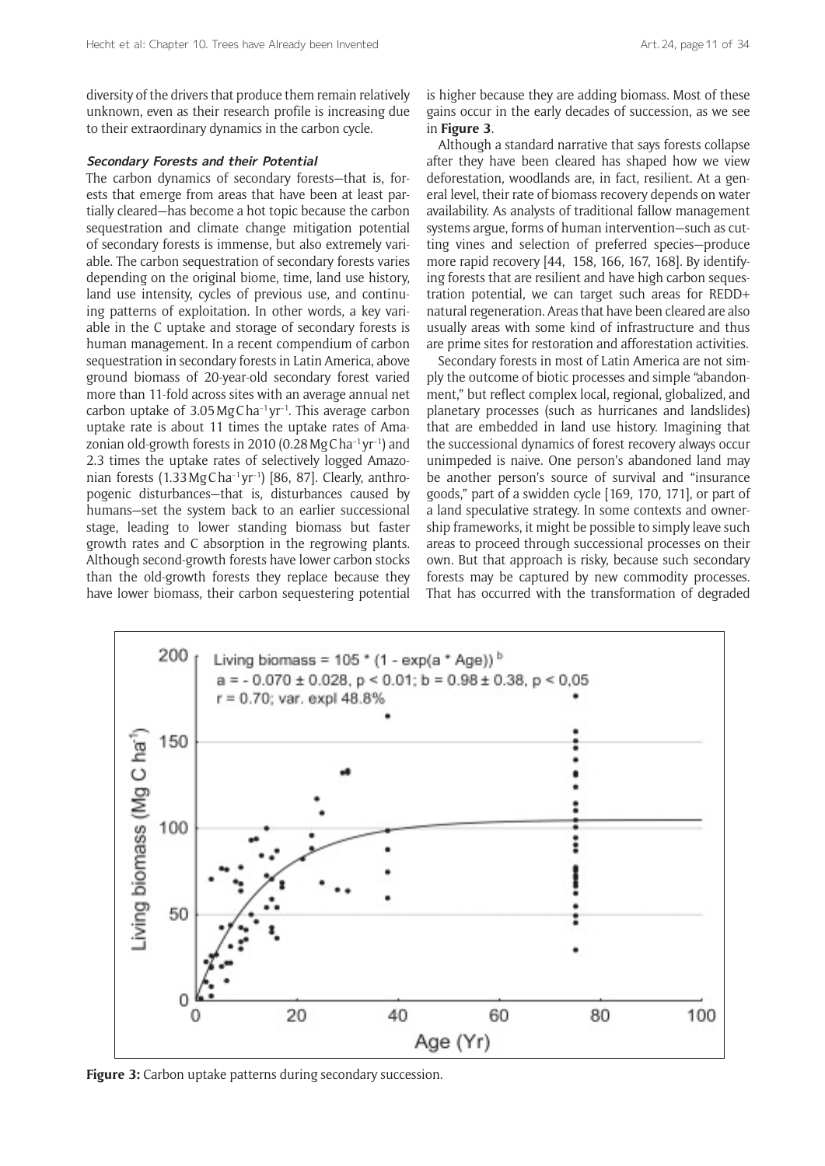diversity of the drivers that produce them remain relatively unknown, even as their research profile is increasing due to their extraordinary dynamics in the carbon cycle.

#### **Secondary Forests and their Potential**

The carbon dynamics of secondary forests—that is, forests that emerge from areas that have been at least partially cleared—has become a hot topic because the carbon sequestration and climate change mitigation potential of secondary forests is immense, but also extremely variable. The carbon sequestration of secondary forests varies depending on the original biome, time, land use history, land use intensity, cycles of previous use, and continuing patterns of exploitation. In other words, a key variable in the C uptake and storage of secondary forests is human management. In a recent compendium of carbon sequestration in secondary forests in Latin America, above ground biomass of 20-year-old secondary forest varied more than 11-fold across sites with an average annual net carbon uptake of 3.05MgCha−1 yr−1. This average carbon uptake rate is about 11 times the uptake rates of Amazonian old-growth forests in 2010 (0.28MgCha−1 yr−1) and 2.3 times the uptake rates of selectively logged Amazonian forests (1.33MgCha−1 yr−1) [86, 87]. Clearly, anthropogenic disturbances—that is, disturbances caused by humans—set the system back to an earlier successional stage, leading to lower standing biomass but faster growth rates and C absorption in the regrowing plants. Although second-growth forests have lower carbon stocks than the old-growth forests they replace because they have lower biomass, their carbon sequestering potential is higher because they are adding biomass. Most of these gains occur in the early decades of succession, as we see in **Figure 3**.

Although a standard narrative that says forests collapse after they have been cleared has shaped how we view deforestation, woodlands are, in fact, resilient. At a general level, their rate of biomass recovery depends on water availability. As analysts of traditional fallow management systems argue, forms of human intervention—such as cutting vines and selection of preferred species—produce more rapid recovery [44, 158, 166, 167, 168]. By identifying forests that are resilient and have high carbon sequestration potential, we can target such areas for REDD+ natural regeneration. Areas that have been cleared are also usually areas with some kind of infrastructure and thus are prime sites for restoration and afforestation activities.

Secondary forests in most of Latin America are not simply the outcome of biotic processes and simple "abandonment," but reflect complex local, regional, globalized, and planetary processes (such as hurricanes and landslides) that are embedded in land use history. Imagining that the successional dynamics of forest recovery always occur unimpeded is naive. One person's abandoned land may be another person's source of survival and "insurance goods," part of a swidden cycle [169, 170, 171], or part of a land speculative strategy. In some contexts and ownership frameworks, it might be possible to simply leave such areas to proceed through successional processes on their own. But that approach is risky, because such secondary forests may be captured by new commodity processes. That has occurred with the transformation of degraded



**Figure 3:** Carbon uptake patterns during secondary succession.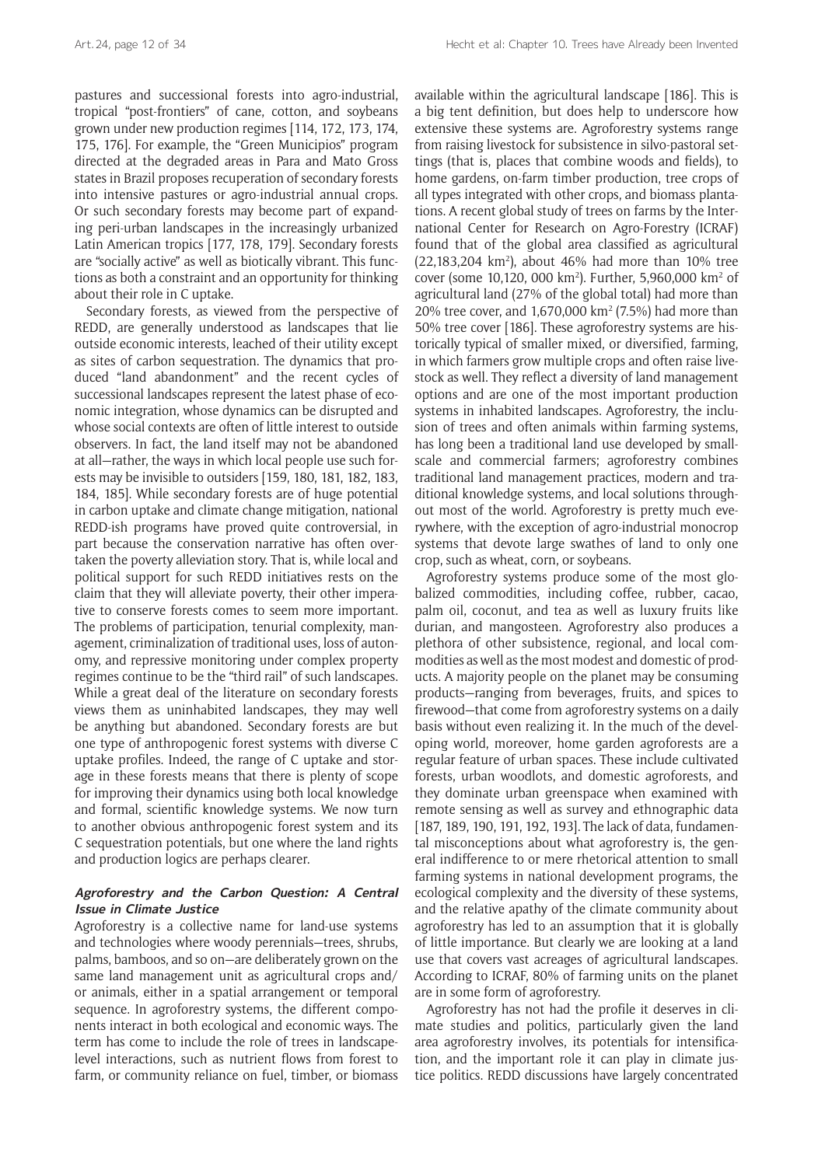pastures and successional forests into agro-industrial, tropical "post-frontiers" of cane, cotton, and soybeans grown under new production regimes [114, 172, 173, 174, 175, 176]. For example, the "Green Municipios" program directed at the degraded areas in Para and Mato Gross states in Brazil proposes recuperation of secondary forests into intensive pastures or agro-industrial annual crops. Or such secondary forests may become part of expanding peri-urban landscapes in the increasingly urbanized Latin American tropics [177, 178, 179]. Secondary forests are "socially active" as well as biotically vibrant. This functions as both a constraint and an opportunity for thinking about their role in C uptake.

Secondary forests, as viewed from the perspective of REDD, are generally understood as landscapes that lie outside economic interests, leached of their utility except as sites of carbon sequestration. The dynamics that produced "land abandonment" and the recent cycles of successional landscapes represent the latest phase of economic integration, whose dynamics can be disrupted and whose social contexts are often of little interest to outside observers. In fact, the land itself may not be abandoned at all—rather, the ways in which local people use such forests may be invisible to outsiders [159, 180, 181, 182, 183, 184, 185]. While secondary forests are of huge potential in carbon uptake and climate change mitigation, national REDD-ish programs have proved quite controversial, in part because the conservation narrative has often overtaken the poverty alleviation story. That is, while local and political support for such REDD initiatives rests on the claim that they will alleviate poverty, their other imperative to conserve forests comes to seem more important. The problems of participation, tenurial complexity, management, criminalization of traditional uses, loss of autonomy, and repressive monitoring under complex property regimes continue to be the "third rail" of such landscapes. While a great deal of the literature on secondary forests views them as uninhabited landscapes, they may well be anything but abandoned. Secondary forests are but one type of anthropogenic forest systems with diverse C uptake profiles. Indeed, the range of C uptake and storage in these forests means that there is plenty of scope for improving their dynamics using both local knowledge and formal, scientific knowledge systems. We now turn to another obvious anthropogenic forest system and its C sequestration potentials, but one where the land rights and production logics are perhaps clearer.

# **Agroforestry and the Carbon Question: A Central Issue in Climate Justice**

Agroforestry is a collective name for land-use systems and technologies where woody perennials—trees, shrubs, palms, bamboos, and so on—are deliberately grown on the same land management unit as agricultural crops and/ or animals, either in a spatial arrangement or temporal sequence. In agroforestry systems, the different components interact in both ecological and economic ways. The term has come to include the role of trees in landscapelevel interactions, such as nutrient flows from forest to farm, or community reliance on fuel, timber, or biomass available within the agricultural landscape [186]. This is a big tent definition, but does help to underscore how extensive these systems are. Agroforestry systems range from raising livestock for subsistence in silvo-pastoral settings (that is, places that combine woods and fields), to home gardens, on-farm timber production, tree crops of all types integrated with other crops, and biomass plantations. A recent global study of trees on farms by the International Center for Research on Agro-Forestry (ICRAF) found that of the global area classified as agricultural  $(22, 183, 204 \text{ km}^2)$ , about 46% had more than 10% tree cover (some 10,120, 000 km<sup>2</sup>). Further, 5,960,000 km<sup>2</sup> of agricultural land (27% of the global total) had more than 20% tree cover, and  $1,670,000 \text{ km}^2 (7.5%)$  had more than 50% tree cover [186]. These agroforestry systems are historically typical of smaller mixed, or diversified, farming, in which farmers grow multiple crops and often raise livestock as well. They reflect a diversity of land management options and are one of the most important production systems in inhabited landscapes. Agroforestry, the inclusion of trees and often animals within farming systems, has long been a traditional land use developed by smallscale and commercial farmers; agroforestry combines traditional land management practices, modern and traditional knowledge systems, and local solutions throughout most of the world. Agroforestry is pretty much everywhere, with the exception of agro-industrial monocrop systems that devote large swathes of land to only one crop, such as wheat, corn, or soybeans.

Agroforestry systems produce some of the most globalized commodities, including coffee, rubber, cacao, palm oil, coconut, and tea as well as luxury fruits like durian, and mangosteen. Agroforestry also produces a plethora of other subsistence, regional, and local commodities as well as the most modest and domestic of products. A majority people on the planet may be consuming products—ranging from beverages, fruits, and spices to firewood—that come from agroforestry systems on a daily basis without even realizing it. In the much of the developing world, moreover, home garden agroforests are a regular feature of urban spaces. These include cultivated forests, urban woodlots, and domestic agroforests, and they dominate urban greenspace when examined with remote sensing as well as survey and ethnographic data [187, 189, 190, 191, 192, 193]. The lack of data, fundamental misconceptions about what agroforestry is, the general indifference to or mere rhetorical attention to small farming systems in national development programs, the ecological complexity and the diversity of these systems, and the relative apathy of the climate community about agroforestry has led to an assumption that it is globally of little importance. But clearly we are looking at a land use that covers vast acreages of agricultural landscapes. According to ICRAF, 80% of farming units on the planet are in some form of agroforestry.

Agroforestry has not had the profile it deserves in climate studies and politics, particularly given the land area agroforestry involves, its potentials for intensification, and the important role it can play in climate justice politics. REDD discussions have largely concentrated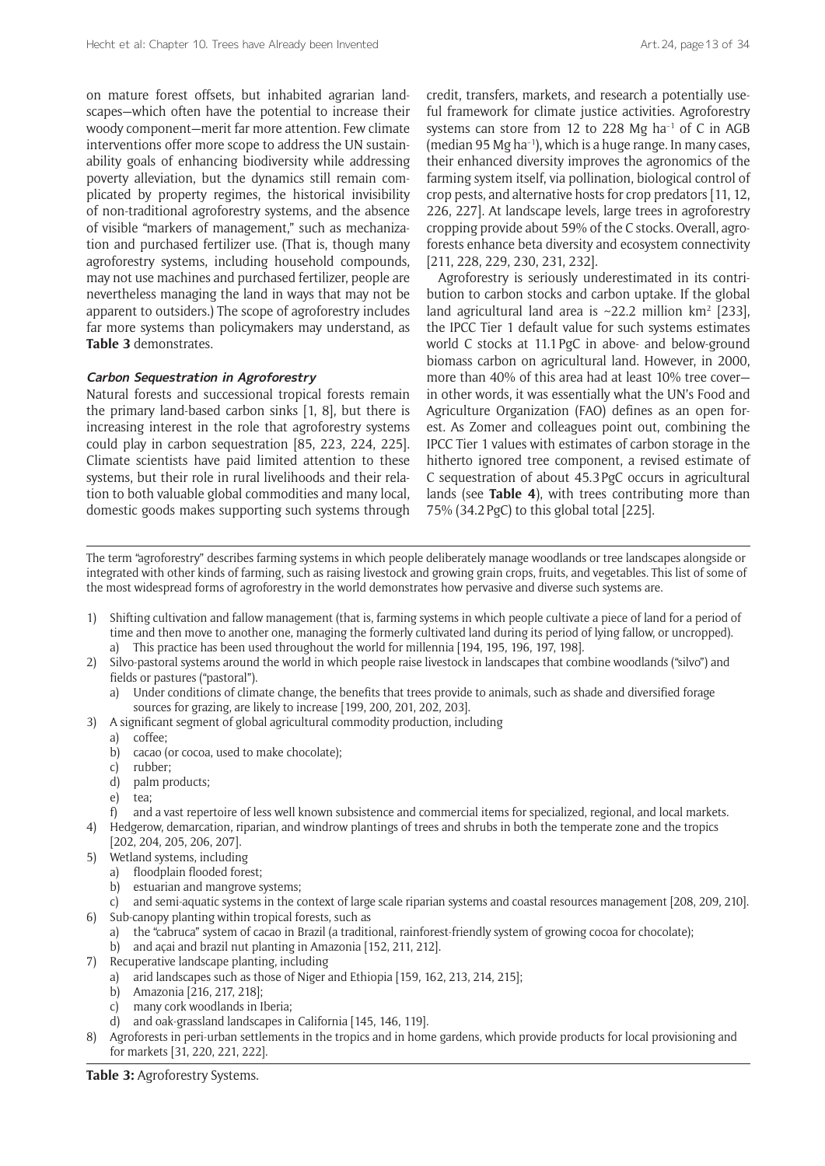on mature forest offsets, but inhabited agrarian landscapes—which often have the potential to increase their woody component—merit far more attention. Few climate interventions offer more scope to address the UN sustainability goals of enhancing biodiversity while addressing poverty alleviation, but the dynamics still remain complicated by property regimes, the historical invisibility of non-traditional agroforestry systems, and the absence of visible "markers of management," such as mechanization and purchased fertilizer use. (That is, though many agroforestry systems, including household compounds, may not use machines and purchased fertilizer, people are nevertheless managing the land in ways that may not be apparent to outsiders.) The scope of agroforestry includes far more systems than policymakers may understand, as **Table 3** demonstrates.

#### **Carbon Sequestration in Agroforestry**

Natural forests and successional tropical forests remain the primary land-based carbon sinks [1, 8], but there is increasing interest in the role that agroforestry systems could play in carbon sequestration [85, 223, 224, 225]. Climate scientists have paid limited attention to these systems, but their role in rural livelihoods and their relation to both valuable global commodities and many local, domestic goods makes supporting such systems through credit, transfers, markets, and research a potentially useful framework for climate justice activities. Agroforestry systems can store from 12 to 228 Mg ha<sup>-1</sup> of C in AGB (median 95 Mg ha−1), which is a huge range. In many cases, their enhanced diversity improves the agronomics of the farming system itself, via pollination, biological control of crop pests, and alternative hosts for crop predators [11, 12, 226, 227]. At landscape levels, large trees in agroforestry cropping provide about 59% of the C stocks. Overall, agroforests enhance beta diversity and ecosystem connectivity [211, 228, 229, 230, 231, 232].

Agroforestry is seriously underestimated in its contribution to carbon stocks and carbon uptake. If the global land agricultural land area is  $\sim$ 22.2 million km<sup>2</sup> [233], the IPCC Tier 1 default value for such systems estimates world C stocks at 11.1PgC in above- and below-ground biomass carbon on agricultural land. However, in 2000, more than 40% of this area had at least 10% tree cover in other words, it was essentially what the UN's Food and Agriculture Organization (FAO) defines as an open forest. As Zomer and colleagues point out, combining the IPCC Tier 1 values with estimates of carbon storage in the hitherto ignored tree component, a revised estimate of C sequestration of about 45.3PgC occurs in agricultural lands (see **Table 4**), with trees contributing more than 75% (34.2PgC) to this global total [225].

The term "agroforestry" describes farming systems in which people deliberately manage woodlands or tree landscapes alongside or integrated with other kinds of farming, such as raising livestock and growing grain crops, fruits, and vegetables. This list of some of the most widespread forms of agroforestry in the world demonstrates how pervasive and diverse such systems are.

- 1) Shifting cultivation and fallow management (that is, farming systems in which people cultivate a piece of land for a period of time and then move to another one, managing the formerly cultivated land during its period of lying fallow, or uncropped). a) This practice has been used throughout the world for millennia [194, 195, 196, 197, 198].
- 2) Silvo-pastoral systems around the world in which people raise livestock in landscapes that combine woodlands ("silvo") and fields or pastures ("pastoral").
	- a) Under conditions of climate change, the benefits that trees provide to animals, such as shade and diversified forage sources for grazing, are likely to increase [199, 200, 201, 202, 203].
- 3) A significant segment of global agricultural commodity production, including
	- a) coffee;
	- b) cacao (or cocoa, used to make chocolate);
	- c) rubber;
	- d) palm products;
	- e) tea;
	- f) and a vast repertoire of less well known subsistence and commercial items for specialized, regional, and local markets.
- 4) Hedgerow, demarcation, riparian, and windrow plantings of trees and shrubs in both the temperate zone and the tropics [202, 204, 205, 206, 207].
- 5) Wetland systems, including
	- a) floodplain flooded forest;
	- b) estuarian and mangrove systems;
- c) and semi-aquatic systems in the context of large scale riparian systems and coastal resources management [208, 209, 210]. 6) Sub-canopy planting within tropical forests, such as
	- a) the "cabruca" system of cacao in Brazil (a traditional, rainforest-friendly system of growing cocoa for chocolate); b) and açai and brazil nut planting in Amazonia [152, 211, 212].
- 7) Recuperative landscape planting, including
	- a) arid landscapes such as those of Niger and Ethiopia [159, 162, 213, 214, 215];
	- b) Amazonia [216, 217, 218];
	- c) many cork woodlands in Iberia;
	- d) and oak-grassland landscapes in California [145, 146, 119].
- 8) Agroforests in peri-urban settlements in the tropics and in home gardens, which provide products for local provisioning and for markets [31, 220, 221, 222].

Table 3: Agroforestry Systems.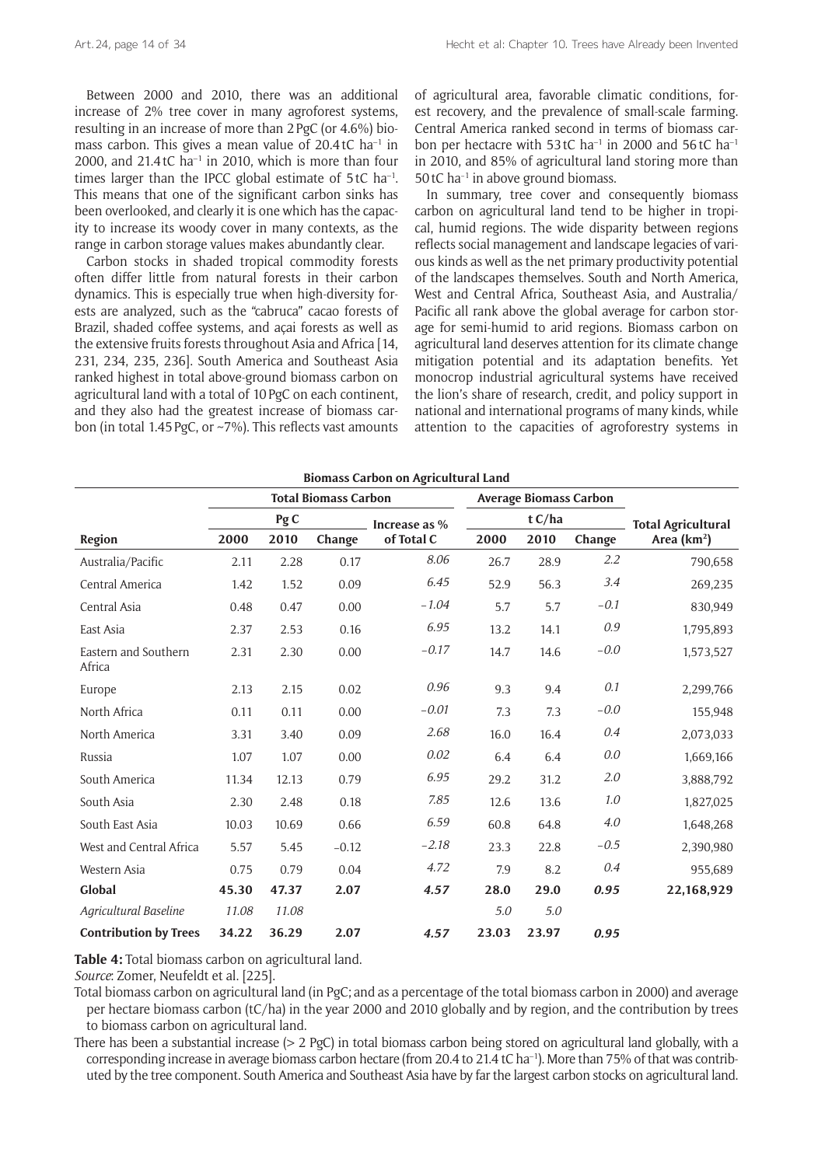Between 2000 and 2010, there was an additional increase of 2% tree cover in many agroforest systems, resulting in an increase of more than 2PgC (or 4.6%) biomass carbon. This gives a mean value of  $20.4$ tC ha<sup>-1</sup> in 2000, and 21.4tC ha<sup>-1</sup> in 2010, which is more than four times larger than the IPCC global estimate of 5tC ha<sup>-1</sup>. This means that one of the significant carbon sinks has been overlooked, and clearly it is one which has the capacity to increase its woody cover in many contexts, as the range in carbon storage values makes abundantly clear.

Carbon stocks in shaded tropical commodity forests often differ little from natural forests in their carbon dynamics. This is especially true when high-diversity forests are analyzed, such as the "cabruca" cacao forests of Brazil, shaded coffee systems, and açai forests as well as the extensive fruits forests throughout Asia and Africa [14, 231, 234, 235, 236]. South America and Southeast Asia ranked highest in total above-ground biomass carbon on agricultural land with a total of 10PgC on each continent, and they also had the greatest increase of biomass carbon (in total 1.45 PgC, or  $\sim$ 7%). This reflects vast amounts of agricultural area, favorable climatic conditions, forest recovery, and the prevalence of small-scale farming. Central America ranked second in terms of biomass carbon per hectacre with 53tC ha<sup>-1</sup> in 2000 and 56tC ha<sup>-1</sup> in 2010, and 85% of agricultural land storing more than 50tC ha−1 in above ground biomass.

In summary, tree cover and consequently biomass carbon on agricultural land tend to be higher in tropical, humid regions. The wide disparity between regions reflects social management and landscape legacies of various kinds as well as the net primary productivity potential of the landscapes themselves. South and North America, West and Central Africa, Southeast Asia, and Australia/ Pacific all rank above the global average for carbon storage for semi-humid to arid regions. Biomass carbon on agricultural land deserves attention for its climate change mitigation potential and its adaptation benefits. Yet monocrop industrial agricultural systems have received the lion's share of research, credit, and policy support in national and international programs of many kinds, while attention to the capacities of agroforestry systems in

|                                |       |                 |                             | <b>Biomass Carbon on Agricultural Land</b> |       |       |                               |                           |
|--------------------------------|-------|-----------------|-----------------------------|--------------------------------------------|-------|-------|-------------------------------|---------------------------|
|                                |       |                 | <b>Total Biomass Carbon</b> |                                            |       |       | <b>Average Biomass Carbon</b> |                           |
|                                |       | Pg <sub>C</sub> |                             | Increase as %                              |       | tC/ha |                               | <b>Total Agricultural</b> |
| Region                         | 2000  | 2010            | Change                      | of Total C                                 | 2000  | 2010  | Change                        | Area $(km2)$              |
| Australia/Pacific              | 2.11  | 2.28            | 0.17                        | 8.06                                       | 26.7  | 28.9  | 2.2                           | 790,658                   |
| Central America                | 1.42  | 1.52            | 0.09                        | 6.45                                       | 52.9  | 56.3  | 3.4                           | 269,235                   |
| Central Asia                   | 0.48  | 0.47            | 0.00                        | $-1.04$                                    | 5.7   | 5.7   | $-0.1$                        | 830,949                   |
| East Asia                      | 2.37  | 2.53            | 0.16                        | 6.95                                       | 13.2  | 14.1  | 0.9                           | 1,795,893                 |
| Eastern and Southern<br>Africa | 2.31  | 2.30            | 0.00                        | $-0.17$                                    | 14.7  | 14.6  | $-0.0$                        | 1,573,527                 |
| Europe                         | 2.13  | 2.15            | 0.02                        | 0.96                                       | 9.3   | 9.4   | 0.1                           | 2,299,766                 |
| North Africa                   | 0.11  | 0.11            | 0.00                        | $-0.01$                                    | 7.3   | 7.3   | $-0.0$                        | 155,948                   |
| North America                  | 3.31  | 3.40            | 0.09                        | 2.68                                       | 16.0  | 16.4  | 0.4                           | 2,073,033                 |
| Russia                         | 1.07  | 1.07            | 0.00                        | 0.02                                       | 6.4   | 6.4   | 0.0                           | 1,669,166                 |
| South America                  | 11.34 | 12.13           | 0.79                        | 6.95                                       | 29.2  | 31.2  | 2.0                           | 3,888,792                 |
| South Asia                     | 2.30  | 2.48            | 0.18                        | 7.85                                       | 12.6  | 13.6  | 1.0                           | 1,827,025                 |
| South East Asia                | 10.03 | 10.69           | 0.66                        | 6.59                                       | 60.8  | 64.8  | 4.0                           | 1,648,268                 |
| West and Central Africa        | 5.57  | 5.45            | $-0.12$                     | $-2.18$                                    | 23.3  | 22.8  | $-0.5$                        | 2,390,980                 |
| Western Asia                   | 0.75  | 0.79            | 0.04                        | 4.72                                       | 7.9   | 8.2   | 0.4                           | 955,689                   |
| Global                         | 45.30 | 47.37           | 2.07                        | 4.57                                       | 28.0  | 29.0  | 0.95                          | 22,168,929                |
| Agricultural Baseline          | 11.08 | 11.08           |                             |                                            | 5.0   | 5.0   |                               |                           |
| <b>Contribution by Trees</b>   | 34.22 | 36.29           | 2.07                        | 4.57                                       | 23.03 | 23.97 | 0.95                          |                           |

**Biomass Carbon on Agricultural Land**

**Table 4:** Total biomass carbon on agricultural land.

*Source*: Zomer, Neufeldt et al. [225].

Total biomass carbon on agricultural land (in PgC; and as a percentage of the total biomass carbon in 2000) and average per hectare biomass carbon (tC/ha) in the year 2000 and 2010 globally and by region, and the contribution by trees to biomass carbon on agricultural land.

There has been a substantial increase ( $> 2$  PgC) in total biomass carbon being stored on agricultural land globally, with a corresponding increase in average biomass carbon hectare (from 20.4 to 21.4 tC ha–1). More than 75% of that was contributed by the tree component. South America and Southeast Asia have by far the largest carbon stocks on agricultural land.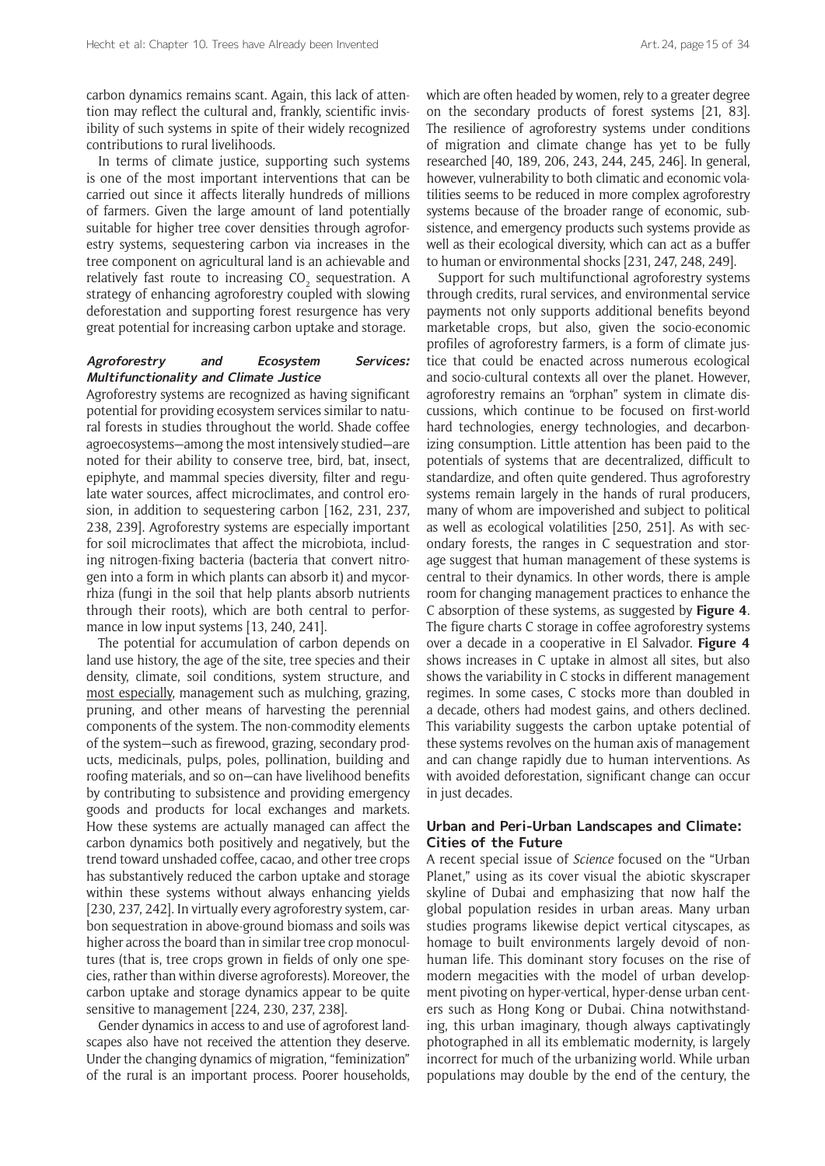carbon dynamics remains scant. Again, this lack of attention may reflect the cultural and, frankly, scientific invisibility of such systems in spite of their widely recognized contributions to rural livelihoods.

In terms of climate justice, supporting such systems is one of the most important interventions that can be carried out since it affects literally hundreds of millions of farmers. Given the large amount of land potentially suitable for higher tree cover densities through agroforestry systems, sequestering carbon via increases in the tree component on agricultural land is an achievable and relatively fast route to increasing CO $_{_2}$  sequestration. A strategy of enhancing agroforestry coupled with slowing deforestation and supporting forest resurgence has very great potential for increasing carbon uptake and storage.

#### **Agroforestry and Ecosystem Services: Multifunctionality and Climate Justice**

Agroforestry systems are recognized as having significant potential for providing ecosystem services similar to natural forests in studies throughout the world. Shade coffee agroecosystems—among the most intensively studied—are noted for their ability to conserve tree, bird, bat, insect, epiphyte, and mammal species diversity, filter and regulate water sources, affect microclimates, and control erosion, in addition to sequestering carbon [162, 231, 237, 238, 239]. Agroforestry systems are especially important for soil microclimates that affect the microbiota, including nitrogen-fixing bacteria (bacteria that convert nitrogen into a form in which plants can absorb it) and mycorrhiza (fungi in the soil that help plants absorb nutrients through their roots), which are both central to performance in low input systems [13, 240, 241].

The potential for accumulation of carbon depends on land use history, the age of the site, tree species and their density, climate, soil conditions, system structure, and most especially, management such as mulching, grazing, pruning, and other means of harvesting the perennial components of the system. The non-commodity elements of the system—such as firewood, grazing, secondary products, medicinals, pulps, poles, pollination, building and roofing materials, and so on—can have livelihood benefits by contributing to subsistence and providing emergency goods and products for local exchanges and markets. How these systems are actually managed can affect the carbon dynamics both positively and negatively, but the trend toward unshaded coffee, cacao, and other tree crops has substantively reduced the carbon uptake and storage within these systems without always enhancing yields [230, 237, 242]. In virtually every agroforestry system, carbon sequestration in above-ground biomass and soils was higher across the board than in similar tree crop monocultures (that is, tree crops grown in fields of only one species, rather than within diverse agroforests). Moreover, the carbon uptake and storage dynamics appear to be quite sensitive to management [224, 230, 237, 238].

Gender dynamics in access to and use of agroforest landscapes also have not received the attention they deserve. Under the changing dynamics of migration, "feminization" of the rural is an important process. Poorer households,

which are often headed by women, rely to a greater degree on the secondary products of forest systems [21, 83]. The resilience of agroforestry systems under conditions of migration and climate change has yet to be fully researched [40, 189, 206, 243, 244, 245, 246]. In general, however, vulnerability to both climatic and economic volatilities seems to be reduced in more complex agroforestry systems because of the broader range of economic, subsistence, and emergency products such systems provide as well as their ecological diversity, which can act as a buffer to human or environmental shocks [231, 247, 248, 249].

Support for such multifunctional agroforestry systems through credits, rural services, and environmental service payments not only supports additional benefits beyond marketable crops, but also, given the socio-economic profiles of agroforestry farmers, is a form of climate justice that could be enacted across numerous ecological and socio-cultural contexts all over the planet. However, agroforestry remains an "orphan" system in climate discussions, which continue to be focused on first-world hard technologies, energy technologies, and decarbonizing consumption. Little attention has been paid to the potentials of systems that are decentralized, difficult to standardize, and often quite gendered. Thus agroforestry systems remain largely in the hands of rural producers, many of whom are impoverished and subject to political as well as ecological volatilities [250, 251]. As with secondary forests, the ranges in C sequestration and storage suggest that human management of these systems is central to their dynamics. In other words, there is ample room for changing management practices to enhance the C absorption of these systems, as suggested by **Figure 4**. The figure charts C storage in coffee agroforestry systems over a decade in a cooperative in El Salvador. **Figure 4** shows increases in C uptake in almost all sites, but also shows the variability in C stocks in different management regimes. In some cases, C stocks more than doubled in a decade, others had modest gains, and others declined. This variability suggests the carbon uptake potential of these systems revolves on the human axis of management and can change rapidly due to human interventions. As with avoided deforestation, significant change can occur in just decades.

# **Urban and Peri-Urban Landscapes and Climate: Cities of the Future**

A recent special issue of *Science* focused on the "Urban Planet," using as its cover visual the abiotic skyscraper skyline of Dubai and emphasizing that now half the global population resides in urban areas. Many urban studies programs likewise depict vertical cityscapes, as homage to built environments largely devoid of nonhuman life. This dominant story focuses on the rise of modern megacities with the model of urban development pivoting on hyper-vertical, hyper-dense urban centers such as Hong Kong or Dubai. China notwithstanding, this urban imaginary, though always captivatingly photographed in all its emblematic modernity, is largely incorrect for much of the urbanizing world. While urban populations may double by the end of the century, the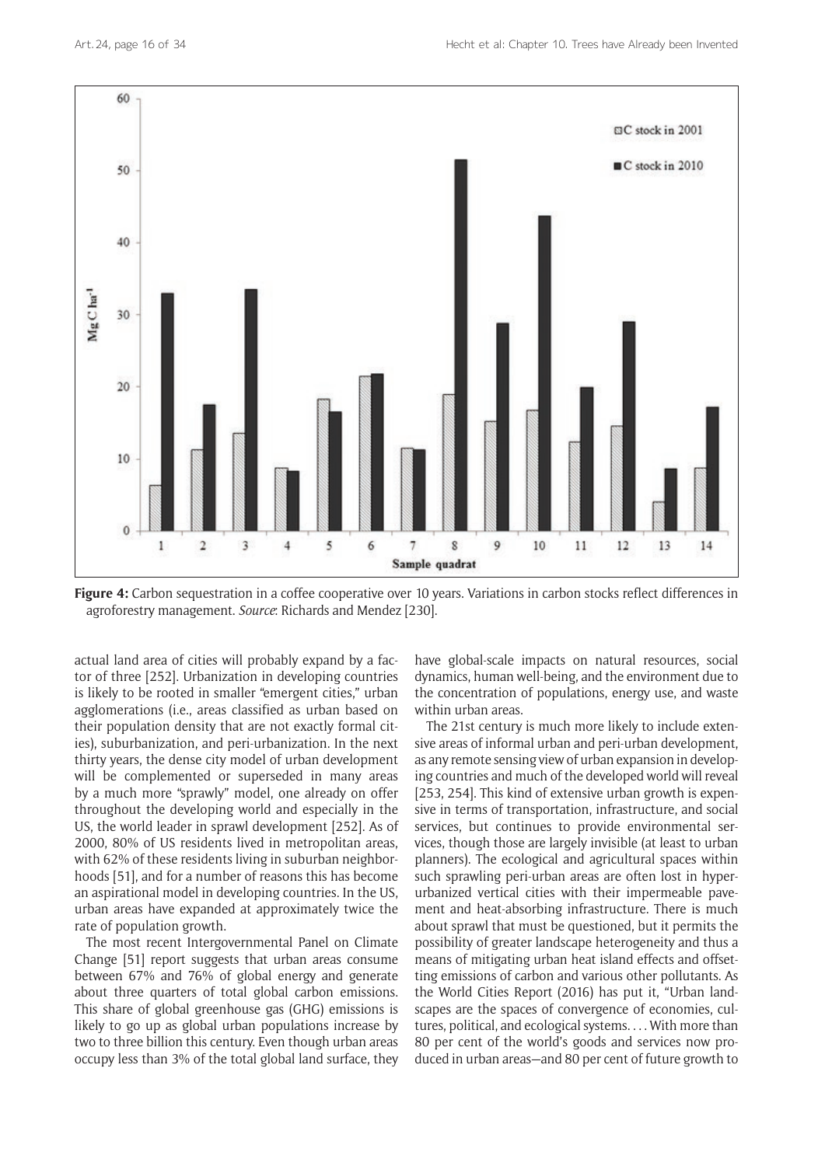

**Figure 4:** Carbon sequestration in a coffee cooperative over 10 years. Variations in carbon stocks reflect differences in agroforestry management. *Source*: Richards and Mendez [230].

actual land area of cities will probably expand by a factor of three [252]. Urbanization in developing countries is likely to be rooted in smaller "emergent cities," urban agglomerations (i.e., areas classified as urban based on their population density that are not exactly formal cities), suburbanization, and peri-urbanization. In the next thirty years, the dense city model of urban development will be complemented or superseded in many areas by a much more "sprawly" model, one already on offer throughout the developing world and especially in the US, the world leader in sprawl development [252]. As of 2000, 80% of US residents lived in metropolitan areas, with 62% of these residents living in suburban neighborhoods [51], and for a number of reasons this has become an aspirational model in developing countries. In the US, urban areas have expanded at approximately twice the rate of population growth.

The most recent Intergovernmental Panel on Climate Change [51] report suggests that urban areas consume between 67% and 76% of global energy and generate about three quarters of total global carbon emissions. This share of global greenhouse gas (GHG) emissions is likely to go up as global urban populations increase by two to three billion this century. Even though urban areas occupy less than 3% of the total global land surface, they have global-scale impacts on natural resources, social dynamics, human well-being, and the environment due to the concentration of populations, energy use, and waste within urban areas.

The 21st century is much more likely to include extensive areas of informal urban and peri-urban development, as any remote sensing view of urban expansion in developing countries and much of the developed world will reveal [253, 254]. This kind of extensive urban growth is expensive in terms of transportation, infrastructure, and social services, but continues to provide environmental services, though those are largely invisible (at least to urban planners). The ecological and agricultural spaces within such sprawling peri-urban areas are often lost in hyperurbanized vertical cities with their impermeable pavement and heat-absorbing infrastructure. There is much about sprawl that must be questioned, but it permits the possibility of greater landscape heterogeneity and thus a means of mitigating urban heat island effects and offsetting emissions of carbon and various other pollutants. As the World Cities Report (2016) has put it, "Urban landscapes are the spaces of convergence of economies, cultures, political, and ecological systems. . . . With more than 80 per cent of the world's goods and services now produced in urban areas—and 80 per cent of future growth to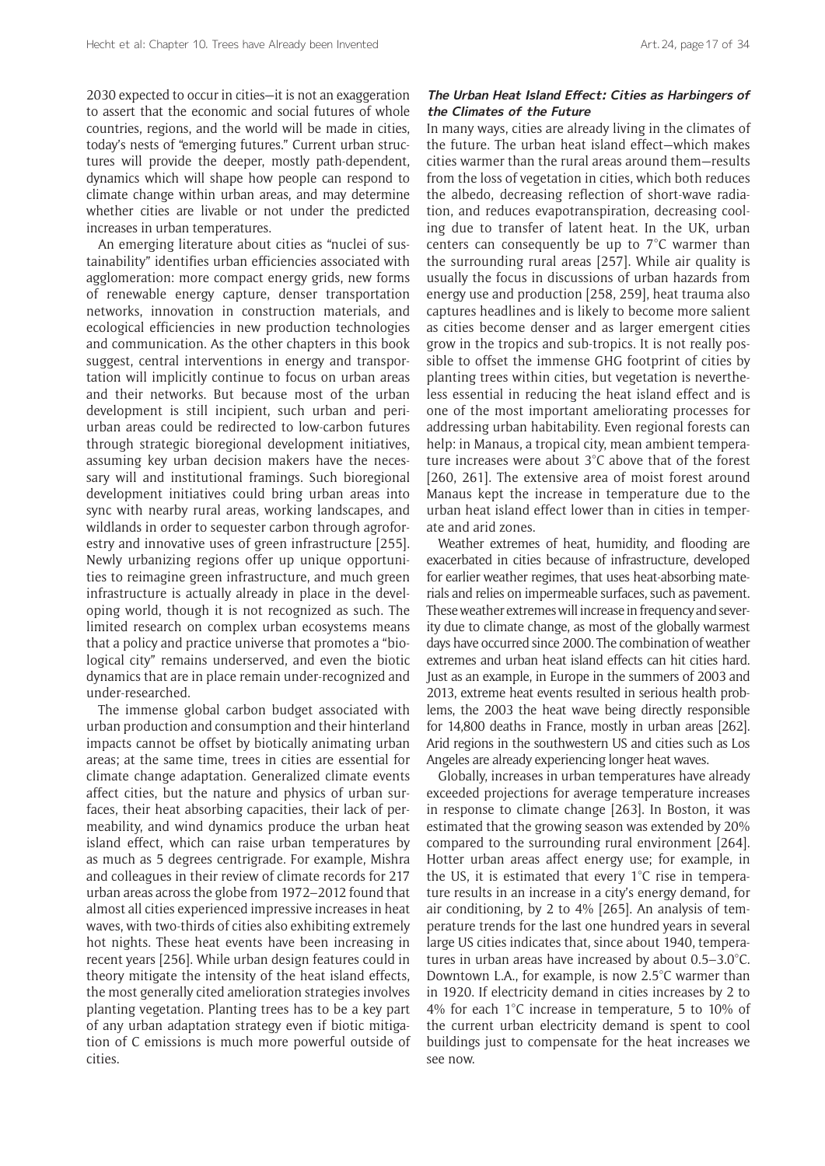2030 expected to occur in cities—it is not an exaggeration to assert that the economic and social futures of whole countries, regions, and the world will be made in cities, today's nests of "emerging futures." Current urban structures will provide the deeper, mostly path-dependent, dynamics which will shape how people can respond to climate change within urban areas, and may determine whether cities are livable or not under the predicted increases in urban temperatures.

An emerging literature about cities as "nuclei of sustainability" identifies urban efficiencies associated with agglomeration: more compact energy grids, new forms of renewable energy capture, denser transportation networks, innovation in construction materials, and ecological efficiencies in new production technologies and communication. As the other chapters in this book suggest, central interventions in energy and transportation will implicitly continue to focus on urban areas and their networks. But because most of the urban development is still incipient, such urban and periurban areas could be redirected to low-carbon futures through strategic bioregional development initiatives, assuming key urban decision makers have the necessary will and institutional framings. Such bioregional development initiatives could bring urban areas into sync with nearby rural areas, working landscapes, and wildlands in order to sequester carbon through agroforestry and innovative uses of green infrastructure [255]. Newly urbanizing regions offer up unique opportunities to reimagine green infrastructure, and much green infrastructure is actually already in place in the developing world, though it is not recognized as such. The limited research on complex urban ecosystems means that a policy and practice universe that promotes a "biological city" remains underserved, and even the biotic dynamics that are in place remain under-recognized and under-researched.

The immense global carbon budget associated with urban production and consumption and their hinterland impacts cannot be offset by biotically animating urban areas; at the same time, trees in cities are essential for climate change adaptation. Generalized climate events affect cities, but the nature and physics of urban surfaces, their heat absorbing capacities, their lack of permeability, and wind dynamics produce the urban heat island effect, which can raise urban temperatures by as much as 5 degrees centrigrade. For example, Mishra and colleagues in their review of climate records for 217 urban areas across the globe from 1972–2012 found that almost all cities experienced impressive increases in heat waves, with two-thirds of cities also exhibiting extremely hot nights. These heat events have been increasing in recent years [256]. While urban design features could in theory mitigate the intensity of the heat island effects, the most generally cited amelioration strategies involves planting vegetation. Planting trees has to be a key part of any urban adaptation strategy even if biotic mitigation of C emissions is much more powerful outside of cities.

# **The Urban Heat Island Effect: Cities as Harbingers of the Climates of the Future**

In many ways, cities are already living in the climates of the future. The urban heat island effect—which makes cities warmer than the rural areas around them—results from the loss of vegetation in cities, which both reduces the albedo, decreasing reflection of short-wave radiation, and reduces evapotranspiration, decreasing cooling due to transfer of latent heat. In the UK, urban centers can consequently be up to 7°C warmer than the surrounding rural areas [257]. While air quality is usually the focus in discussions of urban hazards from energy use and production [258, 259], heat trauma also captures headlines and is likely to become more salient as cities become denser and as larger emergent cities grow in the tropics and sub-tropics. It is not really possible to offset the immense GHG footprint of cities by planting trees within cities, but vegetation is nevertheless essential in reducing the heat island effect and is one of the most important ameliorating processes for addressing urban habitability. Even regional forests can help: in Manaus, a tropical city, mean ambient temperature increases were about 3°C above that of the forest [260, 261]. The extensive area of moist forest around Manaus kept the increase in temperature due to the urban heat island effect lower than in cities in temperate and arid zones.

Weather extremes of heat, humidity, and flooding are exacerbated in cities because of infrastructure, developed for earlier weather regimes, that uses heat-absorbing materials and relies on impermeable surfaces, such as pavement. These weather extremes will increase in frequency and severity due to climate change, as most of the globally warmest days have occurred since 2000. The combination of weather extremes and urban heat island effects can hit cities hard. Just as an example, in Europe in the summers of 2003 and 2013, extreme heat events resulted in serious health problems, the 2003 the heat wave being directly responsible for 14,800 deaths in France, mostly in urban areas [262]. Arid regions in the southwestern US and cities such as Los Angeles are already experiencing longer heat waves.

Globally, increases in urban temperatures have already exceeded projections for average temperature increases in response to climate change [263]. In Boston, it was estimated that the growing season was extended by 20% compared to the surrounding rural environment [264]. Hotter urban areas affect energy use; for example, in the US, it is estimated that every 1°C rise in temperature results in an increase in a city's energy demand, for air conditioning, by 2 to 4% [265]. An analysis of temperature trends for the last one hundred years in several large US cities indicates that, since about 1940, temperatures in urban areas have increased by about 0.5–3.0°C. Downtown L.A., for example, is now 2.5°C warmer than in 1920. If electricity demand in cities increases by 2 to 4% for each 1°C increase in temperature, 5 to 10% of the current urban electricity demand is spent to cool buildings just to compensate for the heat increases we see now.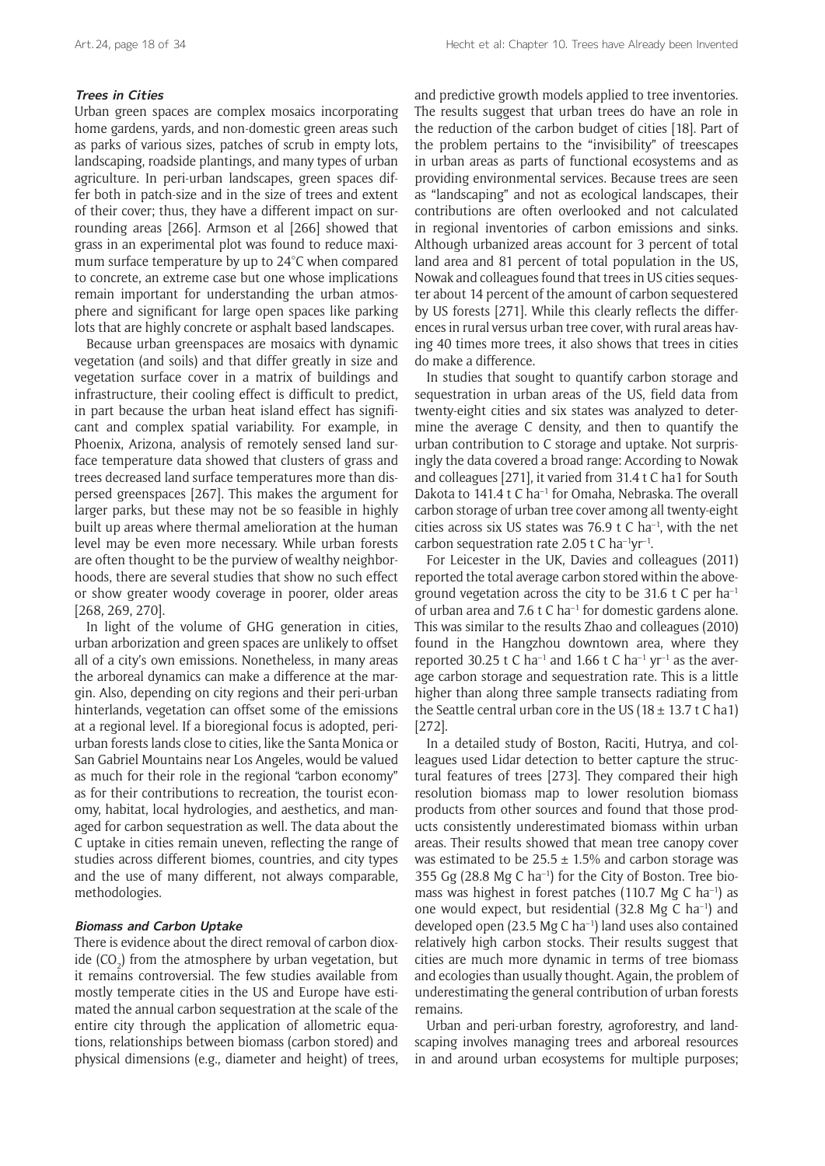# **Trees in Cities**

Urban green spaces are complex mosaics incorporating home gardens, yards, and non-domestic green areas such as parks of various sizes, patches of scrub in empty lots, landscaping, roadside plantings, and many types of urban agriculture. In peri-urban landscapes, green spaces differ both in patch-size and in the size of trees and extent of their cover; thus, they have a different impact on surrounding areas [266]. Armson et al [266] showed that grass in an experimental plot was found to reduce maximum surface temperature by up to 24°C when compared to concrete, an extreme case but one whose implications remain important for understanding the urban atmosphere and significant for large open spaces like parking lots that are highly concrete or asphalt based landscapes.

Because urban greenspaces are mosaics with dynamic vegetation (and soils) and that differ greatly in size and vegetation surface cover in a matrix of buildings and infrastructure, their cooling effect is difficult to predict, in part because the urban heat island effect has significant and complex spatial variability. For example, in Phoenix, Arizona, analysis of remotely sensed land surface temperature data showed that clusters of grass and trees decreased land surface temperatures more than dispersed greenspaces [267]. This makes the argument for larger parks, but these may not be so feasible in highly built up areas where thermal amelioration at the human level may be even more necessary. While urban forests are often thought to be the purview of wealthy neighborhoods, there are several studies that show no such effect or show greater woody coverage in poorer, older areas [268, 269, 270].

In light of the volume of GHG generation in cities, urban arborization and green spaces are unlikely to offset all of a city's own emissions. Nonetheless, in many areas the arboreal dynamics can make a difference at the margin. Also, depending on city regions and their peri-urban hinterlands, vegetation can offset some of the emissions at a regional level. If a bioregional focus is adopted, periurban forests lands close to cities, like the Santa Monica or San Gabriel Mountains near Los Angeles, would be valued as much for their role in the regional "carbon economy" as for their contributions to recreation, the tourist economy, habitat, local hydrologies, and aesthetics, and managed for carbon sequestration as well. The data about the C uptake in cities remain uneven, reflecting the range of studies across different biomes, countries, and city types and the use of many different, not always comparable, methodologies.

#### **Biomass and Carbon Uptake**

There is evidence about the direct removal of carbon dioxide (CO<sub>2</sub>) from the atmosphere by urban vegetation, but it remains controversial. The few studies available from mostly temperate cities in the US and Europe have estimated the annual carbon sequestration at the scale of the entire city through the application of allometric equations, relationships between biomass (carbon stored) and physical dimensions (e.g., diameter and height) of trees,

and predictive growth models applied to tree inventories. The results suggest that urban trees do have an role in the reduction of the carbon budget of cities [18]. Part of the problem pertains to the "invisibility" of treescapes in urban areas as parts of functional ecosystems and as providing environmental services. Because trees are seen as "landscaping" and not as ecological landscapes, their contributions are often overlooked and not calculated in regional inventories of carbon emissions and sinks. Although urbanized areas account for 3 percent of total land area and 81 percent of total population in the US, Nowak and colleagues found that trees in US cities sequester about 14 percent of the amount of carbon sequestered by US forests [271]. While this clearly reflects the differences in rural versus urban tree cover, with rural areas having 40 times more trees, it also shows that trees in cities do make a difference.

In studies that sought to quantify carbon storage and sequestration in urban areas of the US, field data from twenty-eight cities and six states was analyzed to determine the average C density, and then to quantify the urban contribution to C storage and uptake. Not surprisingly the data covered a broad range: According to Nowak and colleagues [271], it varied from 31.4 t C ha1 for South Dakota to 141.4 t C ha<sup>-1</sup> for Omaha, Nebraska. The overall carbon storage of urban tree cover among all twenty-eight cities across six US states was 76.9 t C ha<sup>-1</sup>, with the net carbon sequestration rate 2.05 t C ha<sup>-1</sup>yr<sup>-1</sup>.

For Leicester in the UK, Davies and colleagues (2011) reported the total average carbon stored within the aboveground vegetation across the city to be 31.6 t C per ha<sup>-1</sup> of urban area and 7.6  $t \,$ C ha<sup>-1</sup> for domestic gardens alone. This was similar to the results Zhao and colleagues (2010) found in the Hangzhou downtown area, where they reported 30.25 t C ha<sup>-1</sup> and 1.66 t C ha<sup>-1</sup> vr<sup>-1</sup> as the average carbon storage and sequestration rate. This is a little higher than along three sample transects radiating from the Seattle central urban core in the US ( $18 \pm 13.7$  t C ha1) [272].

In a detailed study of Boston, Raciti, Hutrya, and colleagues used Lidar detection to better capture the structural features of trees [273]. They compared their high resolution biomass map to lower resolution biomass products from other sources and found that those products consistently underestimated biomass within urban areas. Their results showed that mean tree canopy cover was estimated to be  $25.5 \pm 1.5\%$  and carbon storage was 355 Gg (28.8 Mg C ha–1) for the City of Boston. Tree biomass was highest in forest patches (110.7 Mg C ha<sup>-1</sup>) as one would expect, but residential  $(32.8 \text{ Mg C ha}^{-1})$  and developed open (23.5 Mg C ha–1) land uses also contained relatively high carbon stocks. Their results suggest that cities are much more dynamic in terms of tree biomass and ecologies than usually thought. Again, the problem of underestimating the general contribution of urban forests remains.

Urban and peri-urban forestry, agroforestry, and landscaping involves managing trees and arboreal resources in and around urban ecosystems for multiple purposes;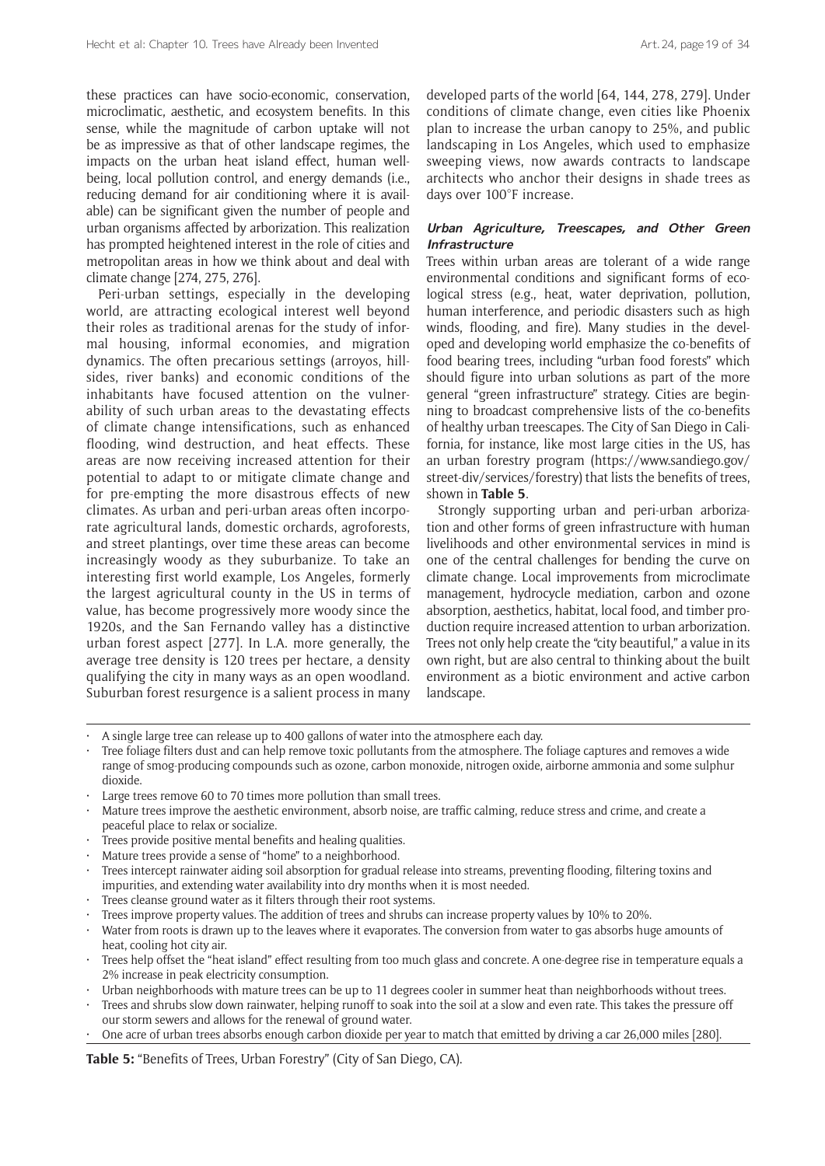these practices can have socio-economic, conservation, microclimatic, aesthetic, and ecosystem benefits. In this sense, while the magnitude of carbon uptake will not be as impressive as that of other landscape regimes, the impacts on the urban heat island effect, human wellbeing, local pollution control, and energy demands (i.e., reducing demand for air conditioning where it is available) can be significant given the number of people and urban organisms affected by arborization. This realization has prompted heightened interest in the role of cities and metropolitan areas in how we think about and deal with climate change [274, 275, 276].

Peri-urban settings, especially in the developing world, are attracting ecological interest well beyond their roles as traditional arenas for the study of informal housing, informal economies, and migration dynamics. The often precarious settings (arroyos, hillsides, river banks) and economic conditions of the inhabitants have focused attention on the vulnerability of such urban areas to the devastating effects of climate change intensifications, such as enhanced flooding, wind destruction, and heat effects. These areas are now receiving increased attention for their potential to adapt to or mitigate climate change and for pre-empting the more disastrous effects of new climates. As urban and peri-urban areas often incorporate agricultural lands, domestic orchards, agroforests, and street plantings, over time these areas can become increasingly woody as they suburbanize. To take an interesting first world example, Los Angeles, formerly the largest agricultural county in the US in terms of value, has become progressively more woody since the 1920s, and the San Fernando valley has a distinctive urban forest aspect [277]. In L.A. more generally, the average tree density is 120 trees per hectare, a density qualifying the city in many ways as an open woodland. Suburban forest resurgence is a salient process in many developed parts of the world [64, 144, 278, 279]. Under conditions of climate change, even cities like Phoenix plan to increase the urban canopy to 25%, and public landscaping in Los Angeles, which used to emphasize sweeping views, now awards contracts to landscape architects who anchor their designs in shade trees as days over 100°F increase.

#### **Urban Agriculture, Treescapes, and Other Green Infrastructure**

Trees within urban areas are tolerant of a wide range environmental conditions and significant forms of ecological stress (e.g., heat, water deprivation, pollution, human interference, and periodic disasters such as high winds, flooding, and fire). Many studies in the developed and developing world emphasize the co-benefits of food bearing trees, including "urban food forests" which should figure into urban solutions as part of the more general "green infrastructure" strategy. Cities are beginning to broadcast comprehensive lists of the co-benefits of healthy urban treescapes. The City of San Diego in California, for instance, like most large cities in the US, has an urban forestry program [\(https://www.sandiego.gov/](https://www.sandiego.gov/street-div/services/forestry) [street-div/services/forestry\)](https://www.sandiego.gov/street-div/services/forestry) that lists the benefits of trees, shown in **Table 5**.

Strongly supporting urban and peri-urban arborization and other forms of green infrastructure with human livelihoods and other environmental services in mind is one of the central challenges for bending the curve on climate change. Local improvements from microclimate management, hydrocycle mediation, carbon and ozone absorption, aesthetics, habitat, local food, and timber production require increased attention to urban arborization. Trees not only help create the "city beautiful," a value in its own right, but are also central to thinking about the built environment as a biotic environment and active carbon landscape.

- A single large tree can release up to 400 gallons of water into the atmosphere each day.
- Tree foliage filters dust and can help remove toxic pollutants from the atmosphere. The foliage captures and removes a wide range of smog-producing compounds such as ozone, carbon monoxide, nitrogen oxide, airborne ammonia and some sulphur dioxide.
- Large trees remove 60 to 70 times more pollution than small trees.
- Mature trees improve the aesthetic environment, absorb noise, are traffic calming, reduce stress and crime, and create a peaceful place to relax or socialize.
- Trees provide positive mental benefits and healing qualities.
- Mature trees provide a sense of "home" to a neighborhood.
- Trees intercept rainwater aiding soil absorption for gradual release into streams, preventing flooding, filtering toxins and impurities, and extending water availability into dry months when it is most needed.
- Trees cleanse ground water as it filters through their root systems.
- Trees improve property values. The addition of trees and shrubs can increase property values by 10% to 20%.
- Water from roots is drawn up to the leaves where it evaporates. The conversion from water to gas absorbs huge amounts of heat, cooling hot city air.
- Trees help offset the "heat island" effect resulting from too much glass and concrete. A one-degree rise in temperature equals a 2% increase in peak electricity consumption.
- Urban neighborhoods with mature trees can be up to 11 degrees cooler in summer heat than neighborhoods without trees.
- Trees and shrubs slow down rainwater, helping runoff to soak into the soil at a slow and even rate. This takes the pressure off our storm sewers and allows for the renewal of ground water.
- One acre of urban trees absorbs enough carbon dioxide per year to match that emitted by driving a car 26,000 miles [280].

**Table 5:** "Benefits of Trees, Urban Forestry" (City of San Diego, CA).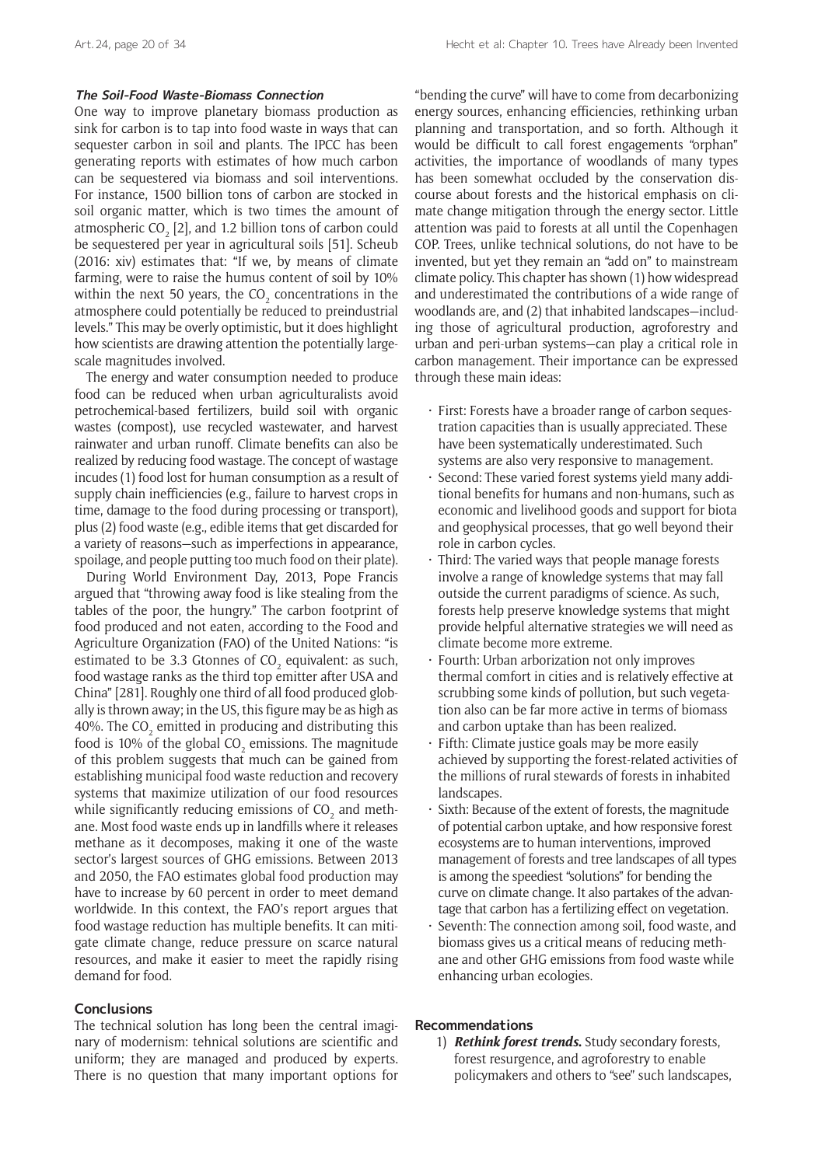# **The Soil-Food Waste-Biomass Connection**

One way to improve planetary biomass production as sink for carbon is to tap into food waste in ways that can sequester carbon in soil and plants. The IPCC has been generating reports with estimates of how much carbon can be sequestered via biomass and soil interventions. For instance, 1500 billion tons of carbon are stocked in soil organic matter, which is two times the amount of atmospheric CO $_{\tiny 2}$  [2], and 1.2 billion tons of carbon could be sequestered per year in agricultural soils [51]. Scheub (2016: xiv) estimates that: "If we, by means of climate farming, were to raise the humus content of soil by 10% within the next 50 years, the CO<sub>2</sub> concentrations in the atmosphere could potentially be reduced to preindustrial levels." This may be overly optimistic, but it does highlight how scientists are drawing attention the potentially largescale magnitudes involved.

The energy and water consumption needed to produce food can be reduced when urban agriculturalists avoid petrochemical-based fertilizers, build soil with organic wastes (compost), use recycled wastewater, and harvest rainwater and urban runoff. Climate benefits can also be realized by reducing food wastage. The concept of wastage incudes (1) food lost for human consumption as a result of supply chain inefficiencies (e.g., failure to harvest crops in time, damage to the food during processing or transport), plus (2) food waste (e.g., edible items that get discarded for a variety of reasons—such as imperfections in appearance, spoilage, and people putting too much food on their plate).

During World Environment Day, 2013, Pope Francis argued that "throwing away food is like stealing from the tables of the poor, the hungry." The carbon footprint of food produced and not eaten, according to the Food and Agriculture Organization (FAO) of the United Nations: "is estimated to be 3.3 Gtonnes of  $CO_2$  equivalent: as such, food wastage ranks as the third top emitter after USA and China" [281]. Roughly one third of all food produced globally is thrown away; in the US, this figure may be as high as 40%. The  $\mathrm{CO}_2$  emitted in producing and distributing this food is 10% of the global  $\mathrm{CO}_2$  emissions. The magnitude of this problem suggests that much can be gained from establishing municipal food waste reduction and recovery systems that maximize utilization of our food resources while significantly reducing emissions of CO $_{\textrm{\tiny{2}}}$  and methane. Most food waste ends up in landfills where it releases methane as it decomposes, making it one of the waste sector's largest sources of GHG emissions. Between 2013 and 2050, the FAO estimates global food production may have to increase by 60 percent in order to meet demand worldwide. In this context, the FAO's report argues that food wastage reduction has multiple benefits. It can mitigate climate change, reduce pressure on scarce natural resources, and make it easier to meet the rapidly rising demand for food.

# **Conclusions**

The technical solution has long been the central imaginary of modernism: tehnical solutions are scientific and uniform; they are managed and produced by experts. There is no question that many important options for

"bending the curve" will have to come from decarbonizing energy sources, enhancing efficiencies, rethinking urban planning and transportation, and so forth. Although it would be difficult to call forest engagements "orphan" activities, the importance of woodlands of many types has been somewhat occluded by the conservation discourse about forests and the historical emphasis on climate change mitigation through the energy sector. Little attention was paid to forests at all until the Copenhagen COP. Trees, unlike technical solutions, do not have to be invented, but yet they remain an "add on" to mainstream climate policy. This chapter has shown (1) how widespread and underestimated the contributions of a wide range of woodlands are, and (2) that inhabited landscapes—including those of agricultural production, agroforestry and urban and peri-urban systems—can play a critical role in carbon management. Their importance can be expressed through these main ideas:

- First: Forests have a broader range of carbon sequestration capacities than is usually appreciated. These have been systematically underestimated. Such systems are also very responsive to management.
- Second: These varied forest systems yield many additional benefits for humans and non-humans, such as economic and livelihood goods and support for biota and geophysical processes, that go well beyond their role in carbon cycles.
- Third: The varied ways that people manage forests involve a range of knowledge systems that may fall outside the current paradigms of science. As such, forests help preserve knowledge systems that might provide helpful alternative strategies we will need as climate become more extreme.
- Fourth: Urban arborization not only improves thermal comfort in cities and is relatively effective at scrubbing some kinds of pollution, but such vegetation also can be far more active in terms of biomass and carbon uptake than has been realized.
- Fifth: Climate justice goals may be more easily achieved by supporting the forest-related activities of the millions of rural stewards of forests in inhabited landscapes.
- Sixth: Because of the extent of forests, the magnitude of potential carbon uptake, and how responsive forest ecosystems are to human interventions, improved management of forests and tree landscapes of all types is among the speediest "solutions" for bending the curve on climate change. It also partakes of the advantage that carbon has a fertilizing effect on vegetation.
- Seventh: The connection among soil, food waste, and biomass gives us a critical means of reducing methane and other GHG emissions from food waste while enhancing urban ecologies.

# **Recommendations**

1) *Rethink forest trends***.** Study secondary forests, forest resurgence, and agroforestry to enable policymakers and others to "see" such landscapes,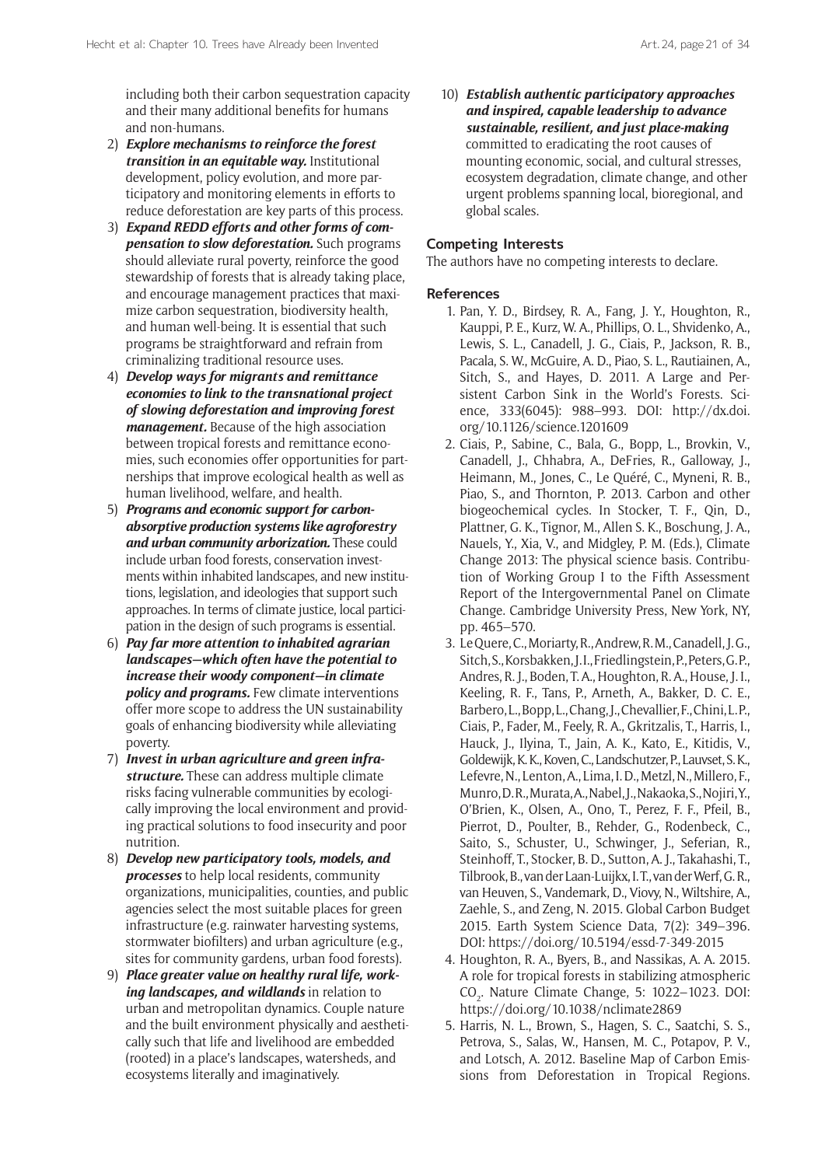including both their carbon sequestration capacity and their many additional benefits for humans and non-humans.

- 2) *Explore mechanisms to reinforce the forest transition in an equitable way.* Institutional development, policy evolution, and more participatory and monitoring elements in efforts to reduce deforestation are key parts of this process.
- 3) *Expand REDD efforts and other forms of compensation to slow deforestation.* Such programs should alleviate rural poverty, reinforce the good stewardship of forests that is already taking place, and encourage management practices that maximize carbon sequestration, biodiversity health, and human well-being. It is essential that such programs be straightforward and refrain from criminalizing traditional resource uses.
- 4) *Develop ways for migrants and remittance economies to link to the transnational project of slowing deforestation and improving forest management.* Because of the high association between tropical forests and remittance economies, such economies offer opportunities for partnerships that improve ecological health as well as human livelihood, welfare, and health.
- 5) *Programs and economic support for carbonabsorptive production systems like agroforestry and urban community arborization.* These could include urban food forests, conservation investments within inhabited landscapes, and new institutions, legislation, and ideologies that support such approaches. In terms of climate justice, local participation in the design of such programs is essential.
- 6) *Pay far more attention to inhabited agrarian landscapes—which often have the potential to increase their woody component—in climate policy and programs.* Few climate interventions offer more scope to address the UN sustainability goals of enhancing biodiversity while alleviating poverty.
- 7) *Invest in urban agriculture and green infrastructure.* These can address multiple climate risks facing vulnerable communities by ecologically improving the local environment and providing practical solutions to food insecurity and poor nutrition.
- 8) *Develop new participatory tools, models, and processes* to help local residents, community organizations, municipalities, counties, and public agencies select the most suitable places for green infrastructure (e.g. rainwater harvesting systems, stormwater biofilters) and urban agriculture (e.g., sites for community gardens, urban food forests).
- 9) *Place greater value on healthy rural life, working landscapes, and wildlands* in relation to urban and metropolitan dynamics. Couple nature and the built environment physically and aesthetically such that life and livelihood are embedded (rooted) in a place's landscapes, watersheds, and ecosystems literally and imaginatively.

10) *Establish authentic participatory approaches and inspired, capable leadership to advance sustainable, resilient, and just place-making* committed to eradicating the root causes of mounting economic, social, and cultural stresses, ecosystem degradation, climate change, and other urgent problems spanning local, bioregional, and global scales.

# **Competing Interests**

The authors have no competing interests to declare.

#### **References**

- 1. Pan, Y. D., Birdsey, R. A., Fang, J. Y., Houghton, R., Kauppi, P. E., Kurz, W. A., Phillips, O. L., Shvidenko, A., Lewis, S. L., Canadell, J. G., Ciais, P., Jackson, R. B., Pacala, S. W., McGuire, A. D., Piao, S. L., Rautiainen, A., Sitch, S., and Hayes, D. 2011. A Large and Persistent Carbon Sink in the World's Forests. Science, 333(6045): 988–993. DOI: [http://dx.doi.](http://dx.doi.org/10.1126/science.1201609) [org/10.1126/science.1201609](http://dx.doi.org/10.1126/science.1201609)
- 2. Ciais, P., Sabine, C., Bala, G., Bopp, L., Brovkin, V., Canadell, J., Chhabra, A., DeFries, R., Galloway, J., Heimann, M., Jones, C., Le Quéré, C., Myneni, R. B., Piao, S., and Thornton, P. 2013. Carbon and other biogeochemical cycles. In Stocker, T. F., Qin, D., Plattner, G. K., Tignor, M., Allen S. K., Boschung, J. A., Nauels, Y., Xia, V., and Midgley, P. M. (Eds.), Climate Change 2013: The physical science basis. Contribution of Working Group I to the Fifth Assessment Report of the Intergovernmental Panel on Climate Change. Cambridge University Press, New York, NY, pp. 465–570.
- 3. Le Quere, C., Moriarty, R., Andrew, R. M., Canadell, J. G., Sitch, S., Korsbakken, J. I., Friedlingstein, P., Peters, G. P., Andres, R. J., Boden, T. A., Houghton, R. A., House, J. I., Keeling, R. F., Tans, P., Arneth, A., Bakker, D. C. E., Barbero, L., Bopp, L., Chang, J., Chevallier, F., Chini, L. P., Ciais, P., Fader, M., Feely, R. A., Gkritzalis, T., Harris, I., Hauck, J., Ilyina, T., Jain, A. K., Kato, E., Kitidis, V., Goldewijk, K. K., Koven, C., Landschutzer, P., Lauvset, S. K., Lefevre, N., Lenton, A., Lima, I. D., Metzl, N., Millero, F., Munro, D. R., Murata, A., Nabel, J., Nakaoka, S., Nojiri, Y., O'Brien, K., Olsen, A., Ono, T., Perez, F. F., Pfeil, B., Pierrot, D., Poulter, B., Rehder, G., Rodenbeck, C., Saito, S., Schuster, U., Schwinger, J., Seferian, R., Steinhoff, T., Stocker, B. D., Sutton, A. J., Takahashi, T., Tilbrook, B., van der Laan-Luijkx, I. T., van der Werf, G. R., van Heuven, S., Vandemark, D., Viovy, N., Wiltshire, A., Zaehle, S., and Zeng, N. 2015. Global Carbon Budget 2015. Earth System Science Data, 7(2): 349–396. DOI: <https://doi.org/10.5194/essd-7-349-2015>
- 4. Houghton, R. A., Byers, B., and Nassikas, A. A. 2015. A role for tropical forests in stabilizing atmospheric CO<sub>2</sub>. Nature Climate Change, 5: 1022-1023. DOI: <https://doi.org/10.1038/nclimate2869>
- 5. Harris, N. L., Brown, S., Hagen, S. C., Saatchi, S. S., Petrova, S., Salas, W., Hansen, M. C., Potapov, P. V., and Lotsch, A. 2012. Baseline Map of Carbon Emissions from Deforestation in Tropical Regions.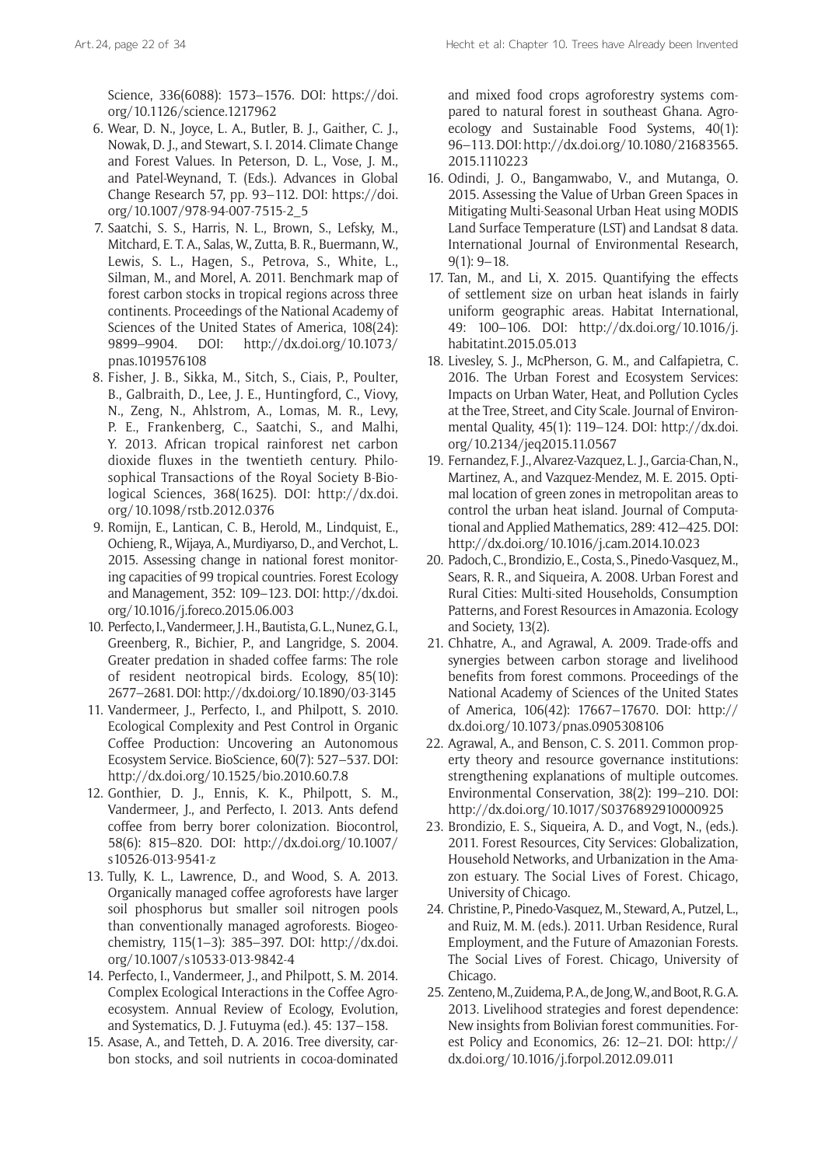Science, 336(6088): 1573–1576. DOI: [https://doi.](https://doi.org/10.1126/science.1217962) [org/10.1126/science.1217962](https://doi.org/10.1126/science.1217962)

- 6. Wear, D. N., Joyce, L. A., Butler, B. J., Gaither, C. J., Nowak, D. J., and Stewart, S. I. 2014. Climate Change and Forest Values. In Peterson, D. L., Vose, J. M., and Patel-Weynand, T. (Eds.). Advances in Global Change Research 57, pp. 93–112. DOI: [https://doi.](https://doi.org/10.1007/978-94-007-7515-2_5) [org/10.1007/978-94-007-7515-2\\_5](https://doi.org/10.1007/978-94-007-7515-2_5)
- 7. Saatchi, S. S., Harris, N. L., Brown, S., Lefsky, M., Mitchard, E. T. A., Salas, W., Zutta, B. R., Buermann, W., Lewis, S. L., Hagen, S., Petrova, S., White, L., Silman, M., and Morel, A. 2011. Benchmark map of forest carbon stocks in tropical regions across three continents. Proceedings of the National Academy of Sciences of the United States of America, 108(24): 9899–9904. DOI: [http://dx.doi.org/10.1073/](http://dx.doi.org/10.1073/pnas.1019576108) [pnas.1019576108](http://dx.doi.org/10.1073/pnas.1019576108)
- 8. Fisher, J. B., Sikka, M., Sitch, S., Ciais, P., Poulter, B., Galbraith, D., Lee, J. E., Huntingford, C., Viovy, N., Zeng, N., Ahlstrom, A., Lomas, M. R., Levy, P. E., Frankenberg, C., Saatchi, S., and Malhi, Y. 2013. African tropical rainforest net carbon dioxide fluxes in the twentieth century. Philosophical Transactions of the Royal Society B-Biological Sciences, 368(1625). DOI: [http://dx.doi.](http://dx.doi.org/10.1098/rstb.2012.0376) [org/10.1098/rstb.2012.0376](http://dx.doi.org/10.1098/rstb.2012.0376)
- 9. Romijn, E., Lantican, C. B., Herold, M., Lindquist, E., Ochieng, R., Wijaya, A., Murdiyarso, D., and Verchot, L. 2015. Assessing change in national forest monitoring capacities of 99 tropical countries. Forest Ecology and Management, 352: 109–123. DOI: [http://dx.doi.](http://dx.doi.org/10.1016/j.foreco.2015.06.003) [org/10.1016/j.foreco.2015.06.003](http://dx.doi.org/10.1016/j.foreco.2015.06.003)
- 10. Perfecto, I., Vandermeer, J. H., Bautista, G. L., Nunez, G. I., Greenberg, R., Bichier, P., and Langridge, S. 2004. Greater predation in shaded coffee farms: The role of resident neotropical birds. Ecology, 85(10): 2677–2681. DOI:<http://dx.doi.org/10.1890/03-3145>
- 11. Vandermeer, J., Perfecto, I., and Philpott, S. 2010. Ecological Complexity and Pest Control in Organic Coffee Production: Uncovering an Autonomous Ecosystem Service. BioScience, 60(7): 527–537. DOI: <http://dx.doi.org/10.1525/bio.2010.60.7.8>
- 12. Gonthier, D. J., Ennis, K. K., Philpott, S. M., Vandermeer, J., and Perfecto, I. 2013. Ants defend coffee from berry borer colonization. Biocontrol, 58(6): 815–820. DOI: [http://dx.doi.org/10.1007/](http://dx.doi.org/10.1007/s10526-013-9541-z) [s10526-013-9541-z](http://dx.doi.org/10.1007/s10526-013-9541-z)
- 13. Tully, K. L., Lawrence, D., and Wood, S. A. 2013. Organically managed coffee agroforests have larger soil phosphorus but smaller soil nitrogen pools than conventionally managed agroforests. Biogeochemistry, 115(1–3): 385–397. DOI: [http://dx.doi.](http://dx.doi.org/10.1007/s10533-013-9842-4) [org/10.1007/s10533-013-9842-4](http://dx.doi.org/10.1007/s10533-013-9842-4)
- 14. Perfecto, I., Vandermeer, J., and Philpott, S. M. 2014. Complex Ecological Interactions in the Coffee Agroecosystem. Annual Review of Ecology, Evolution, and Systematics, D. J. Futuyma (ed.). 45: 137–158.
- 15. Asase, A., and Tetteh, D. A. 2016. Tree diversity, carbon stocks, and soil nutrients in cocoa-dominated

and mixed food crops agroforestry systems compared to natural forest in southeast Ghana. Agroecology and Sustainable Food Systems, 40(1): 96–113. DOI: [http://dx.doi.org/10.1080/21683565.](http://dx.doi.org/10.1080/21683565.2015.1110223) [2015.1110223](http://dx.doi.org/10.1080/21683565.2015.1110223)

- 16. Odindi, J. O., Bangamwabo, V., and Mutanga, O. 2015. Assessing the Value of Urban Green Spaces in Mitigating Multi-Seasonal Urban Heat using MODIS Land Surface Temperature (LST) and Landsat 8 data. International Journal of Environmental Research, 9(1): 9–18.
- 17. Tan, M., and Li, X. 2015. Quantifying the effects of settlement size on urban heat islands in fairly uniform geographic areas. Habitat International, 49: 100–106. DOI: [http://dx.doi.org/10.1016/j.](http://dx.doi.org/10.1016/j.habitatint.2015.05.013) [habitatint.2015.05.013](http://dx.doi.org/10.1016/j.habitatint.2015.05.013)
- 18. Livesley, S. J., McPherson, G. M., and Calfapietra, C. 2016. The Urban Forest and Ecosystem Services: Impacts on Urban Water, Heat, and Pollution Cycles at the Tree, Street, and City Scale. Journal of Environmental Quality, 45(1): 119–124. DOI: [http://dx.doi.](http://dx.doi.org/10.2134/jeq2015.11.0567) [org/10.2134/jeq2015.11.0567](http://dx.doi.org/10.2134/jeq2015.11.0567)
- 19. Fernandez, F. J., Alvarez-Vazquez, L. J., Garcia-Chan, N., Martinez, A., and Vazquez-Mendez, M. E. 2015. Optimal location of green zones in metropolitan areas to control the urban heat island. Journal of Computational and Applied Mathematics, 289: 412–425. DOI: <http://dx.doi.org/10.1016/j.cam.2014.10.023>
- 20. Padoch, C., Brondizio, E., Costa, S., Pinedo-Vasquez, M., Sears, R. R., and Siqueira, A. 2008. Urban Forest and Rural Cities: Multi-sited Households, Consumption Patterns, and Forest Resources in Amazonia. Ecology and Society, 13(2).
- 21. Chhatre, A., and Agrawal, A. 2009. Trade-offs and synergies between carbon storage and livelihood benefits from forest commons. Proceedings of the National Academy of Sciences of the United States of America, 106(42): 17667–17670. DOI: [http://](http://dx.doi.org/10.1073/pnas.0905308106) [dx.doi.org/10.1073/pnas.0905308106](http://dx.doi.org/10.1073/pnas.0905308106)
- 22. Agrawal, A., and Benson, C. S. 2011. Common property theory and resource governance institutions: strengthening explanations of multiple outcomes. Environmental Conservation, 38(2): 199–210. DOI: <http://dx.doi.org/10.1017/S0376892910000925>
- 23. Brondizio, E. S., Siqueira, A. D., and Vogt, N., (eds.). 2011. Forest Resources, City Services: Globalization, Household Networks, and Urbanization in the Amazon estuary. The Social Lives of Forest. Chicago, University of Chicago.
- 24. Christine, P., Pinedo-Vasquez, M., Steward, A., Putzel, L., and Ruiz, M. M. (eds.). 2011. Urban Residence, Rural Employment, and the Future of Amazonian Forests. The Social Lives of Forest. Chicago, University of Chicago.
- 25. Zenteno, M., Zuidema, P. A., de Jong, W., and Boot, R. G. A. 2013. Livelihood strategies and forest dependence: New insights from Bolivian forest communities. Forest Policy and Economics, 26: 12–21. DOI: [http://](http://dx.doi.org/10.1016/j.forpol.2012.09.011) [dx.doi.org/10.1016/j.forpol.2012.09.011](http://dx.doi.org/10.1016/j.forpol.2012.09.011)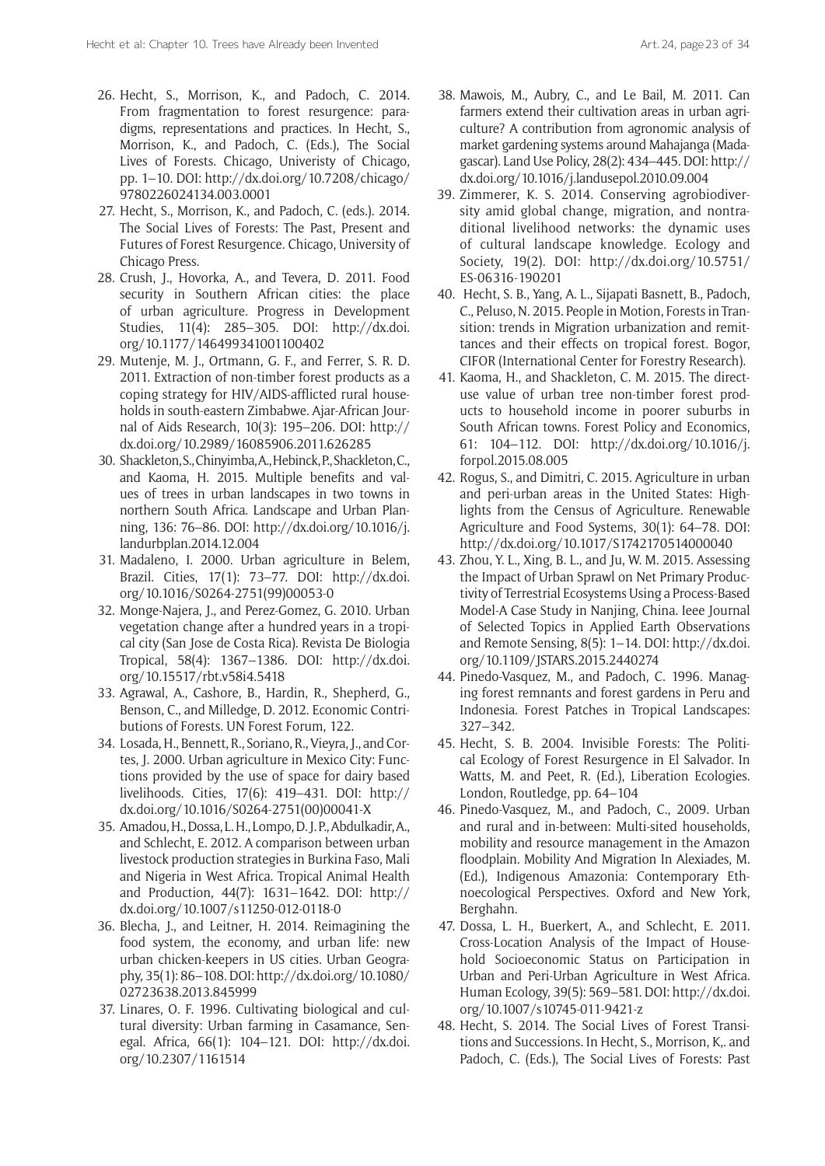- 26. Hecht, S., Morrison, K., and Padoch, C. 2014. From fragmentation to forest resurgence: paradigms, representations and practices. In Hecht, S., Morrison, K., and Padoch, C. (Eds.), The Social Lives of Forests. Chicago, Univeristy of Chicago, pp. 1–10. DOI: [http://dx.doi.org/10.7208/chicago/](http://dx.doi.org/10.7208/chicago/9780226024134.003.0001) [9780226024134.003.0001](http://dx.doi.org/10.7208/chicago/9780226024134.003.0001)
- 27. Hecht, S., Morrison, K., and Padoch, C. (eds.). 2014. The Social Lives of Forests: The Past, Present and Futures of Forest Resurgence. Chicago, University of Chicago Press.
- 28. Crush, J., Hovorka, A., and Tevera, D. 2011. Food security in Southern African cities: the place of urban agriculture. Progress in Development Studies, 11(4): 285–305. DOI: [http://dx.doi.](http://dx.doi.org/10.1177/146499341001100402) [org/10.1177/146499341001100402](http://dx.doi.org/10.1177/146499341001100402)
- 29. Mutenje, M. J., Ortmann, G. F., and Ferrer, S. R. D. 2011. Extraction of non-timber forest products as a coping strategy for HIV/AIDS-afflicted rural households in south-eastern Zimbabwe. Ajar-African Journal of Aids Research, 10(3): 195–206. DOI: [http://](http://dx.doi.org/10.2989/16085906.2011.626285) [dx.doi.org/10.2989/16085906.2011.626285](http://dx.doi.org/10.2989/16085906.2011.626285)
- 30. Shackleton, S., Chinyimba, A., Hebinck, P., Shackleton, C., and Kaoma, H. 2015. Multiple benefits and values of trees in urban landscapes in two towns in northern South Africa. Landscape and Urban Planning, 136: 76–86. DOI: [http://dx.doi.org/10.1016/j.](http://dx.doi.org/10.1016/j.landurbplan.2014.12.004) [landurbplan.2014.12.004](http://dx.doi.org/10.1016/j.landurbplan.2014.12.004)
- 31. Madaleno, I. 2000. Urban agriculture in Belem, Brazil. Cities, 17(1): 73–77. DOI: [http://dx.doi.](http://dx.doi.org/10.1016/S0264-2751(99)00053-0) [org/10.1016/S0264-2751\(99\)00053-0](http://dx.doi.org/10.1016/S0264-2751(99)00053-0)
- 32. Monge-Najera, J., and Perez-Gomez, G. 2010. Urban vegetation change after a hundred years in a tropical city (San Jose de Costa Rica). Revista De Biologia Tropical, 58(4): 1367–1386. DOI: [http://dx.doi.](http://dx.doi.org/10.15517/rbt.v58i4.5418) [org/10.15517/rbt.v58i4.5418](http://dx.doi.org/10.15517/rbt.v58i4.5418)
- 33. Agrawal, A., Cashore, B., Hardin, R., Shepherd, G., Benson, C., and Milledge, D. 2012. Economic Contributions of Forests. UN Forest Forum, 122.
- 34. Losada, H., Bennett, R., Soriano, R., Vieyra, J., and Cortes, J. 2000. Urban agriculture in Mexico City: Functions provided by the use of space for dairy based livelihoods. Cities, 17(6): 419–431. DOI: [http://](http://dx.doi.org/10.1016/S0264-2751(00)00041-X) [dx.doi.org/10.1016/S0264-2751\(00\)00041-X](http://dx.doi.org/10.1016/S0264-2751(00)00041-X)
- 35. Amadou, H., Dossa, L. H., Lompo, D. J. P., Abdulkadir, A., and Schlecht, E. 2012. A comparison between urban livestock production strategies in Burkina Faso, Mali and Nigeria in West Africa. Tropical Animal Health and Production, 44(7): 1631–1642. DOI: [http://](http://dx.doi.org/10.1007/s11250-012-0118-0) [dx.doi.org/10.1007/s11250-012-0118-0](http://dx.doi.org/10.1007/s11250-012-0118-0)
- 36. Blecha, J., and Leitner, H. 2014. Reimagining the food system, the economy, and urban life: new urban chicken-keepers in US cities. Urban Geography, 35(1): 86–108. DOI: [http://dx.doi.org/10.1080/](http://dx.doi.org/10.1080/02723638.2013.845999) [02723638.2013.845999](http://dx.doi.org/10.1080/02723638.2013.845999)
- 37. Linares, O. F. 1996. Cultivating biological and cultural diversity: Urban farming in Casamance, Senegal. Africa, 66(1): 104–121. DOI: [http://dx.doi.](http://dx.doi.org/10.2307/1161514) [org/10.2307/1161514](http://dx.doi.org/10.2307/1161514)
- 38. Mawois, M., Aubry, C., and Le Bail, M. 2011. Can farmers extend their cultivation areas in urban agriculture? A contribution from agronomic analysis of market gardening systems around Mahajanga (Madagascar). Land Use Policy, 28(2): 434–445. DOI: [http://](http://dx.doi.org/10.1016/j.landusepol.2010.09.004) [dx.doi.org/10.1016/j.landusepol.2010.09.004](http://dx.doi.org/10.1016/j.landusepol.2010.09.004)
- 39. Zimmerer, K. S. 2014. Conserving agrobiodiversity amid global change, migration, and nontraditional livelihood networks: the dynamic uses of cultural landscape knowledge. Ecology and Society, 19(2). DOI: [http://dx.doi.org/10.5751/](http://dx.doi.org/10.5751/ES-06316-190201) [ES-06316-190201](http://dx.doi.org/10.5751/ES-06316-190201)
- 40. Hecht, S. B., Yang, A. L., Sijapati Basnett, B., Padoch, C., Peluso, N. 2015. People in Motion, Forests in Transition: trends in Migration urbanization and remittances and their effects on tropical forest. Bogor, CIFOR (International Center for Forestry Research).
- 41. Kaoma, H., and Shackleton, C. M. 2015. The directuse value of urban tree non-timber forest products to household income in poorer suburbs in South African towns. Forest Policy and Economics, 61: 104–112. DOI: [http://dx.doi.org/10.1016/j.](http://dx.doi.org/10.1016/j.forpol.2015.08.005) [forpol.2015.08.005](http://dx.doi.org/10.1016/j.forpol.2015.08.005)
- 42. Rogus, S., and Dimitri, C. 2015. Agriculture in urban and peri-urban areas in the United States: Highlights from the Census of Agriculture. Renewable Agriculture and Food Systems, 30(1): 64–78. DOI: <http://dx.doi.org/10.1017/S1742170514000040>
- 43. Zhou, Y. L., Xing, B. L., and Ju, W. M. 2015. Assessing the Impact of Urban Sprawl on Net Primary Productivity of Terrestrial Ecosystems Using a Process-Based Model-A Case Study in Nanjing, China. Ieee Journal of Selected Topics in Applied Earth Observations and Remote Sensing, 8(5): 1–14. DOI: [http://dx.doi.](http://dx.doi.org/10.1109/JSTARS.2015.2440274) [org/10.1109/JSTARS.2015.2440274](http://dx.doi.org/10.1109/JSTARS.2015.2440274)
- 44. Pinedo-Vasquez, M., and Padoch, C. 1996. Managing forest remnants and forest gardens in Peru and Indonesia. Forest Patches in Tropical Landscapes: 327–342.
- 45. Hecht, S. B. 2004. Invisible Forests: The Political Ecology of Forest Resurgence in El Salvador. In Watts, M. and Peet, R. (Ed.), Liberation Ecologies. London, Routledge, pp. 64–104
- 46. Pinedo-Vasquez, M., and Padoch, C., 2009. Urban and rural and in-between: Multi-sited households, mobility and resource management in the Amazon floodplain. Mobility And Migration In Alexiades, M. (Ed.), Indigenous Amazonia: Contemporary Ethnoecological Perspectives. Oxford and New York, Berghahn.
- 47. Dossa, L. H., Buerkert, A., and Schlecht, E. 2011. Cross-Location Analysis of the Impact of Household Socioeconomic Status on Participation in Urban and Peri-Urban Agriculture in West Africa. Human Ecology, 39(5): 569–581. DOI: [http://dx.doi.](http://dx.doi.org/10.1007/s10745-011-9421-z) [org/10.1007/s10745-011-9421-z](http://dx.doi.org/10.1007/s10745-011-9421-z)
- 48. Hecht, S. 2014. The Social Lives of Forest Transitions and Successions. In Hecht, S., Morrison, K,. and Padoch, C. (Eds.), The Social Lives of Forests: Past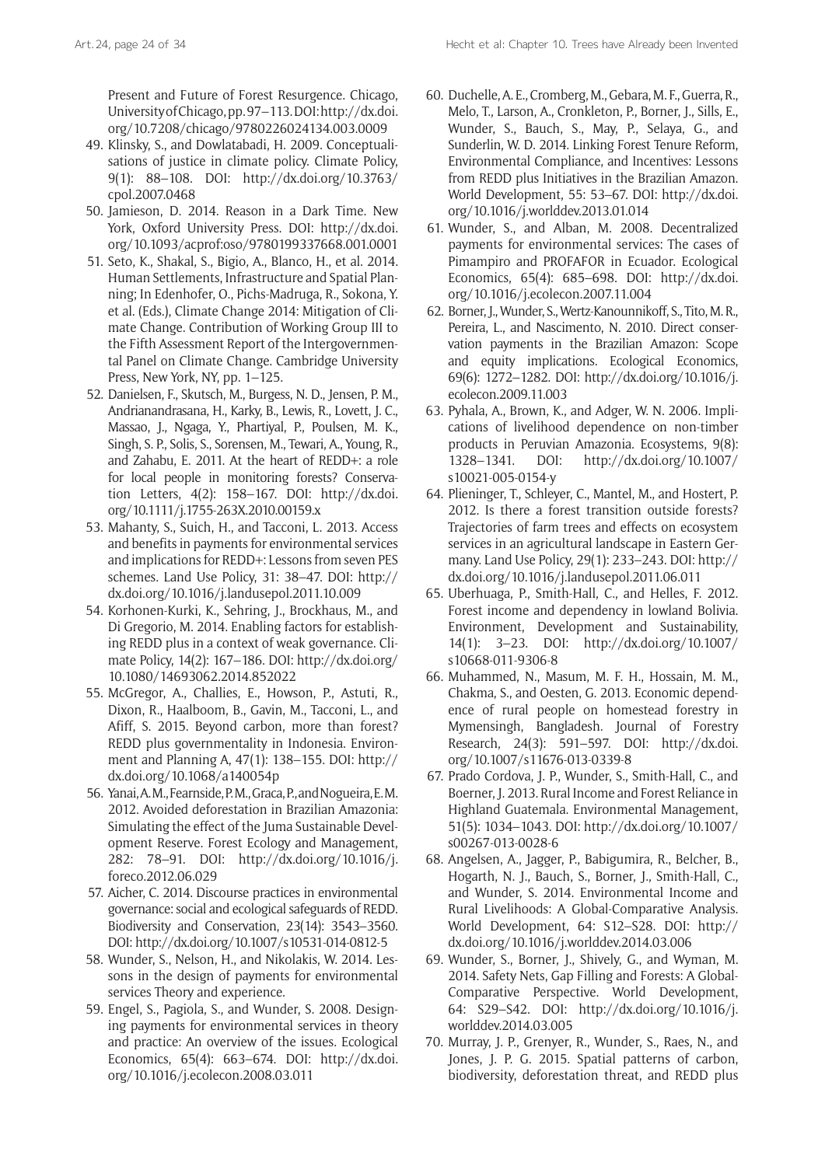Art. 24, page 24 of 34 **Hecht et al: Chapter 10. Trees have Already been Invented** 

Present and Future of Forest Resurgence. Chicago, University of Chicago, pp. 97–113. DOI: [http://dx.doi.](http://dx.doi.org/10.7208/chicago/9780226024134.003.0009) [org/10.7208/chicago/9780226024134.003.0009](http://dx.doi.org/10.7208/chicago/9780226024134.003.0009)

- 49. Klinsky, S., and Dowlatabadi, H. 2009. Conceptualisations of justice in climate policy. Climate Policy, 9(1): 88–108. DOI: [http://dx.doi.org/10.3763/](http://dx.doi.org/10.3763/cpol.2007.0468) [cpol.2007.0468](http://dx.doi.org/10.3763/cpol.2007.0468)
- 50. Jamieson, D. 2014. Reason in a Dark Time. New York, Oxford University Press. DOI: [http://dx.doi.](http://dx.doi.org/10.1093/acprof:oso/9780199337668.001.0001) [org/10.1093/acprof:oso/9780199337668.001.0001](http://dx.doi.org/10.1093/acprof:oso/9780199337668.001.0001)
- 51. Seto, K., Shakal, S., Bigio, A., Blanco, H., et al. 2014. Human Settlements, Infrastructure and Spatial Planning; In Edenhofer, O., Pichs-Madruga, R., Sokona, Y. et al. (Eds.), Climate Change 2014: Mitigation of Climate Change. Contribution of Working Group III to the Fifth Assessment Report of the Intergovernmental Panel on Climate Change. Cambridge University Press, New York, NY, pp. 1–125.
- 52. Danielsen, F., Skutsch, M., Burgess, N. D., Jensen, P. M., Andrianandrasana, H., Karky, B., Lewis, R., Lovett, J. C., Massao, J., Ngaga, Y., Phartiyal, P., Poulsen, M. K., Singh, S. P., Solis, S., Sorensen, M., Tewari, A., Young, R., and Zahabu, E. 2011. At the heart of REDD+: a role for local people in monitoring forests? Conservation Letters, 4(2): 158–167. DOI: [http://dx.doi.](http://dx.doi.org/10.1111/j.1755-263X.2010.00159.x) [org/10.1111/j.1755-263X.2010.00159.x](http://dx.doi.org/10.1111/j.1755-263X.2010.00159.x)
- 53. Mahanty, S., Suich, H., and Tacconi, L. 2013. Access and benefits in payments for environmental services and implications for REDD+: Lessons from seven PES schemes. Land Use Policy, 31: 38–47. DOI: [http://](http://dx.doi.org/10.1016/j.landusepol.2011.10.009) [dx.doi.org/10.1016/j.landusepol.2011.10.009](http://dx.doi.org/10.1016/j.landusepol.2011.10.009)
- 54. Korhonen-Kurki, K., Sehring, J., Brockhaus, M., and Di Gregorio, M. 2014. Enabling factors for establishing REDD plus in a context of weak governance. Climate Policy, 14(2): 167–186. DOI: [http://dx.doi.org/](http://dx.doi.org/10.1080/14693062.2014.852022) [10.1080/14693062.2014.852022](http://dx.doi.org/10.1080/14693062.2014.852022)
- 55. McGregor, A., Challies, E., Howson, P., Astuti, R., Dixon, R., Haalboom, B., Gavin, M., Tacconi, L., and Afiff, S. 2015. Beyond carbon, more than forest? REDD plus governmentality in Indonesia. Environment and Planning A, 47(1): 138–155. DOI: [http://](http://dx.doi.org/10.1068/a140054p) [dx.doi.org/10.1068/a140054p](http://dx.doi.org/10.1068/a140054p)
- 56. Yanai, A. M., Fearnside, P. M., Graca, P., and Nogueira, E. M. 2012. Avoided deforestation in Brazilian Amazonia: Simulating the effect of the Juma Sustainable Development Reserve. Forest Ecology and Management, 282: 78–91. DOI: [http://dx.doi.org/10.1016/j.](http://dx.doi.org/10.1016/j.foreco.2012.06.029) [foreco.2012.06.029](http://dx.doi.org/10.1016/j.foreco.2012.06.029)
- 57. Aicher, C. 2014. Discourse practices in environmental governance: social and ecological safeguards of REDD. Biodiversity and Conservation, 23(14): 3543–3560. DOI: <http://dx.doi.org/10.1007/s10531-014-0812-5>
- 58. Wunder, S., Nelson, H., and Nikolakis, W. 2014. Lessons in the design of payments for environmental services Theory and experience.
- 59. Engel, S., Pagiola, S., and Wunder, S. 2008. Designing payments for environmental services in theory and practice: An overview of the issues. Ecological Economics, 65(4): 663–674. DOI: [http://dx.doi.](http://dx.doi.org/10.1016/j.ecolecon.2008.03.011) [org/10.1016/j.ecolecon.2008.03.011](http://dx.doi.org/10.1016/j.ecolecon.2008.03.011)
- 60. Duchelle, A. E., Cromberg, M., Gebara, M. F., Guerra, R., Melo, T., Larson, A., Cronkleton, P., Borner, J., Sills, E., Wunder, S., Bauch, S., May, P., Selaya, G., and Sunderlin, W. D. 2014. Linking Forest Tenure Reform, Environmental Compliance, and Incentives: Lessons from REDD plus Initiatives in the Brazilian Amazon. World Development, 55: 53–67. DOI: [http://dx.doi.](http://dx.doi.org/10.1016/j.worlddev.2013.01.014) [org/10.1016/j.worlddev.2013.01.014](http://dx.doi.org/10.1016/j.worlddev.2013.01.014)
- 61. Wunder, S., and Alban, M. 2008. Decentralized payments for environmental services: The cases of Pimampiro and PROFAFOR in Ecuador. Ecological Economics, 65(4): 685–698. DOI: [http://dx.doi.](http://dx.doi.org/10.1016/j.ecolecon.2007.11.004) [org/10.1016/j.ecolecon.2007.11.004](http://dx.doi.org/10.1016/j.ecolecon.2007.11.004)
- 62. Borner, J., Wunder, S., Wertz-Kanounnikoff, S., Tito, M. R., Pereira, L., and Nascimento, N. 2010. Direct conservation payments in the Brazilian Amazon: Scope and equity implications. Ecological Economics, 69(6): 1272–1282. DOI: [http://dx.doi.org/10.1016/j.](http://dx.doi.org/10.1016/j.ecolecon.2009.11.003) [ecolecon.2009.11.003](http://dx.doi.org/10.1016/j.ecolecon.2009.11.003)
- 63. Pyhala, A., Brown, K., and Adger, W. N. 2006. Implications of livelihood dependence on non-timber products in Peruvian Amazonia. Ecosystems, 9(8): 1328–1341. DOI: [http://dx.doi.org/10.1007/](http://dx.doi.org/10.1007/s10021-005-0154-y) [s10021-005-0154-y](http://dx.doi.org/10.1007/s10021-005-0154-y)
- 64. Plieninger, T., Schleyer, C., Mantel, M., and Hostert, P. 2012. Is there a forest transition outside forests? Trajectories of farm trees and effects on ecosystem services in an agricultural landscape in Eastern Germany. Land Use Policy, 29(1): 233–243. DOI: [http://](http://dx.doi.org/10.1016/j.landusepol.2011.06.011) [dx.doi.org/10.1016/j.landusepol.2011.06.011](http://dx.doi.org/10.1016/j.landusepol.2011.06.011)
- 65. Uberhuaga, P., Smith-Hall, C., and Helles, F. 2012. Forest income and dependency in lowland Bolivia. Environment, Development and Sustainability, 14(1): 3–23. DOI: [http://dx.doi.org/10.1007/](http://dx.doi.org/10.1007/s10668-011-9306-8) [s10668-011-9306-8](http://dx.doi.org/10.1007/s10668-011-9306-8)
- 66. Muhammed, N., Masum, M. F. H., Hossain, M. M., Chakma, S., and Oesten, G. 2013. Economic dependence of rural people on homestead forestry in Mymensingh, Bangladesh. Journal of Forestry Research, 24(3): 591–597. DOI: [http://dx.doi.](http://dx.doi.org/10.1007/s11676-013-0339-8) [org/10.1007/s11676-013-0339-8](http://dx.doi.org/10.1007/s11676-013-0339-8)
- 67. Prado Cordova, J. P., Wunder, S., Smith-Hall, C., and Boerner, J. 2013. Rural Income and Forest Reliance in Highland Guatemala. Environmental Management, 51(5): 1034–1043. DOI: [http://dx.doi.org/10.1007/](http://dx.doi.org/10.1007/s00267-013-0028-6) [s00267-013-0028-6](http://dx.doi.org/10.1007/s00267-013-0028-6)
- 68. Angelsen, A., Jagger, P., Babigumira, R., Belcher, B., Hogarth, N. J., Bauch, S., Borner, J., Smith-Hall, C., and Wunder, S. 2014. Environmental Income and Rural Livelihoods: A Global-Comparative Analysis. World Development, 64: S12–S28. DOI: [http://](http://dx.doi.org/10.1016/j.worlddev.2014.03.006) [dx.doi.org/10.1016/j.worlddev.2014.03.006](http://dx.doi.org/10.1016/j.worlddev.2014.03.006)
- 69. Wunder, S., Borner, J., Shively, G., and Wyman, M. 2014. Safety Nets, Gap Filling and Forests: A Global-Comparative Perspective. World Development, 64: S29–S42. DOI: [http://dx.doi.org/10.1016/j.](http://dx.doi.org/10.1016/j.worlddev.2014.03.005) [worlddev.2014.03.005](http://dx.doi.org/10.1016/j.worlddev.2014.03.005)
- 70. Murray, J. P., Grenyer, R., Wunder, S., Raes, N., and Jones, J. P. G. 2015. Spatial patterns of carbon, biodiversity, deforestation threat, and REDD plus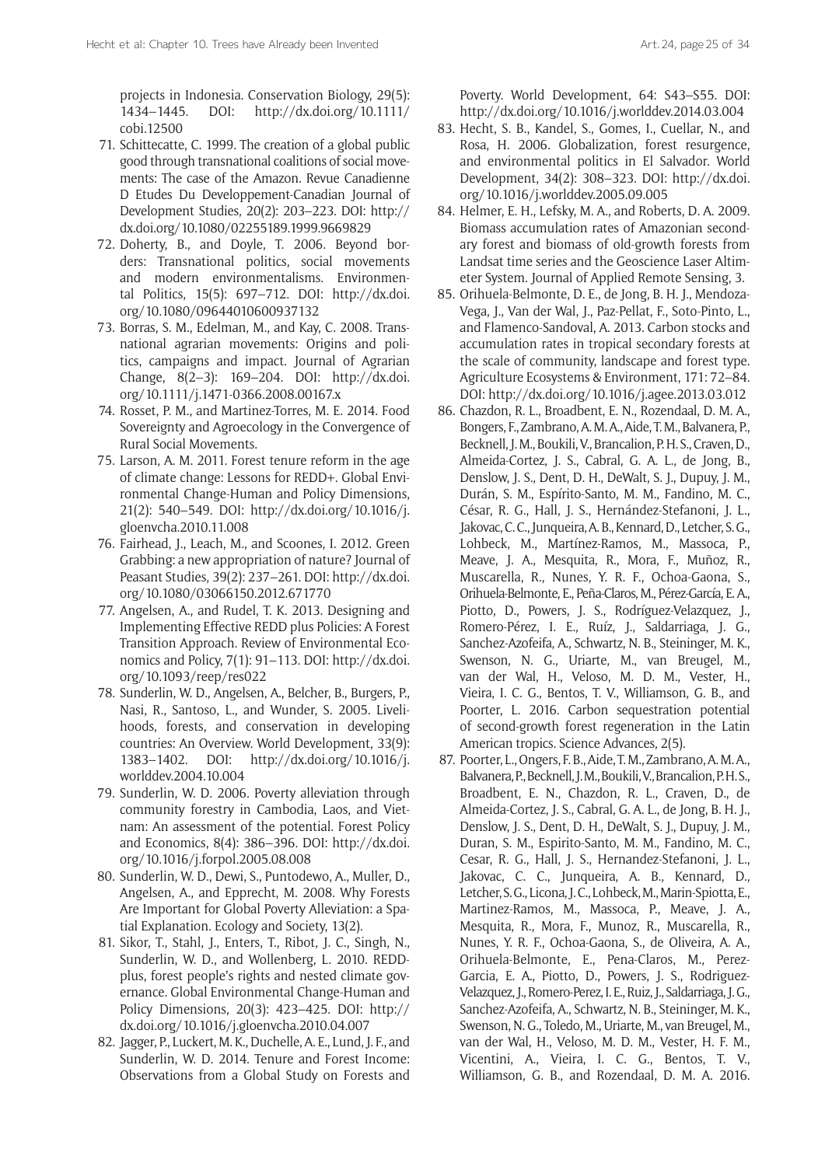projects in Indonesia. Conservation Biology, 29(5): 1434–1445. DOI: [http://dx.doi.org/10.1111/](http://dx.doi.org/10.1111/cobi.12500) [cobi.12500](http://dx.doi.org/10.1111/cobi.12500)

- 71. Schittecatte, C. 1999. The creation of a global public good through transnational coalitions of social movements: The case of the Amazon. Revue Canadienne D Etudes Du Developpement-Canadian Journal of Development Studies, 20(2): 203–223. DOI: [http://](http://dx.doi.org/10.1080/02255189.1999.9669829) [dx.doi.org/10.1080/02255189.1999.9669829](http://dx.doi.org/10.1080/02255189.1999.9669829)
- 72. Doherty, B., and Doyle, T. 2006. Beyond borders: Transnational politics, social movements and modern environmentalisms. Environmental Politics, 15(5): 697–712. DOI: [http://dx.doi.](http://dx.doi.org/10.1080/09644010600937132) [org/10.1080/09644010600937132](http://dx.doi.org/10.1080/09644010600937132)
- 73. Borras, S. M., Edelman, M., and Kay, C. 2008. Transnational agrarian movements: Origins and politics, campaigns and impact. Journal of Agrarian Change, 8(2–3): 169–204. DOI: [http://dx.doi.](http://dx.doi.org/10.1111/j.1471-0366.2008.00167.x) [org/10.1111/j.1471-0366.2008.00167.x](http://dx.doi.org/10.1111/j.1471-0366.2008.00167.x)
- 74. Rosset, P. M., and Martinez-Torres, M. E. 2014. Food Sovereignty and Agroecology in the Convergence of Rural Social Movements.
- 75. Larson, A. M. 2011. Forest tenure reform in the age of climate change: Lessons for REDD+. Global Environmental Change-Human and Policy Dimensions, 21(2): 540–549. DOI: [http://dx.doi.org/10.1016/j.](http://dx.doi.org/10.1016/j.gloenvcha.2010.11.008) [gloenvcha.2010.11.008](http://dx.doi.org/10.1016/j.gloenvcha.2010.11.008)
- 76. Fairhead, J., Leach, M., and Scoones, I. 2012. Green Grabbing: a new appropriation of nature? Journal of Peasant Studies, 39(2): 237–261. DOI: [http://dx.doi.](http://dx.doi.org/10.1080/03066150.2012.671770) [org/10.1080/03066150.2012.671770](http://dx.doi.org/10.1080/03066150.2012.671770)
- 77. Angelsen, A., and Rudel, T. K. 2013. Designing and Implementing Effective REDD plus Policies: A Forest Transition Approach. Review of Environmental Economics and Policy, 7(1): 91–113. DOI: [http://dx.doi.](http://dx.doi.org/10.1093/reep/res022) [org/10.1093/reep/res022](http://dx.doi.org/10.1093/reep/res022)
- 78. Sunderlin, W. D., Angelsen, A., Belcher, B., Burgers, P., Nasi, R., Santoso, L., and Wunder, S. 2005. Livelihoods, forests, and conservation in developing countries: An Overview. World Development, 33(9): 1383–1402. DOI: [http://dx.doi.org/10.1016/j.](http://dx.doi.org/10.1016/j.worlddev.2004.10.004) [worlddev.2004.10.004](http://dx.doi.org/10.1016/j.worlddev.2004.10.004)
- 79. Sunderlin, W. D. 2006. Poverty alleviation through community forestry in Cambodia, Laos, and Vietnam: An assessment of the potential. Forest Policy and Economics, 8(4): 386–396. DOI: [http://dx.doi.](http://dx.doi.org/10.1016/j.forpol.2005.08.008) [org/10.1016/j.forpol.2005.08.008](http://dx.doi.org/10.1016/j.forpol.2005.08.008)
- 80. Sunderlin, W. D., Dewi, S., Puntodewo, A., Muller, D., Angelsen, A., and Epprecht, M. 2008. Why Forests Are Important for Global Poverty Alleviation: a Spatial Explanation. Ecology and Society, 13(2).
- 81. Sikor, T., Stahl, J., Enters, T., Ribot, J. C., Singh, N., Sunderlin, W. D., and Wollenberg, L. 2010. REDDplus, forest people's rights and nested climate governance. Global Environmental Change-Human and Policy Dimensions, 20(3): 423–425. DOI: [http://](http://dx.doi.org/10.1016/j.gloenvcha.2010.04.007) [dx.doi.org/10.1016/j.gloenvcha.2010.04.007](http://dx.doi.org/10.1016/j.gloenvcha.2010.04.007)
- 82. Jagger, P., Luckert, M. K., Duchelle, A. E., Lund, J. F., and Sunderlin, W. D. 2014. Tenure and Forest Income: Observations from a Global Study on Forests and

Poverty. World Development, 64: S43–S55. DOI: <http://dx.doi.org/10.1016/j.worlddev.2014.03.004>

- 83. Hecht, S. B., Kandel, S., Gomes, I., Cuellar, N., and Rosa, H. 2006. Globalization, forest resurgence, and environmental politics in El Salvador. World Development, 34(2): 308–323. DOI: [http://dx.doi.](http://dx.doi.org/10.1016/j.worlddev.2005.09.005) [org/10.1016/j.worlddev.2005.09.005](http://dx.doi.org/10.1016/j.worlddev.2005.09.005)
- 84. Helmer, E. H., Lefsky, M. A., and Roberts, D. A. 2009. Biomass accumulation rates of Amazonian secondary forest and biomass of old-growth forests from Landsat time series and the Geoscience Laser Altimeter System. Journal of Applied Remote Sensing, 3.
- 85. Orihuela-Belmonte, D. E., de Jong, B. H. J., Mendoza-Vega, J., Van der Wal, J., Paz-Pellat, F., Soto-Pinto, L., and Flamenco-Sandoval, A. 2013. Carbon stocks and accumulation rates in tropical secondary forests at the scale of community, landscape and forest type. Agriculture Ecosystems & Environment, 171: 72–84. DOI: <http://dx.doi.org/10.1016/j.agee.2013.03.012>
- 86. Chazdon, R. L., Broadbent, E. N., Rozendaal, D. M. A., Bongers, F., Zambrano, A. M. A., Aide, T. M., Balvanera, P., Becknell, J. M., Boukili, V., Brancalion, P. H. S., Craven, D., Almeida-Cortez, J. S., Cabral, G. A. L., de Jong, B., Denslow, J. S., Dent, D. H., DeWalt, S. J., Dupuy, J. M., Durán, S. M., Espírito-Santo, M. M., Fandino, M. C., César, R. G., Hall, J. S., Hernández-Stefanoni, J. L., Jakovac, C. C., Junqueira, A. B., Kennard, D., Letcher, S. G., Lohbeck, M., Martínez-Ramos, M., Massoca, P., Meave, J. A., Mesquita, R., Mora, F., Muñoz, R., Muscarella, R., Nunes, Y. R. F., Ochoa-Gaona, S., Orihuela-Belmonte, E., Peña-Claros, M., Pérez-García, E. A., Piotto, D., Powers, J. S., Rodríguez-Velazquez, J., Romero-Pérez, I. E., Ruíz, J., Saldarriaga, J. G., Sanchez-Azofeifa, A., Schwartz, N. B., Steininger, M. K., Swenson, N. G., Uriarte, M., van Breugel, M., van der Wal, H., Veloso, M. D. M., Vester, H., Vieira, I. C. G., Bentos, T. V., Williamson, G. B., and Poorter, L. 2016. Carbon sequestration potential of second-growth forest regeneration in the Latin American tropics. Science Advances, 2(5).
- 87. Poorter, L., Ongers, F. B., Aide, T. M., Zambrano, A. M. A., Balvanera, P., Becknell, J. M., Boukili, V., Brancalion, P. H. S., Broadbent, E. N., Chazdon, R. L., Craven, D., de Almeida-Cortez, J. S., Cabral, G. A. L., de Jong, B. H. J., Denslow, J. S., Dent, D. H., DeWalt, S. J., Dupuy, J. M., Duran, S. M., Espirito-Santo, M. M., Fandino, M. C., Cesar, R. G., Hall, J. S., Hernandez-Stefanoni, J. L., Jakovac, C. C., Junqueira, A. B., Kennard, D., Letcher,S.G., Licona, J. C., Lohbeck, M., Marin-Spiotta, E., Martinez-Ramos, M., Massoca, P., Meave, J. A., Mesquita, R., Mora, F., Munoz, R., Muscarella, R., Nunes, Y. R. F., Ochoa-Gaona, S., de Oliveira, A. A., Orihuela-Belmonte, E., Pena-Claros, M., Perez-Garcia, E. A., Piotto, D., Powers, J. S., Rodriguez-Velazquez, J., Romero-Perez, I. E., Ruiz, J., Saldarriaga, J. G., Sanchez-Azofeifa, A., Schwartz, N. B., Steininger, M. K., Swenson, N. G., Toledo, M., Uriarte, M., van Breugel, M., van der Wal, H., Veloso, M. D. M., Vester, H. F. M., Vicentini, A., Vieira, I. C. G., Bentos, T. V., Williamson, G. B., and Rozendaal, D. M. A. 2016.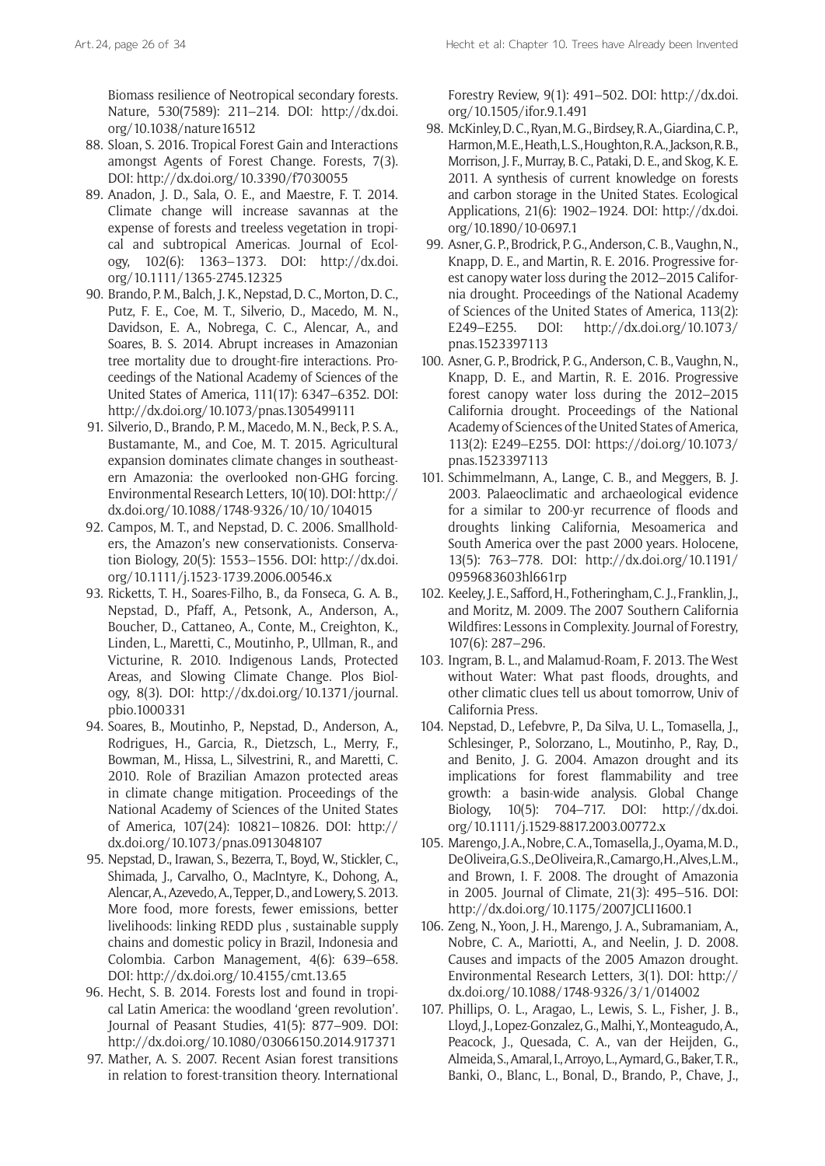Biomass resilience of Neotropical secondary forests. Nature, 530(7589): 211–214. DOI: [http://dx.doi.](http://dx.doi.org/10.1038/nature16512) [org/10.1038/nature16512](http://dx.doi.org/10.1038/nature16512)

- 88. Sloan, S. 2016. Tropical Forest Gain and Interactions amongst Agents of Forest Change. Forests, 7(3). DOI: <http://dx.doi.org/10.3390/f7030055>
- 89. Anadon, J. D., Sala, O. E., and Maestre, F. T. 2014. Climate change will increase savannas at the expense of forests and treeless vegetation in tropical and subtropical Americas. Journal of Ecology, 102(6): 1363–1373. DOI: [http://dx.doi.](http://dx.doi.org/10.1111/1365-2745.12325) [org/10.1111/1365-2745.12325](http://dx.doi.org/10.1111/1365-2745.12325)
- 90. Brando, P. M., Balch, J. K., Nepstad, D. C., Morton, D. C., Putz, F. E., Coe, M. T., Silverio, D., Macedo, M. N., Davidson, E. A., Nobrega, C. C., Alencar, A., and Soares, B. S. 2014. Abrupt increases in Amazonian tree mortality due to drought-fire interactions. Proceedings of the National Academy of Sciences of the United States of America, 111(17): 6347–6352. DOI: <http://dx.doi.org/10.1073/pnas.1305499111>
- 91. Silverio, D., Brando, P. M., Macedo, M. N., Beck, P. S. A., Bustamante, M., and Coe, M. T. 2015. Agricultural expansion dominates climate changes in southeastern Amazonia: the overlooked non-GHG forcing. Environmental Research Letters, 10(10). DOI: [http://](http://dx.doi.org/10.1088/1748-9326/10/10/104015) [dx.doi.org/10.1088/1748-9326/10/10/104015](http://dx.doi.org/10.1088/1748-9326/10/10/104015)
- 92. Campos, M. T., and Nepstad, D. C. 2006. Smallholders, the Amazon's new conservationists. Conservation Biology, 20(5): 1553–1556. DOI: [http://dx.doi.](http://dx.doi.org/10.1111/j.1523-1739.2006.00546.x) [org/10.1111/j.1523-1739.2006.00546.x](http://dx.doi.org/10.1111/j.1523-1739.2006.00546.x)
- 93. Ricketts, T. H., Soares-Filho, B., da Fonseca, G. A. B., Nepstad, D., Pfaff, A., Petsonk, A., Anderson, A., Boucher, D., Cattaneo, A., Conte, M., Creighton, K., Linden, L., Maretti, C., Moutinho, P., Ullman, R., and Victurine, R. 2010. Indigenous Lands, Protected Areas, and Slowing Climate Change. Plos Biology, 8(3). DOI: [http://dx.doi.org/10.1371/journal.](http://dx.doi.org/10.1371/journal.pbio.1000331) [pbio.1000331](http://dx.doi.org/10.1371/journal.pbio.1000331)
- 94. Soares, B., Moutinho, P., Nepstad, D., Anderson, A., Rodrigues, H., Garcia, R., Dietzsch, L., Merry, F., Bowman, M., Hissa, L., Silvestrini, R., and Maretti, C. 2010. Role of Brazilian Amazon protected areas in climate change mitigation. Proceedings of the National Academy of Sciences of the United States of America, 107(24): 10821–10826. DOI: [http://](http://dx.doi.org/10.1073/pnas.0913048107) [dx.doi.org/10.1073/pnas.0913048107](http://dx.doi.org/10.1073/pnas.0913048107)
- 95. Nepstad, D., Irawan, S., Bezerra, T., Boyd, W., Stickler, C., Shimada, J., Carvalho, O., MacIntyre, K., Dohong, A., Alencar, A., Azevedo, A., Tepper, D., and Lowery, S. 2013. More food, more forests, fewer emissions, better livelihoods: linking REDD plus , sustainable supply chains and domestic policy in Brazil, Indonesia and Colombia. Carbon Management, 4(6): 639–658. DOI: <http://dx.doi.org/10.4155/cmt.13.65>
- 96. Hecht, S. B. 2014. Forests lost and found in tropical Latin America: the woodland 'green revolution'. Journal of Peasant Studies, 41(5): 877–909. DOI: <http://dx.doi.org/10.1080/03066150.2014.917371>
- 97. Mather, A. S. 2007. Recent Asian forest transitions in relation to forest-transition theory. International

Forestry Review, 9(1): 491–502. DOI: [http://dx.doi.](http://dx.doi.org/10.1505/ifor.9.1.491) [org/10.1505/ifor.9.1.491](http://dx.doi.org/10.1505/ifor.9.1.491)

- 98. McKinley, D. C., Ryan, M. G., Birdsey, R. A., Giardina, C. P., Harmon, M. E., Heath, L. S., Houghton, R. A., Jackson, R. B., Morrison, J. F., Murray, B. C., Pataki, D. E., and Skog, K. E. 2011. A synthesis of current knowledge on forests and carbon storage in the United States. Ecological Applications, 21(6): 1902–1924. DOI: [http://dx.doi.](http://dx.doi.org/10.1890/10-0697.1) [org/10.1890/10-0697.1](http://dx.doi.org/10.1890/10-0697.1)
- 99. Asner, G. P., Brodrick, P. G., Anderson, C. B., Vaughn, N., Knapp, D. E., and Martin, R. E. 2016. Progressive forest canopy water loss during the 2012–2015 California drought. Proceedings of the National Academy of Sciences of the United States of America, 113(2): E249–E255. DOI: [http://dx.doi.org/10.1073/](http://dx.doi.org/10.1073/pnas.1523397113) [pnas.1523397113](http://dx.doi.org/10.1073/pnas.1523397113)
- 100. Asner, G. P., Brodrick, P. G., Anderson, C. B., Vaughn, N., Knapp, D. E., and Martin, R. E. 2016. Progressive forest canopy water loss during the 2012–2015 California drought. Proceedings of the National Academy of Sciences of the United States of America, 113(2): E249–E255. DOI: [https://doi.org/10.1073/](https://doi.org/10.1073/pnas.1523397113) [pnas.1523397113](https://doi.org/10.1073/pnas.1523397113)
- 101. Schimmelmann, A., Lange, C. B., and Meggers, B. J. 2003. Palaeoclimatic and archaeological evidence for a similar to 200-yr recurrence of floods and droughts linking California, Mesoamerica and South America over the past 2000 years. Holocene, 13(5): 763–778. DOI: [http://dx.doi.org/10.1191/](http://dx.doi.org/10.1191/0959683603hl661rp) [0959683603hl661rp](http://dx.doi.org/10.1191/0959683603hl661rp)
- 102. Keeley, J. E., Safford, H., Fotheringham, C. J., Franklin, J., and Moritz, M. 2009. The 2007 Southern California Wildfires: Lessons in Complexity. Journal of Forestry, 107(6): 287–296.
- 103. Ingram, B. L., and Malamud-Roam, F. 2013. The West without Water: What past floods, droughts, and other climatic clues tell us about tomorrow, Univ of California Press.
- 104. Nepstad, D., Lefebvre, P., Da Silva, U. L., Tomasella, J., Schlesinger, P., Solorzano, L., Moutinho, P., Ray, D., and Benito, J. G. 2004. Amazon drought and its implications for forest flammability and tree growth: a basin-wide analysis. Global Change Biology, 10(5): 704–717. DOI: [http://dx.doi.](http://dx.doi.org/10.1111/j.1529-8817.2003.00772.x) [org/10.1111/j.1529-8817.2003.00772.x](http://dx.doi.org/10.1111/j.1529-8817.2003.00772.x)
- 105. Marengo, J. A., Nobre, C. A., Tomasella, J., Oyama, M. D., De Oliveira, G. S., De Oliveira, R., Camargo, H., Alves, L. M., and Brown, I. F. 2008. The drought of Amazonia in 2005. Journal of Climate, 21(3): 495–516. DOI: <http://dx.doi.org/10.1175/2007JCLI1600.1>
- 106. Zeng, N., Yoon, J. H., Marengo, J. A., Subramaniam, A., Nobre, C. A., Mariotti, A., and Neelin, J. D. 2008. Causes and impacts of the 2005 Amazon drought. Environmental Research Letters, 3(1). DOI: [http://](http://dx.doi.org/10.1088/1748-9326/3/1/014002) [dx.doi.org/10.1088/1748-9326/3/1/014002](http://dx.doi.org/10.1088/1748-9326/3/1/014002)
- 107. Phillips, O. L., Aragao, L., Lewis, S. L., Fisher, J. B., Lloyd, J., Lopez-Gonzalez, G., Malhi, Y., Monteagudo, A., Peacock, J., Quesada, C. A., van der Heijden, G., Almeida, S., Amaral, I., Arroyo, L., Aymard, G., Baker, T. R., Banki, O., Blanc, L., Bonal, D., Brando, P., Chave, J.,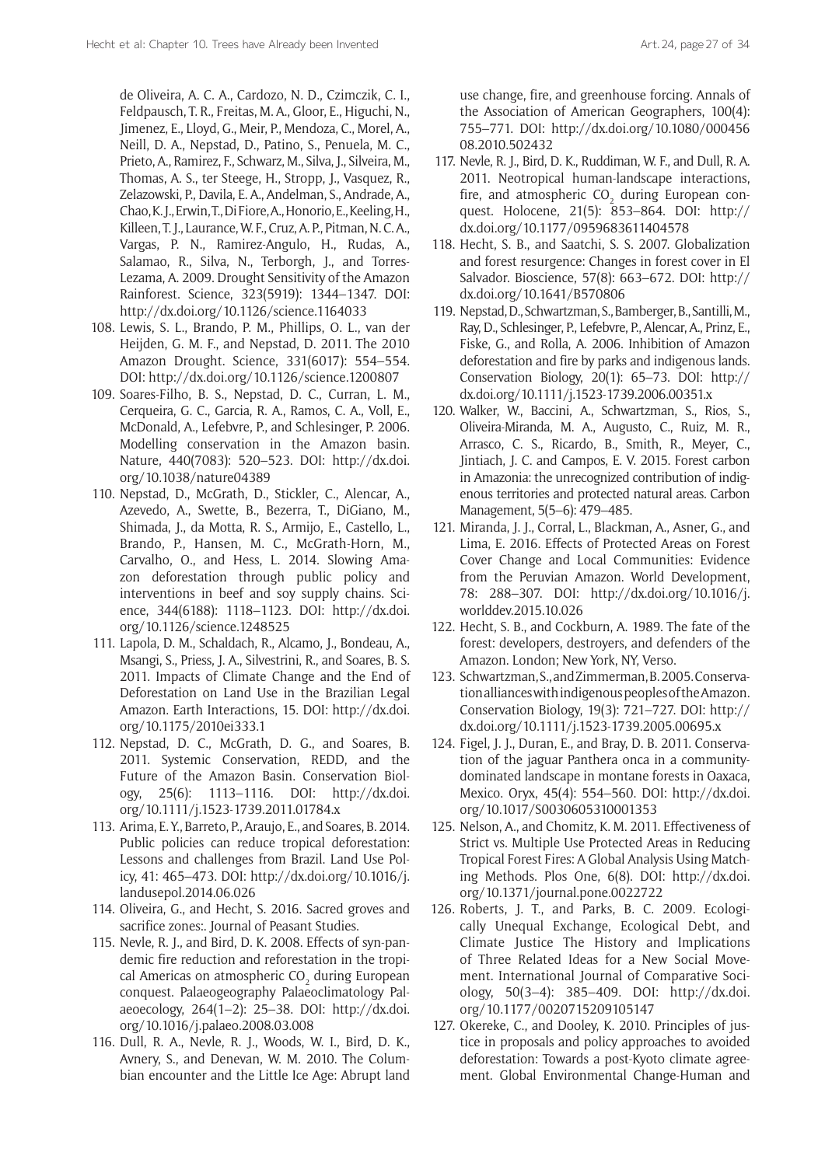de Oliveira, A. C. A., Cardozo, N. D., Czimczik, C. I., Feldpausch, T. R., Freitas, M. A., Gloor, E., Higuchi, N., Jimenez, E., Lloyd, G., Meir, P., Mendoza, C., Morel, A., Neill, D. A., Nepstad, D., Patino, S., Penuela, M. C., Prieto, A., Ramirez, F., Schwarz, M., Silva, J., Silveira, M., Thomas, A. S., ter Steege, H., Stropp, J., Vasquez, R., Zelazowski, P., Davila, E. A., Andelman, S., Andrade, A., Chao, K. J., Erwin, T., Di Fiore, A., Honorio, E., Keeling, H., Killeen, T. J., Laurance, W. F., Cruz, A. P., Pitman, N. C. A., Vargas, P. N., Ramirez-Angulo, H., Rudas, A., Salamao, R., Silva, N., Terborgh, J., and Torres-Lezama, A. 2009. Drought Sensitivity of the Amazon Rainforest. Science, 323(5919): 1344–1347. DOI: <http://dx.doi.org/10.1126/science.1164033>

- 108. Lewis, S. L., Brando, P. M., Phillips, O. L., van der Heijden, G. M. F., and Nepstad, D. 2011. The 2010 Amazon Drought. Science, 331(6017): 554–554. DOI:<http://dx.doi.org/10.1126/science.1200807>
- 109. Soares-Filho, B. S., Nepstad, D. C., Curran, L. M., Cerqueira, G. C., Garcia, R. A., Ramos, C. A., Voll, E., McDonald, A., Lefebvre, P., and Schlesinger, P. 2006. Modelling conservation in the Amazon basin. Nature, 440(7083): 520–523. DOI: [http://dx.doi.](http://dx.doi.org/10.1038/nature04389) [org/10.1038/nature04389](http://dx.doi.org/10.1038/nature04389)
- 110. Nepstad, D., McGrath, D., Stickler, C., Alencar, A., Azevedo, A., Swette, B., Bezerra, T., DiGiano, M., Shimada, J., da Motta, R. S., Armijo, E., Castello, L., Brando, P., Hansen, M. C., McGrath-Horn, M., Carvalho, O., and Hess, L. 2014. Slowing Amazon deforestation through public policy and interventions in beef and soy supply chains. Science, 344(6188): 1118–1123. DOI: [http://dx.doi.](http://dx.doi.org/10.1126/science.1248525) [org/10.1126/science.1248525](http://dx.doi.org/10.1126/science.1248525)
- 111. Lapola, D. M., Schaldach, R., Alcamo, J., Bondeau, A., Msangi, S., Priess, J. A., Silvestrini, R., and Soares, B. S. 2011. Impacts of Climate Change and the End of Deforestation on Land Use in the Brazilian Legal Amazon. Earth Interactions, 15. DOI: [http://dx.doi.](http://dx.doi.org/10.1175/2010ei333.1) [org/10.1175/2010ei333.1](http://dx.doi.org/10.1175/2010ei333.1)
- 112. Nepstad, D. C., McGrath, D. G., and Soares, B. 2011. Systemic Conservation, REDD, and the Future of the Amazon Basin. Conservation Biology, 25(6): 1113–1116. DOI: [http://dx.doi.](http://dx.doi.org/10.1111/j.1523-1739.2011.01784.x) [org/10.1111/j.1523-1739.2011.01784.x](http://dx.doi.org/10.1111/j.1523-1739.2011.01784.x)
- 113. Arima, E. Y., Barreto, P., Araujo, E., and Soares, B. 2014. Public policies can reduce tropical deforestation: Lessons and challenges from Brazil. Land Use Policy, 41: 465–473. DOI: [http://dx.doi.org/10.1016/j.](http://dx.doi.org/10.1016/j.landusepol.2014.06.026) [landusepol.2014.06.026](http://dx.doi.org/10.1016/j.landusepol.2014.06.026)
- 114. Oliveira, G., and Hecht, S. 2016. Sacred groves and sacrifice zones:. Journal of Peasant Studies.
- 115. Nevle, R. J., and Bird, D. K. 2008. Effects of syn-pandemic fire reduction and reforestation in the tropical Americas on atmospheric CO<sub>2</sub> during European conquest. Palaeogeography Palaeoclimatology Palaeoecology, 264(1–2): 25–38. DOI: [http://dx.doi.](http://dx.doi.org/10.1016/j.palaeo.2008.03.008) [org/10.1016/j.palaeo.2008.03.008](http://dx.doi.org/10.1016/j.palaeo.2008.03.008)
- 116. Dull, R. A., Nevle, R. J., Woods, W. I., Bird, D. K., Avnery, S., and Denevan, W. M. 2010. The Columbian encounter and the Little Ice Age: Abrupt land

use change, fire, and greenhouse forcing. Annals of the Association of American Geographers, 100(4): 755–771. DOI: [http://dx.doi.org/10.1080/000456](http://dx.doi.org/10.1080/00045608.2010.502432) [08.2010.502432](http://dx.doi.org/10.1080/00045608.2010.502432)

- 117. Nevle, R. J., Bird, D. K., Ruddiman, W. F., and Dull, R. A. 2011. Neotropical human-landscape interactions, fire, and atmospheric  $CO<sub>2</sub>$  during European conquest. Holocene, 21(5): 853–864. DOI: [http://](http://dx.doi.org/10.1177/0959683611404578) [dx.doi.org/10.1177/0959683611404578](http://dx.doi.org/10.1177/0959683611404578)
- 118. Hecht, S. B., and Saatchi, S. S. 2007. Globalization and forest resurgence: Changes in forest cover in El Salvador. Bioscience, 57(8): 663–672. DOI: [http://](http://dx.doi.org/10.1641/B570806) [dx.doi.org/10.1641/B570806](http://dx.doi.org/10.1641/B570806)
- 119. Nepstad, D., Schwartzman, S., Bamberger, B., Santilli, M., Ray, D., Schlesinger, P., Lefebvre, P., Alencar, A., Prinz, E., Fiske, G., and Rolla, A. 2006. Inhibition of Amazon deforestation and fire by parks and indigenous lands. Conservation Biology, 20(1): 65–73. DOI: [http://](http://dx.doi.org/10.1111/j.1523-1739.2006.00351.x) [dx.doi.org/10.1111/j.1523-1739.2006.00351.x](http://dx.doi.org/10.1111/j.1523-1739.2006.00351.x)
- 120. Walker, W., Baccini, A., Schwartzman, S., Rios, S., Oliveira-Miranda, M. A., Augusto, C., Ruiz, M. R., Arrasco, C. S., Ricardo, B., Smith, R., Meyer, C., Jintiach, J. C. and Campos, E. V. 2015. Forest carbon in Amazonia: the unrecognized contribution of indigenous territories and protected natural areas. Carbon Management, 5(5–6): 479–485.
- 121. Miranda, J. J., Corral, L., Blackman, A., Asner, G., and Lima, E. 2016. Effects of Protected Areas on Forest Cover Change and Local Communities: Evidence from the Peruvian Amazon. World Development, 78: 288–307. DOI: [http://dx.doi.org/10.1016/j.](http://dx.doi.org/10.1016/j.worlddev.2015.10.026) [worlddev.2015.10.026](http://dx.doi.org/10.1016/j.worlddev.2015.10.026)
- 122. Hecht, S. B., and Cockburn, A. 1989. The fate of the forest: developers, destroyers, and defenders of the Amazon. London; New York, NY, Verso.
- 123. Schwartzman, S., and Zimmerman, B. 2005. Conservation alliances with indigenous peoples of the Amazon. Conservation Biology, 19(3): 721–727. DOI: [http://](http://dx.doi.org/10.1111/j.1523-1739.2005.00695.x) [dx.doi.org/10.1111/j.1523-1739.2005.00695.x](http://dx.doi.org/10.1111/j.1523-1739.2005.00695.x)
- 124. Figel, J. J., Duran, E., and Bray, D. B. 2011. Conservation of the jaguar Panthera onca in a communitydominated landscape in montane forests in Oaxaca, Mexico. Oryx, 45(4): 554–560. DOI: [http://dx.doi.](http://dx.doi.org/10.1017/S0030605310001353) [org/10.1017/S0030605310001353](http://dx.doi.org/10.1017/S0030605310001353)
- 125. Nelson, A., and Chomitz, K. M. 2011. Effectiveness of Strict vs. Multiple Use Protected Areas in Reducing Tropical Forest Fires: A Global Analysis Using Matching Methods. Plos One, 6(8). DOI: [http://dx.doi.](http://dx.doi.org/10.1371/journal.pone.0022722) [org/10.1371/journal.pone.0022722](http://dx.doi.org/10.1371/journal.pone.0022722)
- 126. Roberts, J. T., and Parks, B. C. 2009. Ecologically Unequal Exchange, Ecological Debt, and Climate Justice The History and Implications of Three Related Ideas for a New Social Movement. International Journal of Comparative Sociology, 50(3–4): 385–409. DOI: [http://dx.doi.](http://dx.doi.org/10.1177/0020715209105147) [org/10.1177/0020715209105147](http://dx.doi.org/10.1177/0020715209105147)
- 127. Okereke, C., and Dooley, K. 2010. Principles of justice in proposals and policy approaches to avoided deforestation: Towards a post-Kyoto climate agreement. Global Environmental Change-Human and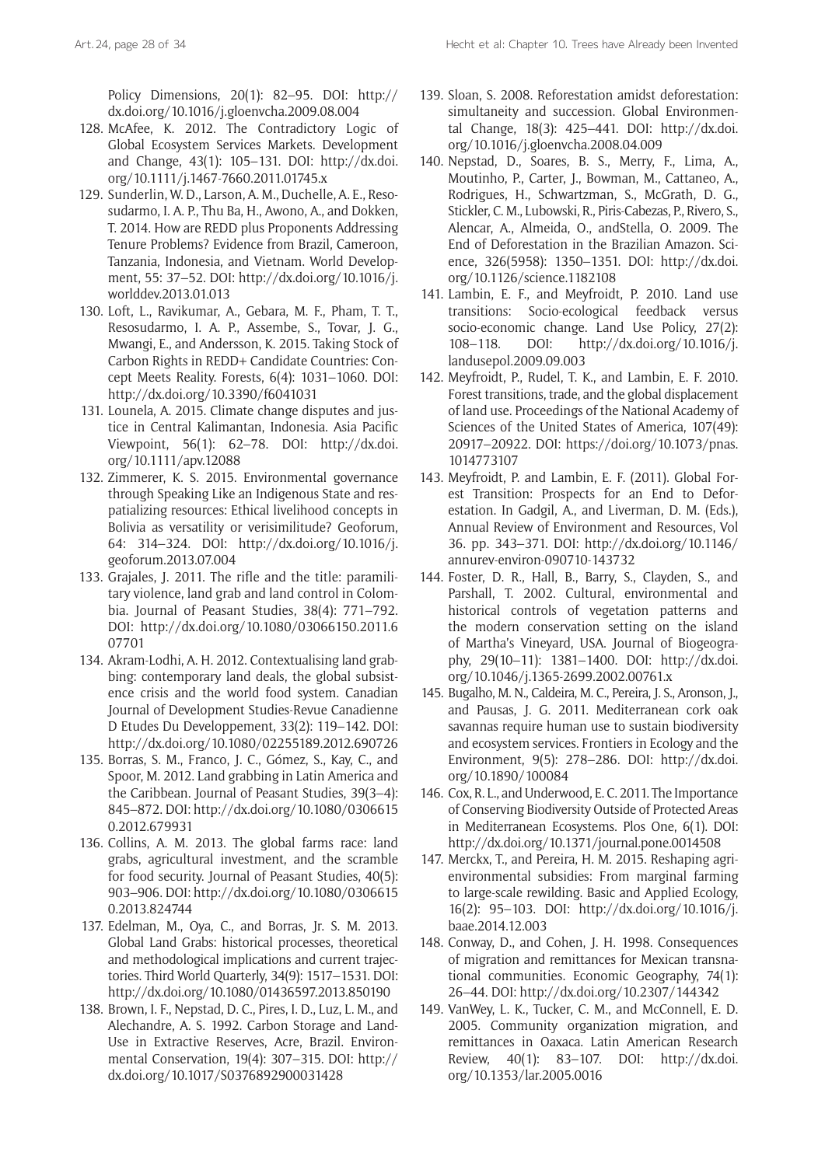Policy Dimensions, 20(1): 82–95. DOI: [http://](http://dx.doi.org/10.1016/j.gloenvcha.2009.08.004) [dx.doi.org/10.1016/j.gloenvcha.2009.08.004](http://dx.doi.org/10.1016/j.gloenvcha.2009.08.004)

- 128. McAfee, K. 2012. The Contradictory Logic of Global Ecosystem Services Markets. Development and Change, 43(1): 105–131. DOI: [http://dx.doi.](http://dx.doi.org/10.1111/j.1467-7660.2011.01745.x) [org/10.1111/j.1467-7660.2011.01745.x](http://dx.doi.org/10.1111/j.1467-7660.2011.01745.x)
- 129. Sunderlin, W. D., Larson, A. M., Duchelle, A. E., Resosudarmo, I. A. P., Thu Ba, H., Awono, A., and Dokken, T. 2014. How are REDD plus Proponents Addressing Tenure Problems? Evidence from Brazil, Cameroon, Tanzania, Indonesia, and Vietnam. World Development, 55: 37–52. DOI: [http://dx.doi.org/10.1016/j.](http://dx.doi.org/10.1016/j.worlddev.2013.01.013) [worlddev.2013.01.013](http://dx.doi.org/10.1016/j.worlddev.2013.01.013)
- 130. Loft, L., Ravikumar, A., Gebara, M. F., Pham, T. T., Resosudarmo, I. A. P., Assembe, S., Tovar, J. G., Mwangi, E., and Andersson, K. 2015. Taking Stock of Carbon Rights in REDD+ Candidate Countries: Concept Meets Reality. Forests, 6(4): 1031–1060. DOI: <http://dx.doi.org/10.3390/f6041031>
- 131. Lounela, A. 2015. Climate change disputes and justice in Central Kalimantan, Indonesia. Asia Pacific Viewpoint, 56(1): 62–78. DOI: [http://dx.doi.](http://dx.doi.org/10.1111/apv.12088) [org/10.1111/apv.12088](http://dx.doi.org/10.1111/apv.12088)
- 132. Zimmerer, K. S. 2015. Environmental governance through Speaking Like an Indigenous State and respatializing resources: Ethical livelihood concepts in Bolivia as versatility or verisimilitude? Geoforum, 64: 314–324. DOI: [http://dx.doi.org/10.1016/j.](http://dx.doi.org/10.1016/j.geoforum.2013.07.004) [geoforum.2013.07.004](http://dx.doi.org/10.1016/j.geoforum.2013.07.004)
- 133. Grajales, J. 2011. The rifle and the title: paramilitary violence, land grab and land control in Colombia. Journal of Peasant Studies, 38(4): 771–792. DOI: [http://dx.doi.org/10.1080/03066150.2011.6](http://dx.doi.org/10.1080/03066150.2011.607701) [07701](http://dx.doi.org/10.1080/03066150.2011.607701)
- 134. Akram-Lodhi, A. H. 2012. Contextualising land grabbing: contemporary land deals, the global subsistence crisis and the world food system. Canadian Journal of Development Studies-Revue Canadienne D Etudes Du Developpement, 33(2): 119–142. DOI: <http://dx.doi.org/10.1080/02255189.2012.690726>
- 135. Borras, S. M., Franco, J. C., Gómez, S., Kay, C., and Spoor, M. 2012. Land grabbing in Latin America and the Caribbean. Journal of Peasant Studies, 39(3–4): 845–872. DOI: [http://dx.doi.org/10.1080/0306615](http://dx.doi.org/10.1080/03066150.2012.679931) [0.2012.679931](http://dx.doi.org/10.1080/03066150.2012.679931)
- 136. Collins, A. M. 2013. The global farms race: land grabs, agricultural investment, and the scramble for food security. Journal of Peasant Studies, 40(5): 903–906. DOI: [http://dx.doi.org/10.1080/0306615](http://dx.doi.org/10.1080/03066150.2013.824744) [0.2013.824744](http://dx.doi.org/10.1080/03066150.2013.824744)
- 137. Edelman, M., Oya, C., and Borras, Jr. S. M. 2013. Global Land Grabs: historical processes, theoretical and methodological implications and current trajectories. Third World Quarterly, 34(9): 1517–1531. DOI: <http://dx.doi.org/10.1080/01436597.2013.850190>
- 138. Brown, I. F., Nepstad, D. C., Pires, I. D., Luz, L. M., and Alechandre, A. S. 1992. Carbon Storage and Land-Use in Extractive Reserves, Acre, Brazil. Environmental Conservation, 19(4): 307–315. DOI: [http://](http://dx.doi.org/10.1017/S0376892900031428) [dx.doi.org/10.1017/S0376892900031428](http://dx.doi.org/10.1017/S0376892900031428)
- 139. Sloan, S. 2008. Reforestation amidst deforestation: simultaneity and succession. Global Environmental Change, 18(3): 425–441. DOI: [http://dx.doi.](http://dx.doi.org/10.1016/j.gloenvcha.2008.04.009) [org/10.1016/j.gloenvcha.2008.04.009](http://dx.doi.org/10.1016/j.gloenvcha.2008.04.009)
- 140. Nepstad, D., Soares, B. S., Merry, F., Lima, A., Moutinho, P., Carter, J., Bowman, M., Cattaneo, A., Rodrigues, H., Schwartzman, S., McGrath, D. G., Stickler, C. M., Lubowski, R., Piris-Cabezas, P., Rivero, S., Alencar, A., Almeida, O., andStella, O. 2009. The End of Deforestation in the Brazilian Amazon. Science, 326(5958): 1350–1351. DOI: [http://dx.doi.](http://dx.doi.org/10.1126/science.1182108) [org/10.1126/science.1182108](http://dx.doi.org/10.1126/science.1182108)
- 141. Lambin, E. F., and Meyfroidt, P. 2010. Land use transitions: Socio-ecological feedback versus socio-economic change. Land Use Policy, 27(2): 108–118. DOI: [http://dx.doi.org/10.1016/j.](http://dx.doi.org/10.1016/j.landusepol.2009.09.003) [landusepol.2009.09.003](http://dx.doi.org/10.1016/j.landusepol.2009.09.003)
- 142. Meyfroidt, P., Rudel, T. K., and Lambin, E. F. 2010. Forest transitions, trade, and the global displacement of land use. Proceedings of the National Academy of Sciences of the United States of America, 107(49): 20917–20922. DOI: https://doi.org/10.1073/pnas. 1014773107
- 143. Meyfroidt, P. and Lambin, E. F. (2011). Global Forest Transition: Prospects for an End to Deforestation. In Gadgil, A., and Liverman, D. M. (Eds.), Annual Review of Environment and Resources, Vol 36. pp. 343–371. DOI: [http://dx.doi.org/10.1146/](http://dx.doi.org/10.1146/annurev-environ-090710-143732) [annurev-environ-090710-143732](http://dx.doi.org/10.1146/annurev-environ-090710-143732)
- 144. Foster, D. R., Hall, B., Barry, S., Clayden, S., and Parshall, T. 2002. Cultural, environmental and historical controls of vegetation patterns and the modern conservation setting on the island of Martha's Vineyard, USA. Journal of Biogeography, 29(10–11): 1381–1400. DOI: [http://dx.doi.](http://dx.doi.org/10.1046/j.1365-2699.2002.00761.x) [org/10.1046/j.1365-2699.2002.00761.x](http://dx.doi.org/10.1046/j.1365-2699.2002.00761.x)
- 145. Bugalho, M. N., Caldeira, M. C., Pereira, J. S., Aronson, J., and Pausas, J. G. 2011. Mediterranean cork oak savannas require human use to sustain biodiversity and ecosystem services. Frontiers in Ecology and the Environment, 9(5): 278–286. DOI: [http://dx.doi.](http://dx.doi.org/10.1890/100084) [org/10.1890/100084](http://dx.doi.org/10.1890/100084)
- 146. Cox, R. L., and Underwood, E. C. 2011. The Importance of Conserving Biodiversity Outside of Protected Areas in Mediterranean Ecosystems. Plos One, 6(1). DOI: <http://dx.doi.org/10.1371/journal.pone.0014508>
- 147. Merckx, T., and Pereira, H. M. 2015. Reshaping agrienvironmental subsidies: From marginal farming to large-scale rewilding. Basic and Applied Ecology, 16(2): 95–103. DOI: [http://dx.doi.org/10.1016/j.](http://dx.doi.org/10.1016/j.baae.2014.12.003) [baae.2014.12.003](http://dx.doi.org/10.1016/j.baae.2014.12.003)
- 148. Conway, D., and Cohen, J. H. 1998. Consequences of migration and remittances for Mexican transnational communities. Economic Geography, 74(1): 26–44. DOI:<http://dx.doi.org/10.2307/144342>
- 149. VanWey, L. K., Tucker, C. M., and McConnell, E. D. 2005. Community organization migration, and remittances in Oaxaca. Latin American Research Review, 40(1): 83–107. DOI: [http://dx.doi.](http://dx.doi.org/10.1353/lar.2005.0016) [org/10.1353/lar.2005.0016](http://dx.doi.org/10.1353/lar.2005.0016)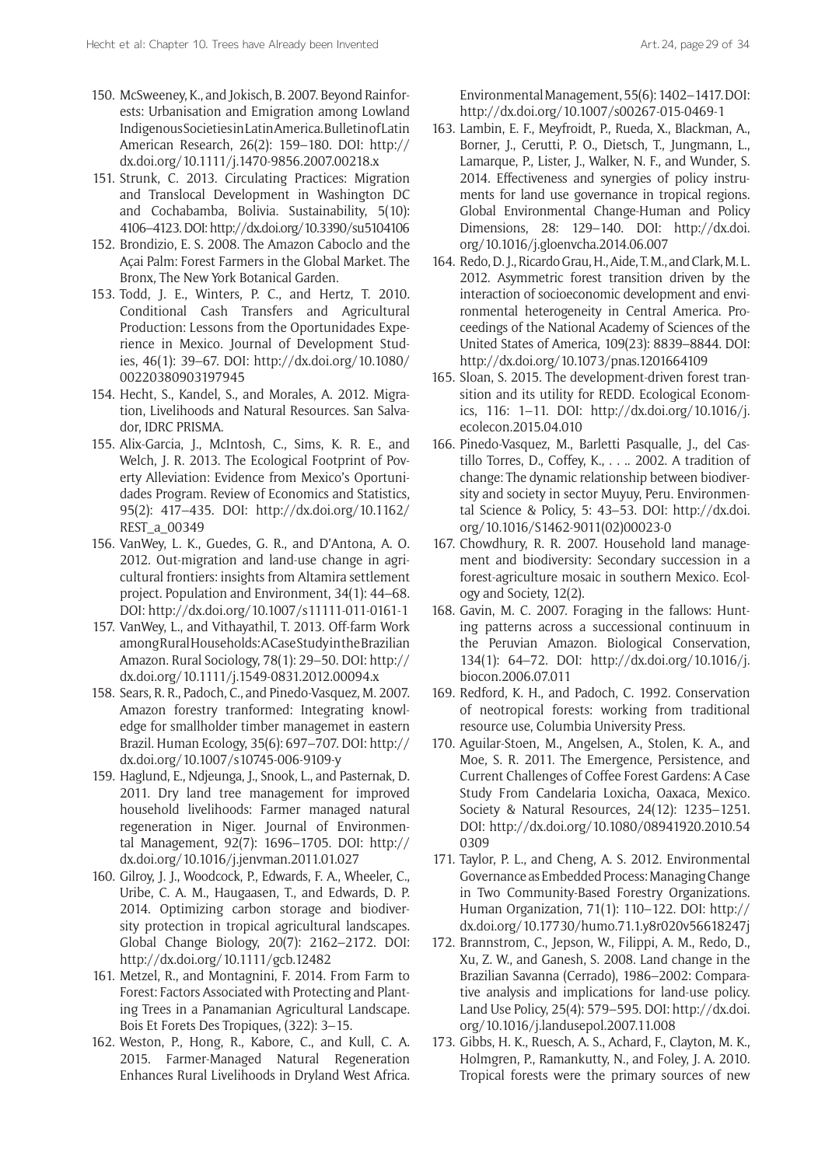- 150. McSweeney, K., and Jokisch, B. 2007. Beyond Rainforests: Urbanisation and Emigration among Lowland Indigenous Societies in Latin America. Bulletin of Latin American Research, 26(2): 159–180. DOI: [http://](http://dx.doi.org/10.1111/j.1470-9856.2007.00218.x) [dx.doi.org/10.1111/j.1470-9856.2007.00218.x](http://dx.doi.org/10.1111/j.1470-9856.2007.00218.x)
- 151. Strunk, C. 2013. Circulating Practices: Migration and Translocal Development in Washington DC and Cochabamba, Bolivia. Sustainability, 5(10): 4106–4123. DOI: <http://dx.doi.org/10.3390/su5104106>
- 152. Brondizio, E. S. 2008. The Amazon Caboclo and the Açai Palm: Forest Farmers in the Global Market. The Bronx, The New York Botanical Garden.
- 153. Todd, J. E., Winters, P. C., and Hertz, T. 2010. Conditional Cash Transfers and Agricultural Production: Lessons from the Oportunidades Experience in Mexico. Journal of Development Studies, 46(1): 39–67. DOI: [http://dx.doi.org/10.1080/](http://dx.doi.org/10.1080/00220380903197945) [00220380903197945](http://dx.doi.org/10.1080/00220380903197945)
- 154. Hecht, S., Kandel, S., and Morales, A. 2012. Migration, Livelihoods and Natural Resources. San Salvador, IDRC PRISMA.
- 155. Alix-Garcia, J., McIntosh, C., Sims, K. R. E., and Welch, J. R. 2013. The Ecological Footprint of Poverty Alleviation: Evidence from Mexico's Oportunidades Program. Review of Economics and Statistics, 95(2): 417–435. DOI: [http://dx.doi.org/10.1162/](http://dx.doi.org/10.1162/REST_a_00349) [REST\\_a\\_00349](http://dx.doi.org/10.1162/REST_a_00349)
- 156. VanWey, L. K., Guedes, G. R., and D'Antona, A. O. 2012. Out-migration and land-use change in agricultural frontiers: insights from Altamira settlement project. Population and Environment, 34(1): 44–68. DOI:<http://dx.doi.org/10.1007/s11111-011-0161-1>
- 157. VanWey, L., and Vithayathil, T. 2013. Off-farm Work among Rural Households: A Case Study in the Brazilian Amazon. Rural Sociology, 78(1): 29–50. DOI: [http://](http://dx.doi.org/10.1111/j.1549-0831.2012.00094.x) [dx.doi.org/10.1111/j.1549-0831.2012.00094.x](http://dx.doi.org/10.1111/j.1549-0831.2012.00094.x)
- 158. Sears, R. R., Padoch, C., and Pinedo-Vasquez, M. 2007. Amazon forestry tranformed: Integrating knowledge for smallholder timber managemet in eastern Brazil. Human Ecology, 35(6): 697–707. DOI: [http://](http://dx.doi.org/10.1007/s10745-006-9109-y) [dx.doi.org/10.1007/s10745-006-9109-y](http://dx.doi.org/10.1007/s10745-006-9109-y)
- 159. Haglund, E., Ndjeunga, J., Snook, L., and Pasternak, D. 2011. Dry land tree management for improved household livelihoods: Farmer managed natural regeneration in Niger. Journal of Environmental Management, 92(7): 1696–1705. DOI: [http://](http://dx.doi.org/10.1016/j.jenvman.2011.01.027) [dx.doi.org/10.1016/j.jenvman.2011.01.027](http://dx.doi.org/10.1016/j.jenvman.2011.01.027)
- 160. Gilroy, J. J., Woodcock, P., Edwards, F. A., Wheeler, C., Uribe, C. A. M., Haugaasen, T., and Edwards, D. P. 2014. Optimizing carbon storage and biodiversity protection in tropical agricultural landscapes. Global Change Biology, 20(7): 2162–2172. DOI: <http://dx.doi.org/10.1111/gcb.12482>
- 161. Metzel, R., and Montagnini, F. 2014. From Farm to Forest: Factors Associated with Protecting and Planting Trees in a Panamanian Agricultural Landscape. Bois Et Forets Des Tropiques, (322): 3–15.
- 162. Weston, P., Hong, R., Kabore, C., and Kull, C. A. 2015. Farmer-Managed Natural Regeneration Enhances Rural Livelihoods in Dryland West Africa.

Environmental Management, 55(6): 1402–1417. DOI: <http://dx.doi.org/10.1007/s00267-015-0469-1>

- 163. Lambin, E. F., Meyfroidt, P., Rueda, X., Blackman, A., Borner, J., Cerutti, P. O., Dietsch, T., Jungmann, L., Lamarque, P., Lister, J., Walker, N. F., and Wunder, S. 2014. Effectiveness and synergies of policy instruments for land use governance in tropical regions. Global Environmental Change-Human and Policy Dimensions, 28: 129–140. DOI: [http://dx.doi.](http://dx.doi.org/10.1016/j.gloenvcha.2014.06.007) [org/10.1016/j.gloenvcha.2014.06.007](http://dx.doi.org/10.1016/j.gloenvcha.2014.06.007)
- 164. Redo, D. J., Ricardo Grau, H., Aide, T. M., and Clark, M. L. 2012. Asymmetric forest transition driven by the interaction of socioeconomic development and environmental heterogeneity in Central America. Proceedings of the National Academy of Sciences of the United States of America, 109(23): 8839–8844. DOI: <http://dx.doi.org/10.1073/pnas.1201664109>
- 165. Sloan, S. 2015. The development-driven forest transition and its utility for REDD. Ecological Economics, 116: 1–11. DOI: [http://dx.doi.org/10.1016/j.](http://dx.doi.org/10.1016/j.ecolecon.2015.04.010) [ecolecon.2015.04.010](http://dx.doi.org/10.1016/j.ecolecon.2015.04.010)
- 166. Pinedo-Vasquez, M., Barletti Pasqualle, J., del Castillo Torres, D., Coffey, K., . . .. 2002. A tradition of change: The dynamic relationship between biodiversity and society in sector Muyuy, Peru. Environmental Science & Policy, 5: 43–53. DOI: [http://dx.doi.](http://dx.doi.org/10.1016/S1462-9011(02)00023-0) [org/10.1016/S1462-9011\(02\)00023-0](http://dx.doi.org/10.1016/S1462-9011(02)00023-0)
- 167. Chowdhury, R. R. 2007. Household land management and biodiversity: Secondary succession in a forest-agriculture mosaic in southern Mexico. Ecology and Society, 12(2).
- 168. Gavin, M. C. 2007. Foraging in the fallows: Hunting patterns across a successional continuum in the Peruvian Amazon. Biological Conservation, 134(1): 64–72. DOI: [http://dx.doi.org/10.1016/j.](http://dx.doi.org/10.1016/j.biocon.2006.07.011) [biocon.2006.07.011](http://dx.doi.org/10.1016/j.biocon.2006.07.011)
- 169. Redford, K. H., and Padoch, C. 1992. Conservation of neotropical forests: working from traditional resource use, Columbia University Press.
- 170. Aguilar-Stoen, M., Angelsen, A., Stolen, K. A., and Moe, S. R. 2011. The Emergence, Persistence, and Current Challenges of Coffee Forest Gardens: A Case Study From Candelaria Loxicha, Oaxaca, Mexico. Society & Natural Resources, 24(12): 1235–1251. DOI: [http://dx.doi.org/10.1080/08941920.2010.54](http://dx.doi.org/10.1080/08941920.2010.540309) [0309](http://dx.doi.org/10.1080/08941920.2010.540309)
- 171. Taylor, P. L., and Cheng, A. S. 2012. Environmental Governance as Embedded Process: Managing Change in Two Community-Based Forestry Organizations. Human Organization, 71(1): 110–122. DOI: [http://](http://dx.doi.org/10.17730/humo.71.1.y8r020v56618247j) [dx.doi.org/10.17730/humo.71.1.y8r020v56618247j](http://dx.doi.org/10.17730/humo.71.1.y8r020v56618247j)
- 172. Brannstrom, C., Jepson, W., Filippi, A. M., Redo, D., Xu, Z. W., and Ganesh, S. 2008. Land change in the Brazilian Savanna (Cerrado), 1986–2002: Comparative analysis and implications for land-use policy. Land Use Policy, 25(4): 579–595. DOI: [http://dx.doi.](http://dx.doi.org/10.1016/j.landusepol.2007.11.008) [org/10.1016/j.landusepol.2007.11.008](http://dx.doi.org/10.1016/j.landusepol.2007.11.008)
- 173. Gibbs, H. K., Ruesch, A. S., Achard, F., Clayton, M. K., Holmgren, P., Ramankutty, N., and Foley, J. A. 2010. Tropical forests were the primary sources of new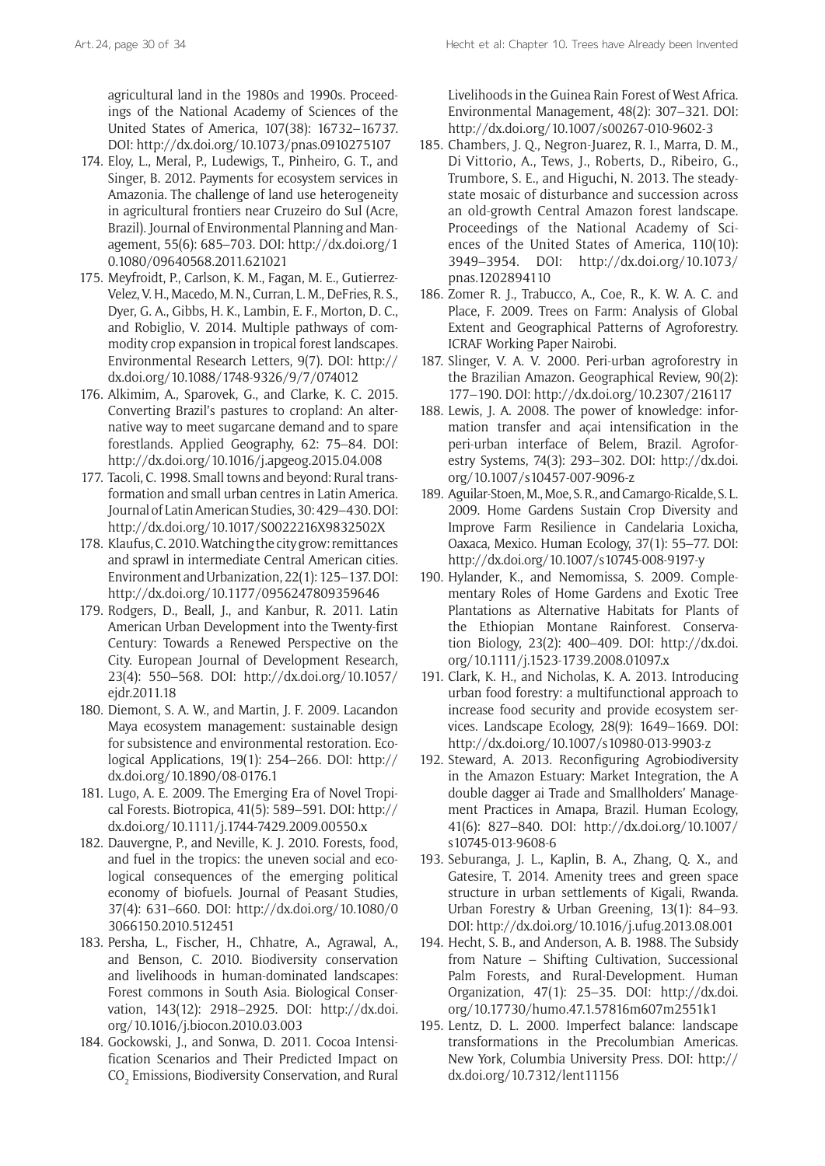agricultural land in the 1980s and 1990s. Proceedings of the National Academy of Sciences of the United States of America, 107(38): 16732–16737. DOI: <http://dx.doi.org/10.1073/pnas.0910275107>

- 174. Eloy, L., Meral, P., Ludewigs, T., Pinheiro, G. T., and Singer, B. 2012. Payments for ecosystem services in Amazonia. The challenge of land use heterogeneity in agricultural frontiers near Cruzeiro do Sul (Acre, Brazil). Journal of Environmental Planning and Management, 55(6): 685–703. DOI: [http://dx.doi.org/1](http://dx.doi.org/10.1080/09640568.2011.621021) [0.1080/09640568.2011.621021](http://dx.doi.org/10.1080/09640568.2011.621021)
- 175. Meyfroidt, P., Carlson, K. M., Fagan, M. E., Gutierrez-Velez, V. H., Macedo, M. N., Curran, L. M., DeFries, R. S., Dyer, G. A., Gibbs, H. K., Lambin, E. F., Morton, D. C., and Robiglio, V. 2014. Multiple pathways of commodity crop expansion in tropical forest landscapes. Environmental Research Letters, 9(7). DOI: [http://](http://dx.doi.org/10.1088/1748-9326/9/7/074012) [dx.doi.org/10.1088/1748-9326/9/7/074012](http://dx.doi.org/10.1088/1748-9326/9/7/074012)
- 176. Alkimim, A., Sparovek, G., and Clarke, K. C. 2015. Converting Brazil's pastures to cropland: An alternative way to meet sugarcane demand and to spare forestlands. Applied Geography, 62: 75–84. DOI: <http://dx.doi.org/10.1016/j.apgeog.2015.04.008>
- 177. Tacoli, C. 1998. Small towns and beyond: Rural transformation and small urban centres in Latin America. Journal of Latin American Studies, 30: 429–430. DOI: <http://dx.doi.org/10.1017/S0022216X9832502X>
- 178. Klaufus, C. 2010. Watching the city grow: remittances and sprawl in intermediate Central American cities. Environment and Urbanization, 22(1): 125–137. DOI: <http://dx.doi.org/10.1177/0956247809359646>
- 179. Rodgers, D., Beall, J., and Kanbur, R. 2011. Latin American Urban Development into the Twenty-first Century: Towards a Renewed Perspective on the City. European Journal of Development Research, 23(4): 550–568. DOI: [http://dx.doi.org/10.1057/](http://dx.doi.org/10.1057/ejdr.2011.18) [ejdr.2011.18](http://dx.doi.org/10.1057/ejdr.2011.18)
- 180. Diemont, S. A. W., and Martin, J. F. 2009. Lacandon Maya ecosystem management: sustainable design for subsistence and environmental restoration. Ecological Applications, 19(1): 254–266. DOI: [http://](http://dx.doi.org/10.1890/08-0176.1) [dx.doi.org/10.1890/08-0176.1](http://dx.doi.org/10.1890/08-0176.1)
- 181. Lugo, A. E. 2009. The Emerging Era of Novel Tropical Forests. Biotropica, 41(5): 589–591. DOI: [http://](http://dx.doi.org/10.1111/j.1744-7429.2009.00550.x) [dx.doi.org/10.1111/j.1744-7429.2009.00550.x](http://dx.doi.org/10.1111/j.1744-7429.2009.00550.x)
- 182. Dauvergne, P., and Neville, K. J. 2010. Forests, food, and fuel in the tropics: the uneven social and ecological consequences of the emerging political economy of biofuels. Journal of Peasant Studies, 37(4): 631–660. DOI: [http://dx.doi.org/10.1080/0](http://dx.doi.org/10.1080/03066150.2010.512451) [3066150.2010.512451](http://dx.doi.org/10.1080/03066150.2010.512451)
- 183. Persha, L., Fischer, H., Chhatre, A., Agrawal, A., and Benson, C. 2010. Biodiversity conservation and livelihoods in human-dominated landscapes: Forest commons in South Asia. Biological Conservation, 143(12): 2918–2925. DOI: [http://dx.doi.](http://dx.doi.org/10.1016/j.biocon.2010.03.003) [org/10.1016/j.biocon.2010.03.003](http://dx.doi.org/10.1016/j.biocon.2010.03.003)
- 184. Gockowski, J., and Sonwa, D. 2011. Cocoa Intensification Scenarios and Their Predicted Impact on  $\mathrm{CO}_2$  Emissions, Biodiversity Conservation, and Rural

Livelihoods in the Guinea Rain Forest of West Africa. Environmental Management, 48(2): 307–321. DOI: <http://dx.doi.org/10.1007/s00267-010-9602-3>

- 185. Chambers, J. Q., Negron-Juarez, R. I., Marra, D. M., Di Vittorio, A., Tews, J., Roberts, D., Ribeiro, G., Trumbore, S. E., and Higuchi, N. 2013. The steadystate mosaic of disturbance and succession across an old-growth Central Amazon forest landscape. Proceedings of the National Academy of Sciences of the United States of America, 110(10): 3949–3954. DOI: [http://dx.doi.org/10.1073/](http://dx.doi.org/10.1073/pnas.1202894110) [pnas.1202894110](http://dx.doi.org/10.1073/pnas.1202894110)
- 186. Zomer R. J., Trabucco, A., Coe, R., K. W. A. C. and Place, F. 2009. Trees on Farm: Analysis of Global Extent and Geographical Patterns of Agroforestry. ICRAF Working Paper Nairobi.
- 187. Slinger, V. A. V. 2000. Peri-urban agroforestry in the Brazilian Amazon. Geographical Review, 90(2): 177–190. DOI:<http://dx.doi.org/10.2307/216117>
- 188. Lewis, J. A. 2008. The power of knowledge: information transfer and açai intensification in the peri-urban interface of Belem, Brazil. Agroforestry Systems, 74(3): 293–302. DOI: [http://dx.doi.](http://dx.doi.org/10.1007/s10457-007-9096-z) [org/10.1007/s10457-007-9096-z](http://dx.doi.org/10.1007/s10457-007-9096-z)
- 189. Aguilar-Stoen, M., Moe, S. R., and Camargo-Ricalde, S. L. 2009. Home Gardens Sustain Crop Diversity and Improve Farm Resilience in Candelaria Loxicha, Oaxaca, Mexico. Human Ecology, 37(1): 55–77. DOI: <http://dx.doi.org/10.1007/s10745-008-9197-y>
- 190. Hylander, K., and Nemomissa, S. 2009. Complementary Roles of Home Gardens and Exotic Tree Plantations as Alternative Habitats for Plants of the Ethiopian Montane Rainforest. Conservation Biology, 23(2): 400–409. DOI: [http://dx.doi.](http://dx.doi.org/10.1111/j.1523-1739.2008.01097.x) [org/10.1111/j.1523-1739.2008.01097.x](http://dx.doi.org/10.1111/j.1523-1739.2008.01097.x)
- 191. Clark, K. H., and Nicholas, K. A. 2013. Introducing urban food forestry: a multifunctional approach to increase food security and provide ecosystem services. Landscape Ecology, 28(9): 1649–1669. DOI: <http://dx.doi.org/10.1007/s10980-013-9903-z>
- 192. Steward, A. 2013. Reconfiguring Agrobiodiversity in the Amazon Estuary: Market Integration, the A double dagger ai Trade and Smallholders' Management Practices in Amapa, Brazil. Human Ecology, 41(6): 827–840. DOI: [http://dx.doi.org/10.1007/](http://dx.doi.org/10.1007/s10745-013-9608-6) [s10745-013-9608-6](http://dx.doi.org/10.1007/s10745-013-9608-6)
- 193. Seburanga, J. L., Kaplin, B. A., Zhang, Q. X., and Gatesire, T. 2014. Amenity trees and green space structure in urban settlements of Kigali, Rwanda. Urban Forestry & Urban Greening, 13(1): 84–93. DOI: <http://dx.doi.org/10.1016/j.ufug.2013.08.001>
- 194. Hecht, S. B., and Anderson, A. B. 1988. The Subsidy from Nature – Shifting Cultivation, Successional Palm Forests, and Rural-Development. Human Organization, 47(1): 25–35. DOI: [http://dx.doi.](http://dx.doi.org/10.17730/humo.47.1.57816m607m2551k1) [org/10.17730/humo.47.1.57816m607m2551k1](http://dx.doi.org/10.17730/humo.47.1.57816m607m2551k1)
- 195. Lentz, D. L. 2000. Imperfect balance: landscape transformations in the Precolumbian Americas. New York, Columbia University Press. DOI: [http://](http://dx.doi.org/10.7312/lent11156) [dx.doi.org/10.7312/lent11156](http://dx.doi.org/10.7312/lent11156)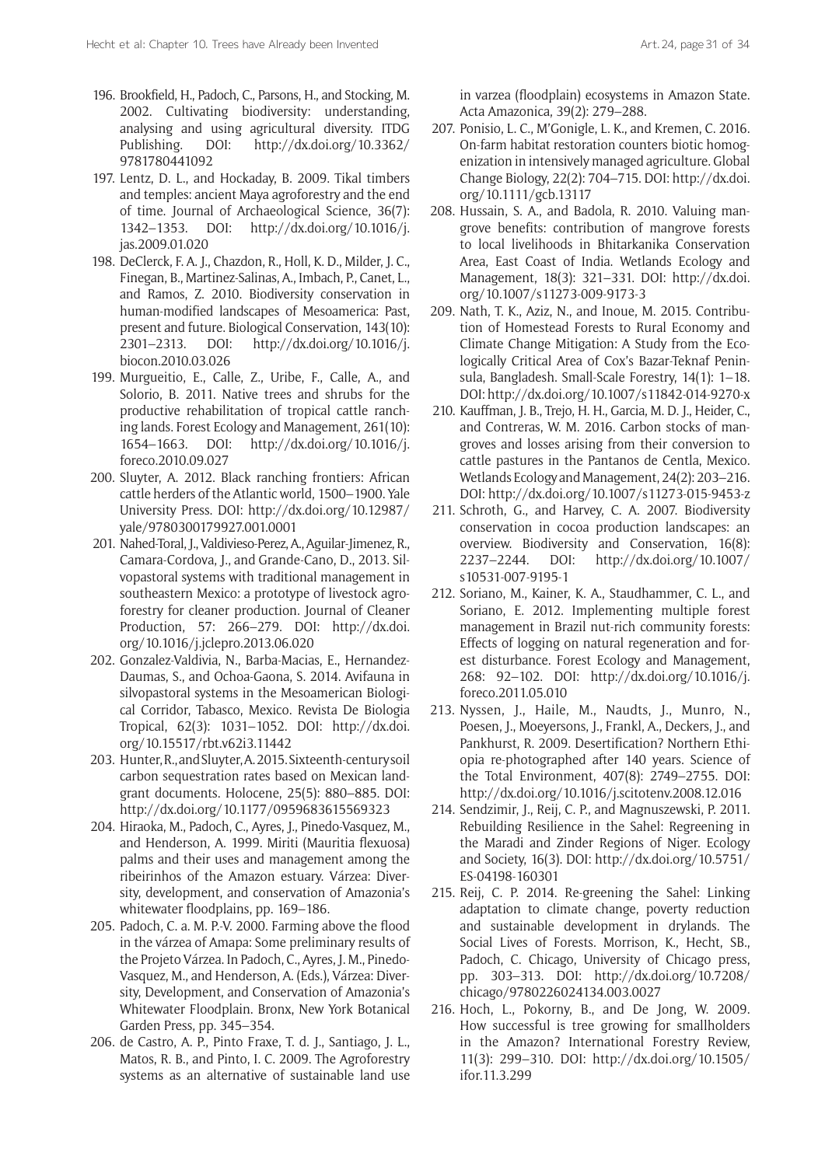- 196. Brookfield, H., Padoch, C., Parsons, H., and Stocking, M. 2002. Cultivating biodiversity: understanding, analysing and using agricultural diversity. ITDG Publishing. DOI: [http://dx.doi.org/10.3362/](http://dx.doi.org/10.3362/9781780441092) [9781780441092](http://dx.doi.org/10.3362/9781780441092)
- 197. Lentz, D. L., and Hockaday, B. 2009. Tikal timbers and temples: ancient Maya agroforestry and the end of time. Journal of Archaeological Science, 36(7): 1342–1353. DOI: [http://dx.doi.org/10.1016/j.](http://dx.doi.org/10.1016/j.jas.2009.01.020) [jas.2009.01.020](http://dx.doi.org/10.1016/j.jas.2009.01.020)
- 198. DeClerck, F. A. J., Chazdon, R., Holl, K. D., Milder, J. C., Finegan, B., Martinez-Salinas, A., Imbach, P., Canet, L., and Ramos, Z. 2010. Biodiversity conservation in human-modified landscapes of Mesoamerica: Past, present and future. Biological Conservation, 143(10): 2301–2313. DOI: [http://dx.doi.org/10.1016/j.](http://dx.doi.org/10.1016/j.biocon.2010.03.026) [biocon.2010.03.026](http://dx.doi.org/10.1016/j.biocon.2010.03.026)
- 199. Murgueitio, E., Calle, Z., Uribe, F., Calle, A., and Solorio, B. 2011. Native trees and shrubs for the productive rehabilitation of tropical cattle ranching lands. Forest Ecology and Management, 261(10): 1654–1663. DOI: [http://dx.doi.org/10.1016/j.](http://dx.doi.org/10.1016/j.foreco.2010.09.027) [foreco.2010.09.027](http://dx.doi.org/10.1016/j.foreco.2010.09.027)
- 200. Sluyter, A. 2012. Black ranching frontiers: African cattle herders of the Atlantic world, 1500–1900. Yale University Press. DOI: [http://dx.doi.org/10.12987/](http://dx.doi.org/10.12987/yale/9780300179927.001.0001) [yale/9780300179927.001.0001](http://dx.doi.org/10.12987/yale/9780300179927.001.0001)
- 201. Nahed-Toral, J., Valdivieso-Perez, A., Aguilar-Jimenez, R., Camara-Cordova, J., and Grande-Cano, D., 2013. Silvopastoral systems with traditional management in southeastern Mexico: a prototype of livestock agroforestry for cleaner production. Journal of Cleaner Production, 57: 266–279. DOI: [http://dx.doi.](http://dx.doi.org/10.1016/j.jclepro.2013.06.020) [org/10.1016/j.jclepro.2013.06.020](http://dx.doi.org/10.1016/j.jclepro.2013.06.020)
- 202. Gonzalez-Valdivia, N., Barba-Macias, E., Hernandez-Daumas, S., and Ochoa-Gaona, S. 2014. Avifauna in silvopastoral systems in the Mesoamerican Biological Corridor, Tabasco, Mexico. Revista De Biologia Tropical, 62(3): 1031–1052. DOI: [http://dx.doi.](http://dx.doi.org/10.15517/rbt.v62i3.11442) [org/10.15517/rbt.v62i3.11442](http://dx.doi.org/10.15517/rbt.v62i3.11442)
- 203. Hunter, R., and Sluyter, A. 2015. Sixteenth-century soil carbon sequestration rates based on Mexican landgrant documents. Holocene, 25(5): 880–885. DOI: <http://dx.doi.org/10.1177/0959683615569323>
- 204. Hiraoka, M., Padoch, C., Ayres, J., Pinedo-Vasquez, M., and Henderson, A. 1999. Miriti (Mauritia flexuosa) palms and their uses and management among the ribeirinhos of the Amazon estuary. Várzea: Diversity, development, and conservation of Amazonia's whitewater floodplains, pp. 169–186.
- 205. Padoch, C. a. M. P.-V. 2000. Farming above the flood in the várzea of Amapa: Some preliminary results of the Projeto Várzea. In Padoch, C., Ayres, J. M., Pinedo-Vasquez, M., and Henderson, A. (Eds.), Várzea: Diversity, Development, and Conservation of Amazonia's Whitewater Floodplain. Bronx, New York Botanical Garden Press, pp. 345–354.
- 206. de Castro, A. P., Pinto Fraxe, T. d. J., Santiago, J. L., Matos, R. B., and Pinto, I. C. 2009. The Agroforestry systems as an alternative of sustainable land use

in varzea (floodplain) ecosystems in Amazon State. Acta Amazonica, 39(2): 279–288.

- 207. Ponisio, L. C., M'Gonigle, L. K., and Kremen, C. 2016. On-farm habitat restoration counters biotic homogenization in intensively managed agriculture. Global Change Biology, 22(2): 704–715. DOI: [http://dx.doi.](http://dx.doi.org/10.1111/gcb.13117) [org/10.1111/gcb.13117](http://dx.doi.org/10.1111/gcb.13117)
- 208. Hussain, S. A., and Badola, R. 2010. Valuing mangrove benefits: contribution of mangrove forests to local livelihoods in Bhitarkanika Conservation Area, East Coast of India. Wetlands Ecology and Management, 18(3): 321–331. DOI: [http://dx.doi.](http://dx.doi.org/10.1007/s11273-009-9173-3) [org/10.1007/s11273-009-9173-3](http://dx.doi.org/10.1007/s11273-009-9173-3)
- 209. Nath, T. K., Aziz, N., and Inoue, M. 2015. Contribution of Homestead Forests to Rural Economy and Climate Change Mitigation: A Study from the Ecologically Critical Area of Cox's Bazar-Teknaf Peninsula, Bangladesh. Small-Scale Forestry, 14(1): 1–18. DOI:<http://dx.doi.org/10.1007/s11842-014-9270-x>
- 210. Kauffman, J. B., Trejo, H. H., Garcia, M. D. J., Heider, C., and Contreras, W. M. 2016. Carbon stocks of mangroves and losses arising from their conversion to cattle pastures in the Pantanos de Centla, Mexico. Wetlands Ecology and Management, 24(2): 203–216. DOI:<http://dx.doi.org/10.1007/s11273-015-9453-z>
- 211. Schroth, G., and Harvey, C. A. 2007. Biodiversity conservation in cocoa production landscapes: an overview. Biodiversity and Conservation, 16(8): 2237–2244. DOI: [http://dx.doi.org/10.1007/](http://dx.doi.org/10.1007/s10531-007-9195-1) [s10531-007-9195-1](http://dx.doi.org/10.1007/s10531-007-9195-1)
- 212. Soriano, M., Kainer, K. A., Staudhammer, C. L., and Soriano, E. 2012. Implementing multiple forest management in Brazil nut-rich community forests: Effects of logging on natural regeneration and forest disturbance. Forest Ecology and Management, 268: 92–102. DOI: [http://dx.doi.org/10.1016/j.](http://dx.doi.org/10.1016/j.foreco.2011.05.010) [foreco.2011.05.010](http://dx.doi.org/10.1016/j.foreco.2011.05.010)
- 213. Nyssen, J., Haile, M., Naudts, J., Munro, N., Poesen, J., Moeyersons, J., Frankl, A., Deckers, J., and Pankhurst, R. 2009. Desertification? Northern Ethiopia re-photographed after 140 years. Science of the Total Environment, 407(8): 2749–2755. DOI: <http://dx.doi.org/10.1016/j.scitotenv.2008.12.016>
- 214. Sendzimir, J., Reij, C. P., and Magnuszewski, P. 2011. Rebuilding Resilience in the Sahel: Regreening in the Maradi and Zinder Regions of Niger. Ecology and Society, 16(3). DOI: [http://dx.doi.org/10.5751/](http://dx.doi.org/10.5751/ES-04198-160301) [ES-04198-160301](http://dx.doi.org/10.5751/ES-04198-160301)
- 215. Reij, C. P. 2014. Re-greening the Sahel: Linking adaptation to climate change, poverty reduction and sustainable development in drylands. The Social Lives of Forests. Morrison, K., Hecht, SB., Padoch, C. Chicago, University of Chicago press, pp. 303–313. DOI: [http://dx.doi.org/10.7208/](http://dx.doi.org/10.7208/chicago/9780226024134.003.0027) [chicago/9780226024134.003.0027](http://dx.doi.org/10.7208/chicago/9780226024134.003.0027)
- 216. Hoch, L., Pokorny, B., and De Jong, W. 2009. How successful is tree growing for smallholders in the Amazon? International Forestry Review, 11(3): 299–310. DOI: [http://dx.doi.org/10.1505/](http://dx.doi.org/10.1505/ifor.11.3.299) [ifor.11.3.299](http://dx.doi.org/10.1505/ifor.11.3.299)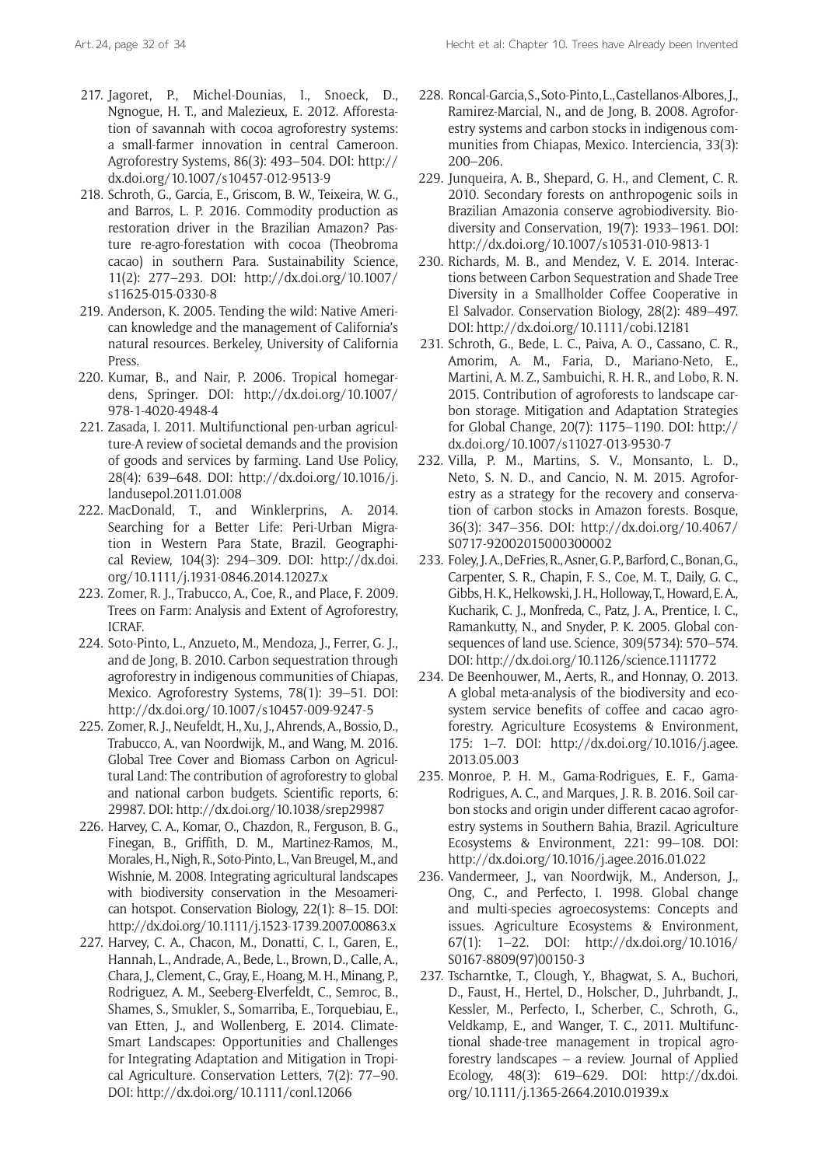- 217. Jagoret, P., Michel-Dounias, I., Snoeck, D., Ngnogue, H. T., and Malezieux, E. 2012. Afforestation of savannah with cocoa agroforestry systems: a small-farmer innovation in central Cameroon. Agroforestry Systems, 86(3): 493–504. DOI: [http://](http://dx.doi.org/10.1007/s10457-012-9513-9) [dx.doi.org/10.1007/s10457-012-9513-9](http://dx.doi.org/10.1007/s10457-012-9513-9)
- 218. Schroth, G., Garcia, E., Griscom, B. W., Teixeira, W. G., and Barros, L. P. 2016. Commodity production as restoration driver in the Brazilian Amazon? Pasture re-agro-forestation with cocoa (Theobroma cacao) in southern Para. Sustainability Science, 11(2): 277–293. DOI: [http://dx.doi.org/10.1007/](http://dx.doi.org/10.1007/s11625-015-0330-8) [s11625-015-0330-8](http://dx.doi.org/10.1007/s11625-015-0330-8)
- 219. Anderson, K. 2005. Tending the wild: Native American knowledge and the management of California's natural resources. Berkeley, University of California Press.
- 220. Kumar, B., and Nair, P. 2006. Tropical homegardens, Springer. DOI: [http://dx.doi.org/10.1007/](http://dx.doi.org/10.1007/978-1-4020-4948-4) [978-1-4020-4948-4](http://dx.doi.org/10.1007/978-1-4020-4948-4)
- 221. Zasada, I. 2011. Multifunctional pen-urban agriculture-A review of societal demands and the provision of goods and services by farming. Land Use Policy, 28(4): 639–648. DOI: [http://dx.doi.org/10.1016/j.](http://dx.doi.org/10.1016/j.landusepol.2011.01.008) [landusepol.2011.01.008](http://dx.doi.org/10.1016/j.landusepol.2011.01.008)
- 222. MacDonald, T., and Winklerprins, A. 2014. Searching for a Better Life: Peri-Urban Migration in Western Para State, Brazil. Geographical Review, 104(3): 294–309. DOI: [http://dx.doi.](http://dx.doi.org/10.1111/j.1931-0846.2014.12027.x) [org/10.1111/j.1931-0846.2014.12027.x](http://dx.doi.org/10.1111/j.1931-0846.2014.12027.x)
- 223. Zomer, R. J., Trabucco, A., Coe, R., and Place, F. 2009. Trees on Farm: Analysis and Extent of Agroforestry, ICRAF.
- 224. Soto-Pinto, L., Anzueto, M., Mendoza, J., Ferrer, G. J., and de Jong, B. 2010. Carbon sequestration through agroforestry in indigenous communities of Chiapas, Mexico. Agroforestry Systems, 78(1): 39–51. DOI: <http://dx.doi.org/10.1007/s10457-009-9247-5>
- 225. Zomer, R. J., Neufeldt, H., Xu, J., Ahrends, A., Bossio, D., Trabucco, A., van Noordwijk, M., and Wang, M. 2016. Global Tree Cover and Biomass Carbon on Agricultural Land: The contribution of agroforestry to global and national carbon budgets. Scientific reports, 6: 29987. DOI:<http://dx.doi.org/10.1038/srep29987>
- 226. Harvey, C. A., Komar, O., Chazdon, R., Ferguson, B. G., Finegan, B., Griffith, D. M., Martinez-Ramos, M., Morales, H., Nigh, R., Soto-Pinto, L., Van Breugel, M., and Wishnie, M. 2008. Integrating agricultural landscapes with biodiversity conservation in the Mesoamerican hotspot. Conservation Biology, 22(1): 8–15. DOI: <http://dx.doi.org/10.1111/j.1523-1739.2007.00863.x>
- 227. Harvey, C. A., Chacon, M., Donatti, C. I., Garen, E., Hannah, L., Andrade, A., Bede, L., Brown, D., Calle, A., Chara, J., Clement, C., Gray, E., Hoang, M. H., Minang, P., Rodriguez, A. M., Seeberg-Elverfeldt, C., Semroc, B., Shames, S., Smukler, S., Somarriba, E., Torquebiau, E., van Etten, J., and Wollenberg, E. 2014. Climate-Smart Landscapes: Opportunities and Challenges for Integrating Adaptation and Mitigation in Tropical Agriculture. Conservation Letters, 7(2): 77–90. DOI: <http://dx.doi.org/10.1111/conl.12066>
- 228. Roncal-Garcia, S., Soto-Pinto, L., Castellanos-Albores, J., Ramirez-Marcial, N., and de Jong, B. 2008. Agroforestry systems and carbon stocks in indigenous communities from Chiapas, Mexico. Interciencia, 33(3): 200–206.
- 229. Junqueira, A. B., Shepard, G. H., and Clement, C. R. 2010. Secondary forests on anthropogenic soils in Brazilian Amazonia conserve agrobiodiversity. Biodiversity and Conservation, 19(7): 1933–1961. DOI: <http://dx.doi.org/10.1007/s10531-010-9813-1>
- 230. Richards, M. B., and Mendez, V. E. 2014. Interactions between Carbon Sequestration and Shade Tree Diversity in a Smallholder Coffee Cooperative in El Salvador. Conservation Biology, 28(2): 489–497. DOI:<http://dx.doi.org/10.1111/cobi.12181>
- 231. Schroth, G., Bede, L. C., Paiva, A. O., Cassano, C. R., Amorim, A. M., Faria, D., Mariano-Neto, E., Martini, A. M. Z., Sambuichi, R. H. R., and Lobo, R. N. 2015. Contribution of agroforests to landscape carbon storage. Mitigation and Adaptation Strategies for Global Change, 20(7): 1175–1190. DOI: [http://](http://dx.doi.org/10.1007/s11027-013-9530-7) [dx.doi.org/10.1007/s11027-013-9530-7](http://dx.doi.org/10.1007/s11027-013-9530-7)
- 232. Villa, P. M., Martins, S. V., Monsanto, L. D., Neto, S. N. D., and Cancio, N. M. 2015. Agroforestry as a strategy for the recovery and conservation of carbon stocks in Amazon forests. Bosque, 36(3): 347–356. DOI: [http://dx.doi.org/10.4067/](http://dx.doi.org/10.4067/S0717-92002015000300002) [S0717-92002015000300002](http://dx.doi.org/10.4067/S0717-92002015000300002)
- 233. Foley, J. A., DeFries, R., Asner, G. P., Barford, C., Bonan, G., Carpenter, S. R., Chapin, F. S., Coe, M. T., Daily, G. C., Gibbs, H. K., Helkowski, J. H., Holloway, T., Howard, E. A., Kucharik, C. J., Monfreda, C., Patz, J. A., Prentice, I. C., Ramankutty, N., and Snyder, P. K. 2005. Global consequences of land use. Science, 309(5734): 570–574. DOI: <http://dx.doi.org/10.1126/science.1111772>
- 234. De Beenhouwer, M., Aerts, R., and Honnay, O. 2013. A global meta-analysis of the biodiversity and ecosystem service benefits of coffee and cacao agroforestry. Agriculture Ecosystems & Environment, 175: 1–7. DOI: [http://dx.doi.org/10.1016/j.agee.](http://dx.doi.org/10.1016/j.agee.2013.05.003) [2013.05.003](http://dx.doi.org/10.1016/j.agee.2013.05.003)
- 235. Monroe, P. H. M., Gama-Rodrigues, E. F., Gama-Rodrigues, A. C., and Marques, J. R. B. 2016. Soil carbon stocks and origin under different cacao agroforestry systems in Southern Bahia, Brazil. Agriculture Ecosystems & Environment, 221: 99–108. DOI: <http://dx.doi.org/10.1016/j.agee.2016.01.022>
- 236. Vandermeer, J., van Noordwijk, M., Anderson, J., Ong, C., and Perfecto, I. 1998. Global change and multi-species agroecosystems: Concepts and issues. Agriculture Ecosystems & Environment, 67(1): 1–22. DOI: [http://dx.doi.org/10.1016/](http://dx.doi.org/10.1016/S0167-8809(97)00150-3) [S0167-8809\(97\)00150-3](http://dx.doi.org/10.1016/S0167-8809(97)00150-3)
- 237. Tscharntke, T., Clough, Y., Bhagwat, S. A., Buchori, D., Faust, H., Hertel, D., Holscher, D., Juhrbandt, J., Kessler, M., Perfecto, I., Scherber, C., Schroth, G., Veldkamp, E., and Wanger, T. C., 2011. Multifunctional shade-tree management in tropical agroforestry landscapes – a review. Journal of Applied Ecology, 48(3): 619–629. DOI: [http://dx.doi.](http://dx.doi.org/10.1111/j.1365-2664.2010.01939.x) [org/10.1111/j.1365-2664.2010.01939.x](http://dx.doi.org/10.1111/j.1365-2664.2010.01939.x)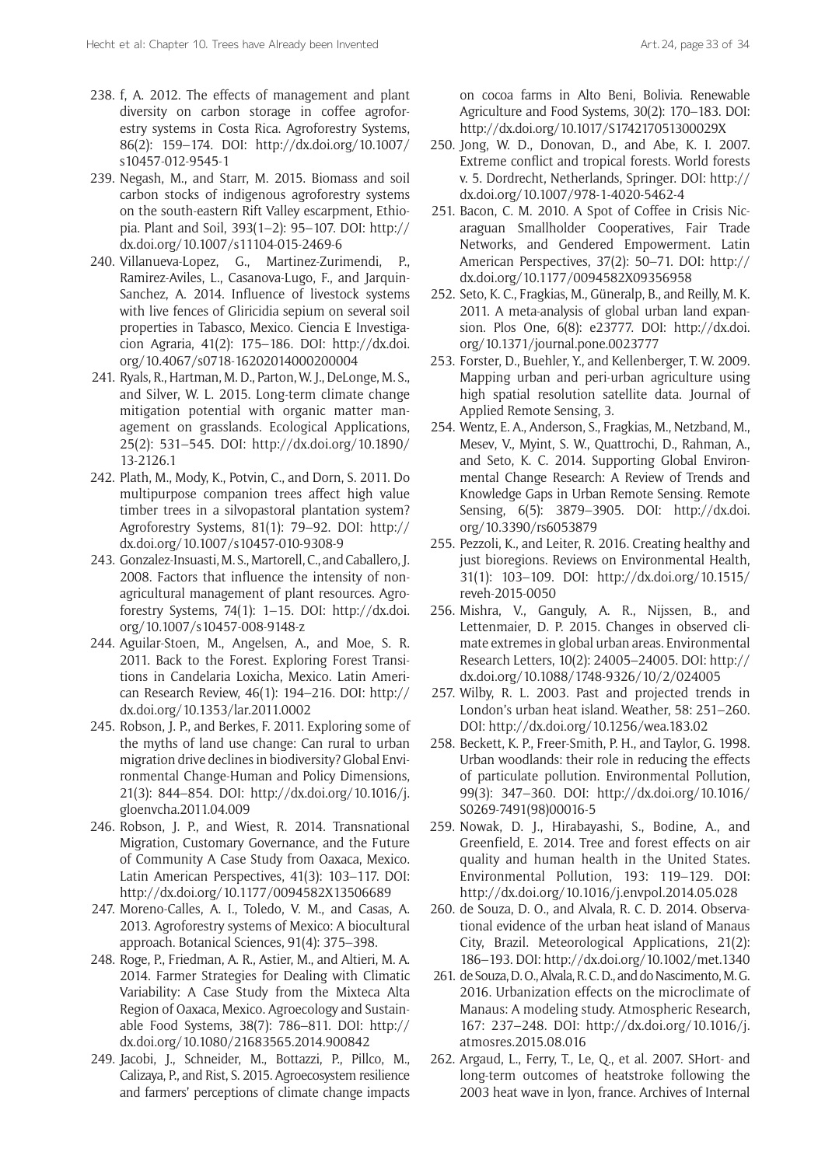- 238. f, A. 2012. The effects of management and plant diversity on carbon storage in coffee agroforestry systems in Costa Rica. Agroforestry Systems, 86(2): 159–174. DOI: [http://dx.doi.org/10.1007/](http://dx.doi.org/10.1007/s10457-012-9545-1) [s10457-012-9545-1](http://dx.doi.org/10.1007/s10457-012-9545-1)
- 239. Negash, M., and Starr, M. 2015. Biomass and soil carbon stocks of indigenous agroforestry systems on the south-eastern Rift Valley escarpment, Ethiopia. Plant and Soil, 393(1–2): 95–107. DOI: [http://](http://dx.doi.org/10.1007/s11104-015-2469-6) [dx.doi.org/10.1007/s11104-015-2469-6](http://dx.doi.org/10.1007/s11104-015-2469-6)
- 240. Villanueva-Lopez, G., Martinez-Zurimendi, P., Ramirez-Aviles, L., Casanova-Lugo, F., and Jarquin-Sanchez, A. 2014. Influence of livestock systems with live fences of Gliricidia sepium on several soil properties in Tabasco, Mexico. Ciencia E Investigacion Agraria, 41(2): 175–186. DOI: [http://dx.doi.](http://dx.doi.org/10.4067/s0718-16202014000200004) [org/10.4067/s0718-16202014000200004](http://dx.doi.org/10.4067/s0718-16202014000200004)
- 241. Ryals, R., Hartman, M. D., Parton, W. J., DeLonge, M. S., and Silver, W. L. 2015. Long-term climate change mitigation potential with organic matter management on grasslands. Ecological Applications, 25(2): 531–545. DOI: [http://dx.doi.org/10.1890/](http://dx.doi.org/10.1890/13-2126.1) [13-2126.1](http://dx.doi.org/10.1890/13-2126.1)
- 242. Plath, M., Mody, K., Potvin, C., and Dorn, S. 2011. Do multipurpose companion trees affect high value timber trees in a silvopastoral plantation system? Agroforestry Systems, 81(1): 79–92. DOI: [http://](http://dx.doi.org/10.1007/s10457-010-9308-9) [dx.doi.org/10.1007/s10457-010-9308-9](http://dx.doi.org/10.1007/s10457-010-9308-9)
- 243. Gonzalez-Insuasti, M. S., Martorell, C., and Caballero, J. 2008. Factors that influence the intensity of nonagricultural management of plant resources. Agroforestry Systems, 74(1): 1–15. DOI: [http://dx.doi.](http://dx.doi.org/10.1007/s10457-008-9148-z) [org/10.1007/s10457-008-9148-z](http://dx.doi.org/10.1007/s10457-008-9148-z)
- 244. Aguilar-Stoen, M., Angelsen, A., and Moe, S. R. 2011. Back to the Forest. Exploring Forest Transitions in Candelaria Loxicha, Mexico. Latin American Research Review, 46(1): 194–216. DOI: [http://](http://dx.doi.org/10.1353/lar.2011.0002) [dx.doi.org/10.1353/lar.2011.0002](http://dx.doi.org/10.1353/lar.2011.0002)
- 245. Robson, J. P., and Berkes, F. 2011. Exploring some of the myths of land use change: Can rural to urban migration drive declines in biodiversity? Global Environmental Change-Human and Policy Dimensions, 21(3): 844–854. DOI: [http://dx.doi.org/10.1016/j.](http://dx.doi.org/10.1016/j.gloenvcha.2011.04.009) [gloenvcha.2011.04.009](http://dx.doi.org/10.1016/j.gloenvcha.2011.04.009)
- 246. Robson, J. P., and Wiest, R. 2014. Transnational Migration, Customary Governance, and the Future of Community A Case Study from Oaxaca, Mexico. Latin American Perspectives, 41(3): 103–117. DOI: <http://dx.doi.org/10.1177/0094582X13506689>
- 247. Moreno-Calles, A. I., Toledo, V. M., and Casas, A. 2013. Agroforestry systems of Mexico: A biocultural approach. Botanical Sciences, 91(4): 375–398.
- 248. Roge, P., Friedman, A. R., Astier, M., and Altieri, M. A. 2014. Farmer Strategies for Dealing with Climatic Variability: A Case Study from the Mixteca Alta Region of Oaxaca, Mexico. Agroecology and Sustainable Food Systems, 38(7): 786–811. DOI: [http://](http://dx.doi.org/10.1080/21683565.2014.900842) [dx.doi.org/10.1080/21683565.2014.900842](http://dx.doi.org/10.1080/21683565.2014.900842)
- 249. Jacobi, J., Schneider, M., Bottazzi, P., Pillco, M., Calizaya, P., and Rist, S. 2015. Agroecosystem resilience and farmers' perceptions of climate change impacts

on cocoa farms in Alto Beni, Bolivia. Renewable Agriculture and Food Systems, 30(2): 170–183. DOI: <http://dx.doi.org/10.1017/S174217051300029X>

- 250. Jong, W. D., Donovan, D., and Abe, K. I. 2007. Extreme conflict and tropical forests. World forests v. 5. Dordrecht, Netherlands, Springer. DOI: [http://](http://dx.doi.org/10.1007/978-1-4020-5462-4) [dx.doi.org/10.1007/978-1-4020-5462-4](http://dx.doi.org/10.1007/978-1-4020-5462-4)
- 251. Bacon, C. M. 2010. A Spot of Coffee in Crisis Nicaraguan Smallholder Cooperatives, Fair Trade Networks, and Gendered Empowerment. Latin American Perspectives, 37(2): 50–71. DOI: [http://](http://dx.doi.org/10.1177/0094582X09356958) [dx.doi.org/10.1177/0094582X09356958](http://dx.doi.org/10.1177/0094582X09356958)
- 252. Seto, K. C., Fragkias, M., Güneralp, B., and Reilly, M. K. 2011. A meta-analysis of global urban land expansion. Plos One, 6(8): e23777. DOI: [http://dx.doi.](http://dx.doi.org/10.1371/journal.pone.0023777) [org/10.1371/journal.pone.0023777](http://dx.doi.org/10.1371/journal.pone.0023777)
- 253. Forster, D., Buehler, Y., and Kellenberger, T. W. 2009. Mapping urban and peri-urban agriculture using high spatial resolution satellite data. Journal of Applied Remote Sensing, 3.
- 254. Wentz, E. A., Anderson, S., Fragkias, M., Netzband, M., Mesev, V., Myint, S. W., Quattrochi, D., Rahman, A., and Seto, K. C. 2014. Supporting Global Environmental Change Research: A Review of Trends and Knowledge Gaps in Urban Remote Sensing. Remote Sensing, 6(5): 3879–3905. DOI: [http://dx.doi.](http://dx.doi.org/10.3390/rs6053879) [org/10.3390/rs6053879](http://dx.doi.org/10.3390/rs6053879)
- 255. Pezzoli, K., and Leiter, R. 2016. Creating healthy and just bioregions. Reviews on Environmental Health, 31(1): 103–109. DOI: [http://dx.doi.org/10.1515/](http://dx.doi.org/10.1515/reveh-2015-0050) [reveh-2015-0050](http://dx.doi.org/10.1515/reveh-2015-0050)
- 256. Mishra, V., Ganguly, A. R., Nijssen, B., and Lettenmaier, D. P. 2015. Changes in observed climate extremes in global urban areas. Environmental Research Letters, 10(2): 24005–24005. DOI: [http://](http://dx.doi.org/10.1088/1748-9326/10/2/024005) [dx.doi.org/10.1088/1748-9326/10/2/024005](http://dx.doi.org/10.1088/1748-9326/10/2/024005)
- 257. Wilby, R. L. 2003. Past and projected trends in London's urban heat island. Weather, 58: 251–260. DOI: <http://dx.doi.org/10.1256/wea.183.02>
- 258. Beckett, K. P., Freer-Smith, P. H., and Taylor, G. 1998. Urban woodlands: their role in reducing the effects of particulate pollution. Environmental Pollution, 99(3): 347–360. DOI: [http://dx.doi.org/10.1016/](http://dx.doi.org/10.1016/S0269-7491(98)00016-5) [S0269-7491\(98\)00016-5](http://dx.doi.org/10.1016/S0269-7491(98)00016-5)
- 259. Nowak, D. J., Hirabayashi, S., Bodine, A., and Greenfield, E. 2014. Tree and forest effects on air quality and human health in the United States. Environmental Pollution, 193: 119–129. DOI: <http://dx.doi.org/10.1016/j.envpol.2014.05.028>
- 260. de Souza, D. O., and Alvala, R. C. D. 2014. Observational evidence of the urban heat island of Manaus City, Brazil. Meteorological Applications, 21(2): 186–193. DOI:<http://dx.doi.org/10.1002/met.1340>
- 261. de Souza, D. O., Alvala, R. C. D., and do Nascimento, M. G. 2016. Urbanization effects on the microclimate of Manaus: A modeling study. Atmospheric Research, 167: 237–248. DOI: [http://dx.doi.org/10.1016/j.](http://dx.doi.org/10.1016/j.atmosres.2015.08.016) [atmosres.2015.08.016](http://dx.doi.org/10.1016/j.atmosres.2015.08.016)
- 262. Argaud, L., Ferry, T., Le, Q., et al. 2007. SHort- and long-term outcomes of heatstroke following the 2003 heat wave in lyon, france. Archives of Internal